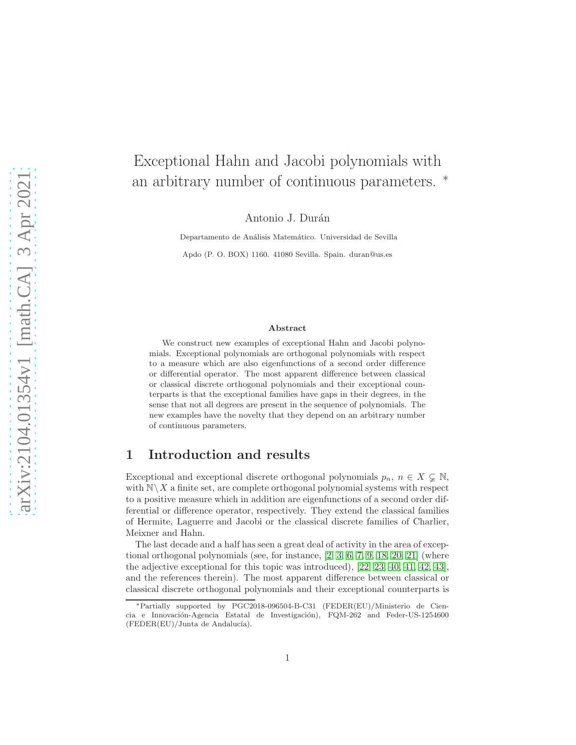# Exceptional Hahn and Jacobi polynomials with an arbitrary number of continuous parameters. <sup>∗</sup>

Antonio J. Durán

Departamento de Análisis Matemático. Universidad de Sevilla

Apdo (P. O. BOX) 1160. 41080 Sevilla. Spain. duran@us.es

#### Abstract

We construct new examples of exceptional Hahn and Jacobi polynomials. Exceptional polynomials are orthogonal polynomials with respect to a measure which are also eigenfunctions of a second order difference or differential operator. The most apparent difference between classical or classical discrete orthogonal polynomials and their exceptional counterparts is that the exceptional families have gaps in their degrees, in the sense that not all degrees are present in the sequence of polynomials. The new examples have the novelty that they depend on an arbitrary number of continuous parameters.

### 1 Introduction and results

Exceptional and exceptional discrete orthogonal polynomials  $p_n, n \in X \subsetneq \mathbb{N}$ , with  $N\ X$  a finite set, are complete orthogonal polynomial systems with respect to a positive measure which in addition are eigenfunctions of a second order differential or difference operator, respectively. They extend the classical families of Hermite, Laguerre and Jacobi or the classical discrete families of Charlier, Meixner and Hahn.

The last decade and a half has seen a great deal of activity in the area of exceptional orthogonal polynomials (see, for instance, [\[2,](#page-36-0) [3,](#page-36-1) [6,](#page-36-2) [7,](#page-36-3) [9,](#page-37-0) [18,](#page-37-1) [20,](#page-37-2) [21\]](#page-37-3) (where the adjective exceptional for this topic was introduced), [\[22,](#page-37-4) [23,](#page-38-0) [40,](#page-39-0) [41,](#page-39-1) [42,](#page-39-2) [43\]](#page-39-3), and the references therein). The most apparent difference between classical or classical discrete orthogonal polynomials and their exceptional counterparts is

<sup>∗</sup>Partially supported by PGC2018-096504-B-C31 (FEDER(EU)/Ministerio de Ciencia e Innovación-Agencia Estatal de Investigación), FQM-262 and Feder-US-1254600  $(FEDER(EU)/Junta$  de Andalucía).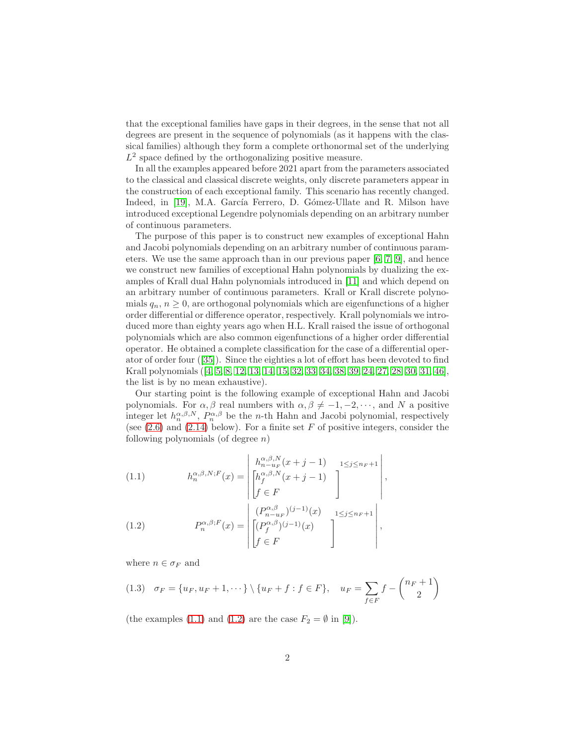that the exceptional families have gaps in their degrees, in the sense that not all degrees are present in the sequence of polynomials (as it happens with the classical families) although they form a complete orthonormal set of the underlying  $L^2$  space defined by the orthogonalizing positive measure.

In all the examples appeared before 2021 apart from the parameters associated to the classical and classical discrete weights, only discrete parameters appear in the construction of each exceptional family. This scenario has recently changed. Indeed, in [\[19\]](#page-37-5), M.A. García Ferrero, D. Gómez-Ullate and R. Milson have introduced exceptional Legendre polynomials depending on an arbitrary number of continuous parameters.

The purpose of this paper is to construct new examples of exceptional Hahn and Jacobi polynomials depending on an arbitrary number of continuous parameters. We use the same approach than in our previous paper [\[6,](#page-36-2) [7,](#page-36-3) [9\]](#page-37-0), and hence we construct new families of exceptional Hahn polynomials by dualizing the examples of Krall dual Hahn polynomials introduced in [\[11\]](#page-37-6) and which depend on an arbitrary number of continuous parameters. Krall or Krall discrete polynomials  $q_n$ ,  $n \geq 0$ , are orthogonal polynomials which are eigenfunctions of a higher order differential or difference operator, respectively. Krall polynomials we introduced more than eighty years ago when H.L. Krall raised the issue of orthogonal polynomials which are also common eigenfunctions of a higher order differential operator. He obtained a complete classification for the case of a differential operator of order four([\[35\]](#page-38-1)). Since the eighties a lot of effort has been devoted to find Krall polynomials([\[4,](#page-36-4) [5,](#page-36-5) [8,](#page-36-6) [12,](#page-37-7) [13,](#page-37-8) [14,](#page-37-9) [15,](#page-37-10) [32,](#page-38-2) [33,](#page-38-3) [34,](#page-38-4) [38,](#page-39-4) [39,](#page-39-5) [24,](#page-38-5) [27,](#page-38-6) [28,](#page-38-7) [30,](#page-38-8) [31,](#page-38-9) [46\]](#page-39-6), the list is by no mean exhaustive).

Our starting point is the following example of exceptional Hahn and Jacobi polynomials. For  $\alpha, \beta$  real numbers with  $\alpha, \beta \neq -1, -2, \dots$ , and N a positive integer let  $h_n^{\alpha,\beta,N}$ ,  $P_n^{\alpha,\beta}$  be the *n*-th Hahn and Jacobi polynomial, respectively (see  $(2.6)$  and  $(2.14)$  below). For a finite set F of positive integers, consider the following polynomials (of degree  $n$ )

<span id="page-1-0"></span>(1.1) 
$$
h_n^{\alpha,\beta,N;F}(x) = \begin{bmatrix} h_{n-u_F}^{\alpha,\beta,N}(x+j-1) & 1 \leq j \leq n_F+1 \\ \begin{bmatrix} h_f^{\alpha,\beta,N}(x+j-1) \\ f \in F \end{bmatrix} \end{bmatrix},
$$

<span id="page-1-1"></span>(1.2) 
$$
P_n^{\alpha,\beta;F}(x) = \begin{vmatrix} (P_{n-u_F}^{\alpha,\beta})^{(j-1)}(x) & 1 \leq j \leq n_F + 1 \\ \begin{bmatrix} (P_f^{\alpha,\beta})^{(j-1)}(x) \\ f \in F \end{bmatrix} \end{vmatrix},
$$

where  $n \in \sigma_F$  and

<span id="page-1-2"></span>
$$
(1.3) \quad \sigma_F = \{u_F, u_F + 1, \cdots\} \setminus \{u_F + f : f \in F\}, \quad u_F = \sum_{f \in F} f - \binom{n_F + 1}{2}
$$

(the examples [\(1.1\)](#page-1-0) and [\(1.2\)](#page-1-1) are the case  $F_2 = \emptyset$  in [\[9\]](#page-37-0)).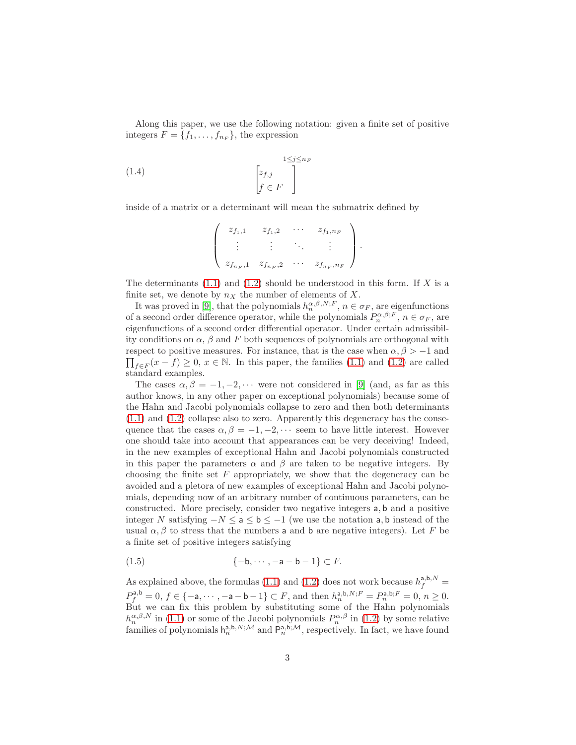Along this paper, we use the following notation: given a finite set of positive integers  $F = \{f_1, \ldots, f_{n_F}\}\,$  the expression

(1.4) 
$$
\begin{bmatrix} 1 \leq j \leq n_F \\ f \in F \end{bmatrix}
$$

inside of a matrix or a determinant will mean the submatrix defined by

$$
\left(\begin{array}{cccc}z_{f_1,1} & z_{f_1,2} & \cdots & z_{f_1,n_F} \\ \vdots & \vdots & \ddots & \vdots \\ z_{f_{n_F},1} & z_{f_{n_F},2} & \cdots & z_{f_{n_F},n_F}\end{array}\right).
$$

The determinants  $(1.1)$  and  $(1.2)$  should be understood in this form. If X is a finite set, we denote by  $n_X$  the number of elements of X.

It was proved in [\[9\]](#page-37-0), that the polynomials  $h_n^{\alpha,\beta,N;F}$ ,  $n \in \sigma_F$ , are eigenfunctions of a second order difference operator, while the polynomials  $P_n^{\alpha,\beta;F}$ ,  $n \in \sigma_F$ , are eigenfunctions of a second order differential operator. Under certain admissibility conditions on  $\alpha$ ,  $\beta$  and F both sequences of polynomials are orthogonal with  $\prod_{f \in F}(x - f) \geq 0, x \in \mathbb{N}$ . In this paper, the families [\(1.1\)](#page-1-0) and [\(1.2\)](#page-1-1) are called respect to positive measures. For instance, that is the case when  $\alpha, \beta > -1$  and standard examples.

The cases  $\alpha, \beta = -1, -2, \cdots$  were not considered in [\[9\]](#page-37-0) (and, as far as this author knows, in any other paper on exceptional polynomials) because some of the Hahn and Jacobi polynomials collapse to zero and then both determinants [\(1.1\)](#page-1-0) and [\(1.2\)](#page-1-1) collapse also to zero. Apparently this degeneracy has the consequence that the cases  $\alpha, \beta = -1, -2, \cdots$  seem to have little interest. However one should take into account that appearances can be very deceiving! Indeed, in the new examples of exceptional Hahn and Jacobi polynomials constructed in this paper the parameters  $\alpha$  and  $\beta$  are taken to be negative integers. By choosing the finite set  $F$  appropriately, we show that the degeneracy can be avoided and a pletora of new examples of exceptional Hahn and Jacobi polynomials, depending now of an arbitrary number of continuous parameters, can be constructed. More precisely, consider two negative integers a, b and a positive integer N satisfying −N ≤ a ≤ b ≤ −1 (we use the notation a, b instead of the usual  $\alpha$ ,  $\beta$  to stress that the numbers a and b are negative integers). Let F be a finite set of positive integers satisfying

<span id="page-2-0"></span>
$$
(1.5) \qquad \qquad \{-\mathsf{b}, \cdots, -\mathsf{a}-\mathsf{b}-1\} \subset F.
$$

As explained above, the formulas [\(1.1\)](#page-1-0) and [\(1.2\)](#page-1-1) does not work because  $h_f^{a,b,N}$  =  $P_f^{\mathsf{a},\mathsf{b}} = 0, f \in \{-\mathsf{a},\cdots,-\mathsf{a}-\mathsf{b}-1\} \subset F$ , and then  $h_n^{\mathsf{a},\mathsf{b},N;F} = P_n^{\mathsf{a},\mathsf{b};F} = 0, n \ge 0$ . But we can fix this problem by substituting some of the Hahn polynomials  $h_n^{\alpha,\beta,N}$  in [\(1.1\)](#page-1-0) or some of the Jacobi polynomials  $P_n^{\alpha,\beta}$  in [\(1.2\)](#page-1-1) by some relative families of polynomials  $h_n^{a,b,N;\mathcal{M}}$  and  $\tilde{P}_n^{a,b;\mathcal{M}}$ , respectively. In fact, we have found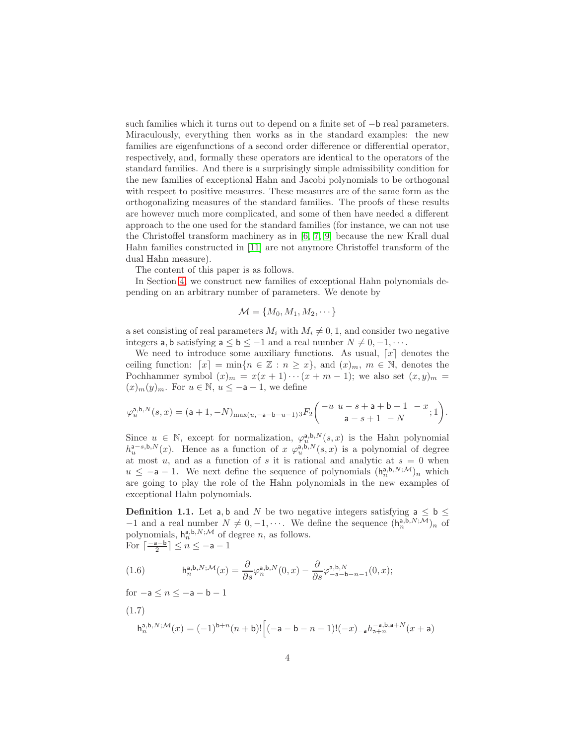such families which it turns out to depend on a finite set of −b real parameters. Miraculously, everything then works as in the standard examples: the new families are eigenfunctions of a second order difference or differential operator, respectively, and, formally these operators are identical to the operators of the standard families. And there is a surprisingly simple admissibility condition for the new families of exceptional Hahn and Jacobi polynomials to be orthogonal with respect to positive measures. These measures are of the same form as the orthogonalizing measures of the standard families. The proofs of these results are however much more complicated, and some of then have needed a different approach to the one used for the standard families (for instance, we can not use the Christoffel transform machinery as in [\[6,](#page-36-2) [7,](#page-36-3) [9\]](#page-37-0) because the new Krall dual Hahn families constructed in [\[11\]](#page-37-6) are not anymore Christoffel transform of the dual Hahn measure).

The content of this paper is as follows.

In Section [4,](#page-16-0) we construct new families of exceptional Hahn polynomials depending on an arbitrary number of parameters. We denote by

$$
\mathcal{M} = \{M_0, M_1, M_2, \cdots\}
$$

a set consisting of real parameters  $M_i$  with  $M_i \neq 0, 1$ , and consider two negative integers a, b satisfying  $a \le b \le -1$  and a real number  $N \ne 0, -1, \cdots$ .

We need to introduce some auxiliary functions. As usual,  $[x]$  denotes the ceiling function:  $[x] = \min\{n \in \mathbb{Z} : n \geq x\}$ , and  $(x)_m$ ,  $m \in \mathbb{N}$ , denotes the Pochhammer symbol  $(x)_m = x(x+1)\cdots(x+m-1)$ ; we also set  $(x, y)_m =$  $(x)_m(y)_m$ . For  $u \in \mathbb{N}$ ,  $u \leq -a-1$ , we define

$$
\varphi^{ \mathsf{a}, \mathsf{b}, N}_u(s, x) = \big( \mathsf{a} + 1, -N \big)_{ \max( u, -\mathsf{a} - \mathsf{b} - u - 1) 3} F_2 \binom{-u \ u - s + \mathsf{a} + \mathsf{b} + 1 \ - x} { \mathsf{a} - s + 1 \ - N}; 1 \bigg).
$$

Since  $u \in \mathbb{N}$ , except for normalization,  $\varphi_u^{\mathsf{a},\mathsf{b},N}(s,x)$  is the Hahn polynomial  $h_u^{a-s,b,N}(x)$ . Hence as a function of  $x \varphi_u^{a,b,N}(s,x)$  is a polynomial of degree at most  $u$ , and as a function of s it is rational and analytic at  $s = 0$  when  $u \leq -a - 1$ . We next define the sequence of polynomials  $(h_n^{a,b,N;M})_n$  which are going to play the role of the Hahn polynomials in the new examples of exceptional Hahn polynomials.

<span id="page-3-0"></span>**Definition 1.1.** Let a, b and N be two negative integers satisfying  $a \le b \le$  $-1$  and a real number  $N \neq 0, -1, \cdots$ . We define the sequence  $(h_n^{a,b,N;\overline{M}})_n$  of polynomials,  $h_n^{a,b,N;\mathcal{M}}$  of degree n, as follows. For  $\lceil \frac{-a-b}{2} \rceil \leq n \leq -a-1$ 

<span id="page-3-2"></span>(1.6) 
$$
\mathsf{h}^{\mathsf{a},\mathsf{b},N;\mathcal{M}}_n(x) = \frac{\partial}{\partial s} \varphi^{\mathsf{a},\mathsf{b},N}_n(0,x) - \frac{\partial}{\partial s} \varphi^{\mathsf{a},\mathsf{b},N}_{-\mathsf{a}-\mathsf{b}-n-1}(0,x);
$$

for  $-a \le n \le -a - b - 1$ 

<span id="page-3-1"></span>
$$
\begin{aligned} (1.7) \qquad \qquad & \mathrm{h}^{\mathrm{a},\mathrm{b},N;\mathcal{M}}_n(x) = (-1)^{\mathrm{b}+n}(n+\mathrm{b})! \Big[ (-\mathrm{a}-\mathrm{b}-n-1)!(-x)_{-\mathrm{a}}h_{\mathrm{a}+n}^{-\mathrm{a},\mathrm{b},\mathrm{a}+N}(x+\mathrm{a}) \end{aligned}
$$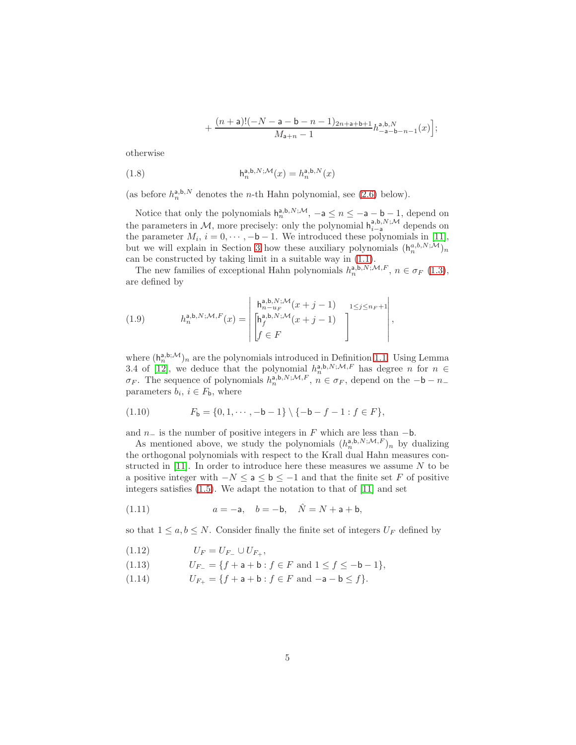$$
+\frac{(n+\mathsf{a})!(-N-\mathsf{a}-\mathsf{b}-n-1)_{2n+\mathsf{a}+\mathsf{b}+1}}{M_{\mathsf{a}+n}-1}h_{-\mathsf{a}-\mathsf{b}-n-1}^{\mathsf{a},\mathsf{b},N}(x)\Big];
$$

otherwise

(1.8) 
$$
\mathsf{h}^{\mathsf{a},\mathsf{b},N;\mathcal{M}}_n(x) = h^{\mathsf{a},\mathsf{b},N}_n(x)
$$

(as before  $h_n^{\mathsf{a},\mathsf{b},N}$  denotes the *n*-th Hahn polynomial, see [\(2.6\)](#page-9-0) below).

Notice that only the polynomials  $h_n^{a,b,N;\mathcal{M}}, -a \leq n \leq -a-b-1$ , depend on the parameters in M, more precisely: only the polynomial  $h_{i-a}^{a,b,N;\mathcal{M}}$  depends on the parameter  $M_i$ ,  $i = 0, \dots, -b-1$ . We introduced these polynomials in [\[11\]](#page-37-6), but we will explain in Section [3](#page-11-0) how these auxiliary polynomials  $(h_n^{a,b,N;\mathcal{M}})_n$ can be constructed by taking limit in a suitable way in [\(1.1\)](#page-1-0).

The new families of exceptional Hahn polynomials  $h_n^{\mathsf{a},\mathsf{b},\mathsf{N},\mathsf{M},F}$ ,  $n \in \sigma_F$  [\(1.3\)](#page-1-2), are defined by

<span id="page-4-3"></span>(1.9) 
$$
h_n^{\mathsf{a},\mathsf{b},N;\mathcal{M},F}(x) = \begin{bmatrix} h_{n-u_F}^{\mathsf{a},\mathsf{b},N;\mathcal{M}}(x+j-1) & 1 \leq j \leq n_F + 1 \\ \begin{bmatrix} h_{j}^{\mathsf{a},\mathsf{b},N;\mathcal{M}}(x+j-1) \\ f \in F \end{bmatrix} \end{bmatrix},
$$

where  $(h_n^{a,b;\mathcal{M}})_n$  are the polynomials introduced in Definition [1.1.](#page-3-0) Using Lemma 3.4 of [\[12\]](#page-37-7), we deduce that the polynomial  $h_n^{a,b,N;\mathcal{M},F}$  has degree n for  $n \in$  $\sigma_F$ . The sequence of polynomials  $h_n^{\mathsf{a},\mathsf{b},N;\mathcal{M},F}$ ,  $n \in \sigma_F$ , depend on the  $-\mathsf{b}-n_$ parameters  $b_i, i \in F_b$ , where

<span id="page-4-0"></span>(1.10) 
$$
F_{\mathsf{b}} = \{0, 1, \cdots, -\mathsf{b} - 1\} \setminus \{-\mathsf{b} - f - 1 : f \in F\},\
$$

and  $n_$  is the number of positive integers in F which are less than  $-$ b.

As mentioned above, we study the polynomials  $(h_n^{a,b,N;M,F})_n$  by dualizing the orthogonal polynomials with respect to the Krall dual Hahn measures constructed in  $[11]$ . In order to introduce here these measures we assume N to be a positive integer with  $-N \le a \le b \le -1$  and that the finite set F of positive integers satisfies [\(1.5\)](#page-2-0). We adapt the notation to that of [\[11\]](#page-37-6) and set

<span id="page-4-1"></span>(1.11) 
$$
a = -a, \quad b = -b, \quad \hat{N} = N + a + b,
$$

so that  $1 \leq a, b \leq N$ . Consider finally the finite set of integers  $U_F$  defined by

<span id="page-4-2"></span>
$$
(1.12) \t\t U_F = U_{F_-} \cup U_{F_+},
$$

<span id="page-4-4"></span>(1.13) 
$$
U_{F_-} = \{f + \mathsf{a} + \mathsf{b} : f \in F \text{ and } 1 \le f \le -\mathsf{b} - 1\},
$$

<span id="page-4-5"></span>(1.14)  $U_{F_+} = \{f + a + b : f \in F \text{ and } -a - b \le f\}.$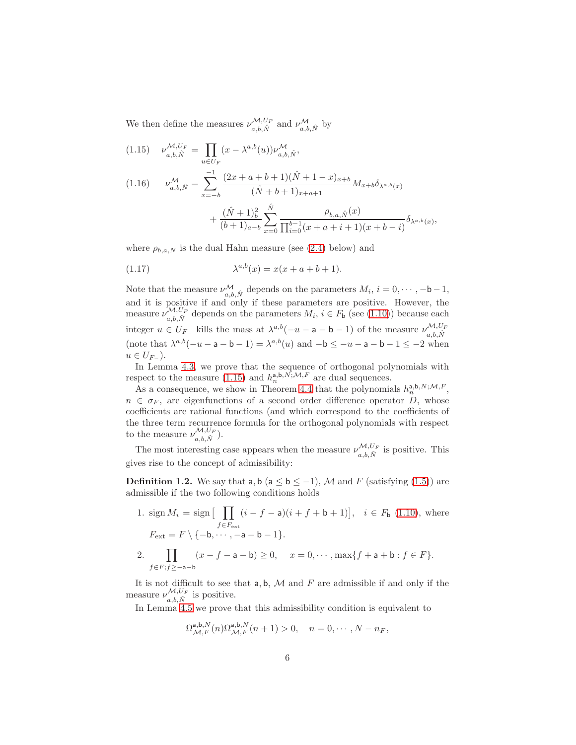We then define the measures  $\nu_{a,b,\hat{N}}^{\mathcal{M},U_F}$  and  $\nu_{a,b,\hat{N}}^{\mathcal{M}}$  by

<span id="page-5-3"></span><span id="page-5-0"></span>(1.15) 
$$
\nu_{a,b,\hat{N}}^{\mathcal{M},U_F} = \prod_{u \in U_F} (x - \lambda^{a,b}(u)) \nu_{a,b,\hat{N}}^{\mathcal{M}},
$$
  
(1.16) 
$$
\nu_{a,b,\hat{N}}^{\mathcal{M}} = \sum_{x=-b}^{-1} \frac{(2x + a + b + 1)(\hat{N} + 1 - x)_{x+b}}{(\hat{N} + b + 1)_{x+a+1}} M_{x+b} \delta_{\lambda^{a,b}(x)}
$$

<span id="page-5-2"></span>
$$
+\frac{(\hat{N}+1)_b^2}{(b+1)_{a-b}}\sum_{x=0}^{\hat{N}}\frac{\rho_{b,a,\hat{N}}(x)}{\prod_{i=0}^{b-1}(x+a+i+1)(x+b-i)}\delta_{\lambda^{a,b}(x)},
$$

where  $\rho_{b,a,N}$  is the dual Hahn measure (see [\(2.4\)](#page-9-1) below) and

(1.17) 
$$
\lambda^{a,b}(x) = x(x + a + b + 1).
$$

Note that the measure  $\nu_{a,b,\hat{N}}^{\mathcal{M}}$  depends on the parameters  $M_i$ ,  $i = 0, \dots, -b-1$ , and it is positive if and only if these parameters are positive. However, the measure  $\nu_{a,b,\hat{N}}^{\mathcal{M},U_F}$  depends on the parameters  $M_i$ ,  $i \in F_b$  (see [\(1.10\)](#page-4-0)) because each integer  $u \in U_{F_-}$  kills the mass at  $\lambda^{a,b}(-u - a - b - 1)$  of the measure  $\nu_{a,b}^{\mathcal{M},U_F}$  $_{a,b,\hat{N}}$ (note that  $\lambda^{a,b}(-u-a-b-1) = \lambda^{a,b}(u)$  and  $-b \le -u-a-b-1 \le -2$  when  $u \in U_{F_-}$ ).

In Lemma [4.3,](#page-18-0) we prove that the sequence of orthogonal polynomials with respect to the measure [\(1.15\)](#page-5-0) and  $h_n^{a,b,\tilde{N},\mathcal{M},F}$  are dual sequences.

As a consequence, we show in Theorem [4.4](#page-22-0) that the polynomials  $h_n^{a,b,N;\mathcal{M},F}$ ,  $n \in \sigma_F$ , are eigenfunctions of a second order difference operator D, whose coefficients are rational functions (and which correspond to the coefficients of the three term recurrence formula for the orthogonal polynomials with respect to the measure  $\nu_{a,b,\hat{N}}^{\mathcal{M},U_F}$ .

The most interesting case appears when the measure  $\nu_{a,b,\hat{N}}^{\mathcal{M},U_F}$  is positive. This gives rise to the concept of admissibility:

<span id="page-5-1"></span>**Definition 1.2.** We say that a, b ( $a \le b \le -1$ ), M and F (satisfying [\(1.5\)](#page-2-0)) are admissible if the two following conditions holds

1.  $\operatorname{sign} M_i = \operatorname{sign} \left[ \prod_{i=1}^{n} \right]$  $f \in F_{\text{ext}}$  $(i - f - a)(i + f + b + 1)$ ,  $i \in F_b$  [\(1.10\)](#page-4-0), where  $F_{\text{ext}} = F \setminus \{-\mathsf{b}, \cdots, -\mathsf{a} - \mathsf{b} - 1\}.$ 2.  $\prod$  $f \in F$ ; $f \ge -a-b$  $(x - f - a - b) \ge 0$ ,  $x = 0, \dots, \max\{f + a + b : f \in F\}.$ 

It is not difficult to see that  $a, b, M$  and F are admissible if and only if the measure  $\nu_{a,b,\hat{N}}^{\mathcal{M},U_F}$  is positive.

In Lemma [4.5](#page-23-0) we prove that this admissibility condition is equivalent to

$$
\Omega^{ \mathsf{a}, \mathsf{b}, N }_{\mathcal{M}, F}(n) \Omega^{ \mathsf{a}, \mathsf{b}, N }_{\mathcal{M}, F}(n+1) > 0, \quad n = 0, \cdots, N-n_F,
$$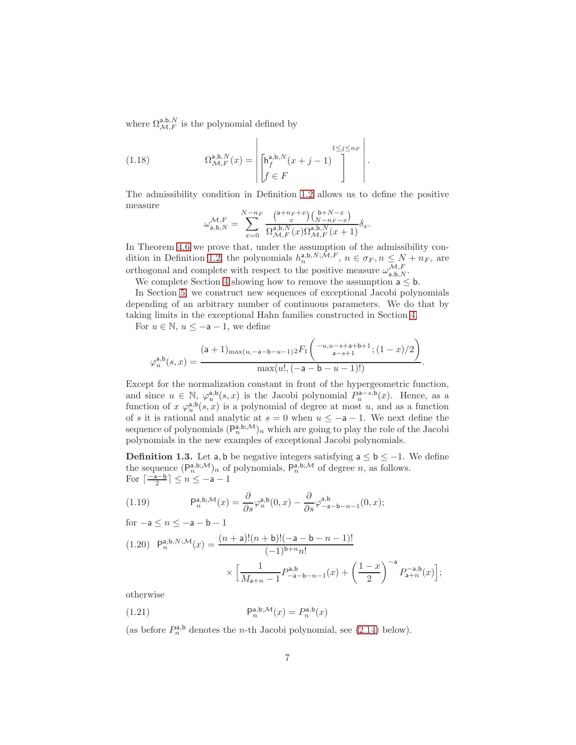where  $\Omega^{a,b,N}_{\mathcal{M},F}$  is the polynomial defined by

(1.18) 
$$
\Omega_{\mathcal{M},F}^{\mathsf{a},\mathsf{b},N}(x) = \left| \begin{bmatrix} \mathsf{h}_{f}^{\mathsf{a},\mathsf{b},N}(x+j-1) \\ \mathsf{f} \in F \end{bmatrix} \cdot \begin{bmatrix} 1 \leq j \leq n_F \\ \mathsf{f} \in F \end{bmatrix} \right|.
$$

The admissibility condition in Definition [1.2](#page-5-1) allows us to define the positive measure

<span id="page-6-2"></span>
$$
\omega_{\mathsf{a},\mathsf{b},N}^{\mathcal{M},F}=\sum_{x=0}^{N-n_F}\frac{\binom{\mathsf{a}+n_F+x}{x}\binom{\mathsf{b}+N-x}{N-n_F-x}}{\Omega_{\mathcal{M},F}^{\mathsf{a},\mathsf{b},N}(x)\Omega_{\mathcal{M},F}^{\mathsf{a},\mathsf{b},N}(x+1)}\delta_x.
$$

In Theorem [4.6](#page-24-0) we prove that, under the assumption of the admissibility con-dition in Definition [1.2,](#page-5-1) the polynomials  $h_n^{a,b,N;\mathcal{M},F}$ ,  $n \in \sigma_F$ ,  $n \le N + n_F$ , are orthogonal and complete with respect to the positive measure  $\omega_{a,b,N}^{\mathcal{M},F}$ .

We complete Section [4](#page-16-0) showing how to remove the assumption  $a \leq b$ .

In Section [5,](#page-25-0) we construct new sequences of exceptional Jacobi polynomials depending of an arbitrary number of continuous parameters. We do that by taking limits in the exceptional Hahn families constructed in Section [4.](#page-16-0)

For  $u \in \mathbb{N}$ ,  $u \leq -a - 1$ , we define

$$
\varphi_u^{\mathsf{a},\mathsf{b}}(s,x) = \frac{(\mathsf{a}+1)_{\max(u,-\mathsf{a}-\mathsf{b}-u-1)2} F_1\left(\frac{-u,u-s+\mathsf{a}+\mathsf{b}+1}{\mathsf{a}-s+1};(1-x)/2\right)}{\max(u!,-\mathsf{a}-\mathsf{b}-u-1)!}.
$$

Except for the normalization constant in front of the hypergeometric function, and since  $u \in \mathbb{N}$ ,  $\varphi_u^{a,b}(s,x)$  is the Jacobi polynomial  $P_u^{a-s,b}(x)$ . Hence, as a function of  $x \varphi_u^{\mathbf{a},\mathbf{b}}(s,x)$  is a polynomial of degree at most u, and as a function of s it is rational and analytic at  $s = 0$  when  $u \le -a - 1$ . We next define the sequence of polynomials  $(P_n^{a,b;\mathcal{M}})_n$  which are going to play the role of the Jacobi polynomials in the new examples of exceptional Jacobi polynomials.

<span id="page-6-0"></span>**Definition 1.3.** Let a, b be negative integers satisfying  $a \le b \le -1$ . We define the sequence  $(P_n^{a,b;\mathcal{M}})_n$  of polynomials,  $P_n^{a,b;\mathcal{M}}$  of degree n, as follows. For  $\lceil \frac{-a-b}{2} \rceil \le n \le -a-1$ 

<span id="page-6-1"></span>(1.19) 
$$
\mathsf{P}_n^{\mathsf{a},\mathsf{b};\mathcal{M}}(x) = \frac{\partial}{\partial s} \varphi_n^{\mathsf{a},\mathsf{b}}(0,x) - \frac{\partial}{\partial s} \varphi_{-\mathsf{a}-\mathsf{b}-n-1}^{\mathsf{a},\mathsf{b}}(0,x);
$$

$$
\text{for } -\mathsf{a} \leq n \leq -\mathsf{a} - \mathsf{b} - 1
$$

<span id="page-6-3"></span>
$$
(1.20) \quad \mathsf{P}_{n}^{\mathsf{a},\mathsf{b},N;\mathcal{M}}(x) = \frac{(n+\mathsf{a})!(n+\mathsf{b})!(-\mathsf{a}-\mathsf{b}-n-1)!}{(-1)^{\mathsf{b}+n}n!} \times \left[ \frac{1}{M_{\mathsf{a}+n}-1} P_{-\mathsf{a}-\mathsf{b}-n-1}^{\mathsf{a},\mathsf{b}}(x) + \left( \frac{1-x}{2} \right)^{-\mathsf{a}} P_{\mathsf{a}+n}^{-\mathsf{a},\mathsf{b}}(x) \right];
$$

otherwise

(1.21) 
$$
\mathsf{P}_n^{\mathsf{a},\mathsf{b};\mathcal{M}}(x) = P_n^{\mathsf{a},\mathsf{b}}(x)
$$

(as before  $P_n^{\mathsf{a},\mathsf{b}}$  denotes the *n*-th Jacobi polynomial, see [\(2.14\)](#page-10-0) below).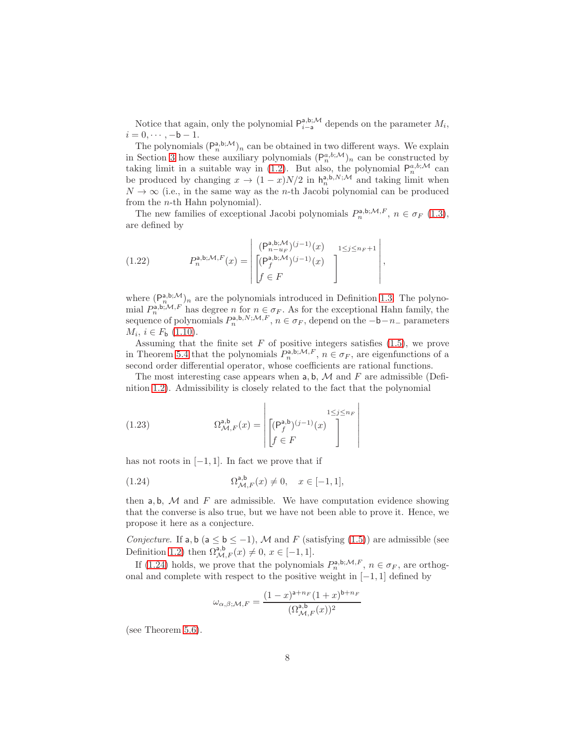Notice that again, only the polynomial  $P_{i-a}^{a,b;M}$  depends on the parameter  $M_i$ ,  $i = 0, \dots, -b - 1.$ 

The polynomials  $(P_n^{a,b;\mathcal{M}})_n$  can be obtained in two different ways. We explain in Section [3](#page-11-0) how these auxiliary polynomials  $(P_n^{a,b,\mathcal{M}})_n$  can be constructed by taking limit in a suitable way in [\(1.2\)](#page-1-1). But also, the polynomial  $P_n^{a,b;\mathcal{M}}$  can be produced by changing  $x \to (1-x)N/2$  in  $h_n^{a,b,N;\mathcal{M}}$  and taking limit when  $N \to \infty$  (i.e., in the same way as the *n*-th Jacobi polynomial can be produced from the n-th Hahn polynomial).

The new families of exceptional Jacobi polynomials  $P_n^{a,b;\mathcal{M},F}$ ,  $n \in \sigma_F$  [\(1.3\)](#page-1-2), are defined by

<span id="page-7-1"></span>(1.22) 
$$
P_n^{\mathsf{a},\mathsf{b};\mathcal{M},F}(x) = \begin{bmatrix} (\mathsf{P}_{n-\mathsf{u}_F}^{\mathsf{a},\mathsf{b};\mathcal{M}})^{(j-1)}(x) & 1 \leq j \leq n_F + 1 \\ (\mathsf{P}_f^{\mathsf{a},\mathsf{b};\mathcal{M}})^{(j-1)}(x) & \\ f \in F \end{bmatrix},
$$

where  $(P_{n,j,m}^{a,b;M})_n$  are the polynomials introduced in Definition [1.3.](#page-6-0) The polynomial  $P_n^{\mathsf{a},\mathsf{b};\mathcal{M},F}$  has degree n for  $n \in \sigma_F$ . As for the exceptional Hahn family, the sequence of polynomials  $P_n^{a,b,N;M,F}, n \in \sigma_F$ , depend on the  $-b-n_-$  parameters  $M_i, i \in F_{\mathsf{b}} (1.10).$  $M_i, i \in F_{\mathsf{b}} (1.10).$  $M_i, i \in F_{\mathsf{b}} (1.10).$ 

Assuming that the finite set  $F$  of positive integers satisfies  $(1.5)$ , we prove in Theorem [5.4](#page-30-0) that the polynomials  $P_n^{a,b;\mathcal{M},F}$ ,  $n \in \sigma_F$ , are eigenfunctions of a second order differential operator, whose coefficients are rational functions.

The most interesting case appears when  $a, b, M$  and F are admissible (Definition [1.2\)](#page-5-1). Admissibility is closely related to the fact that the polynomial

(1.23) 
$$
\Omega_{\mathcal{M},F}^{\mathsf{a},\mathsf{b}}(x) = \begin{bmatrix} 1 \leq j \leq n_F \\ \begin{bmatrix} (\mathsf{P}_{f}^{\mathsf{a},\mathsf{b}})(j-1)(x) \\ f \in F \end{bmatrix} \end{bmatrix}
$$

has not roots in  $[-1, 1]$ . In fact we prove that if

<span id="page-7-0"></span>(1.24) 
$$
\Omega^{a,b}_{\mathcal{M},F}(x) \neq 0, \quad x \in [-1,1],
$$

then  $a, b, M$  and  $F$  are admissible. We have computation evidence showing that the converse is also true, but we have not been able to prove it. Hence, we propose it here as a conjecture.

Conjecture. If a, b (a  $\leq$  b  $\leq$  -1), M and F (satisfying [\(1.5\)](#page-2-0)) are admissible (see Definition [1.2\)](#page-5-1) then  $\Omega^{a,b}_{\mathcal{M},F}(x) \neq 0, x \in [-1,1].$ 

If [\(1.24\)](#page-7-0) holds, we prove that the polynomials  $P_n^{\mathsf{a},\mathsf{b};\mathcal{M},F}$ ,  $n \in \sigma_F$ , are orthogonal and complete with respect to the positive weight in  $[-1, 1]$  defined by

$$
\omega_{\alpha,\beta;\mathcal{M},F}=\frac{(1-x)^{\mathsf{a}+n_F}(1+x)^{\mathsf{b}+n_F}}{(\Omega_{\mathcal{M},F}^{\mathsf{a},\mathsf{b}}(x))^2}
$$

(see Theorem [5.6\)](#page-31-0).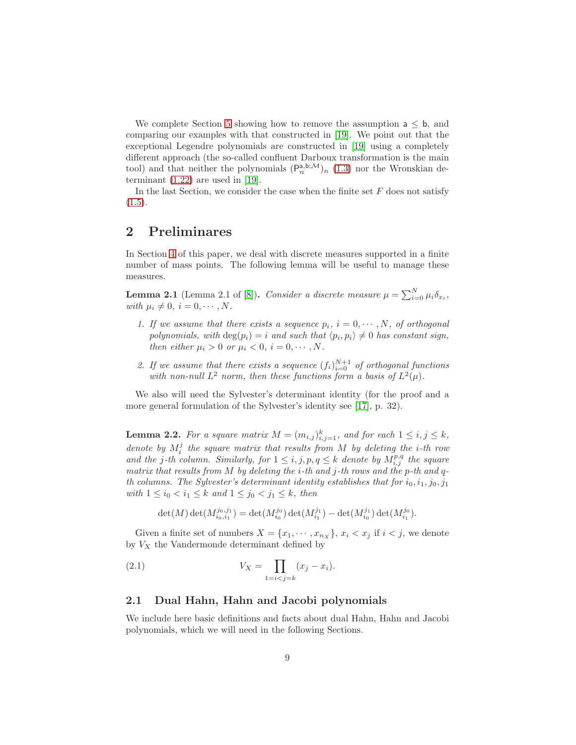We complete Section [5](#page-25-0) showing how to remove the assumption  $a \leq b$ , and comparing our examples with that constructed in [\[19\]](#page-37-5). We point out that the exceptional Legendre polynomials are constructed in [\[19\]](#page-37-5) using a completely different approach (the so-called confluent Darboux transformation is the main tool) and that neither the polynomials  $(P_n^{a,b;M})_n$  [\(1.3\)](#page-6-0) nor the Wronskian determinant  $(1.22)$  are used in [\[19\]](#page-37-5).

In the last Section, we consider the case when the finite set  $F$  does not satisfy  $(1.5).$  $(1.5).$ 

### 2 Preliminares

In Section [4](#page-16-0) of this paper, we deal with discrete measures supported in a finite number of mass points. The following lemma will be useful to manage these measures.

<span id="page-8-1"></span>**Lemma 2.1** (Lemma 2.1 of [\[8\]](#page-36-6)). Consider a discrete measure  $\mu = \sum_{i=0}^{N} \mu_i \delta_{x_i}$ , with  $\mu_i \neq 0, i = 0, \cdots, N$ .

- 1. If we assume that there exists a sequence  $p_i$ ,  $i = 0, \dots, N$ , of orthogonal polynomials, with  $\deg(p_i) = i$  and such that  $\langle p_i, p_i \rangle \neq 0$  has constant sign, then either  $\mu_i > 0$  or  $\mu_i < 0$ ,  $i = 0, \dots, N$ .
- 2. If we assume that there exists a sequence  $(f_i)_{i=0}^{N+1}$  of orthogonal functions with non-null  $L^2$  norm, then these functions form a basis of  $L^2(\mu)$ .

We also will need the Sylvester's determinant identity (for the proof and a more general formulation of the Sylvester's identity see [\[17\]](#page-37-11), p. 32).

<span id="page-8-2"></span>**Lemma 2.2.** For a square matrix  $M = (m_{i,j})_{i,j=1}^k$ , and for each  $1 \le i, j \le k$ , denote by  $M_i^j$  the square matrix that results from M by deleting the *i*-th row and the j-th column. Similarly, for  $1 \leq i, j, p, q \leq k$  denote by  $M_{i,j}^{p,q}$  the square matrix that results from M by deleting the *i*-th and *j*-th rows and the *p*-th and *q*th columns. The Sylvester's determinant identity establishes that for  $i_0, i_1, j_0, j_1$ with  $1 \le i_0 < i_1 \le k$  and  $1 \le j_0 < j_1 \le k$ , then

<span id="page-8-0"></span>
$$
\det(M)\det(M_{i_0,i_1}^{j_0,j_1})=\det(M_{i_0}^{j_0})\det(M_{i_1}^{j_1})-\det(M_{i_0}^{j_1})\det(M_{i_1}^{j_0}).
$$

Given a finite set of numbers  $X = \{x_1, \dots, x_{n_X}\}\$ ,  $x_i < x_j$  if  $i < j$ , we denote by  $V_X$  the Vandermonde determinant defined by

(2.1) 
$$
V_X = \prod_{1=i < j = k} (x_j - x_i).
$$

#### 2.1 Dual Hahn, Hahn and Jacobi polynomials

We include here basic definitions and facts about dual Hahn, Hahn and Jacobi polynomials, which we will need in the following Sections.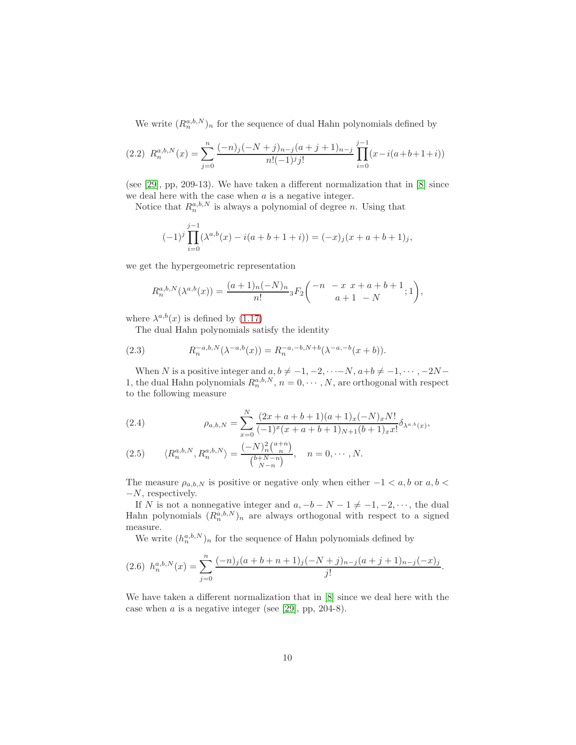We write  $(R_n^{a,b,N})_n$  for the sequence of dual Hahn polynomials defined by

$$
(2.2) \ R_n^{a,b,N}(x) = \sum_{j=0}^n \frac{(-n)_j(-N+j)_{n-j}(a+j+1)_{n-j}}{n!(-1)^j j!} \prod_{i=0}^{j-1} (x - i(a+b+1+i))
$$

(see [\[29\]](#page-38-10), pp, 209-13). We have taken a different normalization that in [\[8\]](#page-36-6) since we deal here with the case when  $a$  is a negative integer.

Notice that  $R_n^{a,b,N}$  is always a polynomial of degree n. Using that

$$
(-1)^{j} \prod_{i=0}^{j-1} (\lambda^{a,b}(x) - i(a+b+1+i)) = (-x)_{j}(x+a+b+1)_{j},
$$

we get the hypergeometric representation

$$
R_n^{a,b,N}(\lambda^{a,b}(x)) = \frac{(a+1)_n(-N)_n}{n!} {}_3F_2\binom{-n-x \ x+a+b+1}{a+1-N};1,
$$

where  $\lambda^{a,b}(x)$  is defined by [\(1.17\)](#page-5-2)

The dual Hahn polynomials satisfy the identity

<span id="page-9-2"></span>(2.3) 
$$
R_n^{-a,b,N}(\lambda^{-a,b}(x)) = R_n^{-a,-b,N+b}(\lambda^{-a,-b}(x+b)).
$$

When N is a positive integer and  $a, b \neq -1, -2, \cdots -N, a+b \neq -1, \cdots, -2N-$ 1, the dual Hahn polynomials  $R_n^{a,b,N}$ ,  $n = 0, \dots, N$ , are orthogonal with respect to the following measure

<span id="page-9-1"></span>(2.4) 
$$
\rho_{a,b,N} = \sum_{x=0}^{N} \frac{(2x+a+b+1)(a+1)_x(-N)_xN!}{(-1)^x(x+a+b+1)_{N+1}(b+1)_xx!} \delta_{\lambda^{a,b}(x)},
$$

(2.5) 
$$
\langle R_n^{a,b,N}, R_n^{a,b,N} \rangle = \frac{(-N)_n^2 \binom{a+n}{n}}{\binom{b+N-n}{N-n}}, \quad n = 0, \cdots, N.
$$

The measure  $\rho_{a,b,N}$  is positive or negative only when either  $-1 < a, b$  or  $a, b < a$  $-V$ , respectively.

If N is not a nonnegative integer and  $a, -b - N - 1 \neq -1, -2, \dots$ , the dual Hahn polynomials  $(R_n^{a,b,N})_n$  are always orthogonal with respect to a signed measure.

We write  $(h_n^{a,b,N})_n$  for the sequence of Hahn polynomials defined by

<span id="page-9-0"></span>
$$
(2.6) \ \ h_n^{a,b,N}(x) = \sum_{j=0}^n \frac{(-n)_j(a+b+n+1)_j(-N+j)_{n-j}(a+j+1)_{n-j}(-x)_j}{j!}.
$$

We have taken a different normalization that in [\[8\]](#page-36-6) since we deal here with the case when  $a$  is a negative integer (see [\[29\]](#page-38-10), pp, 204-8).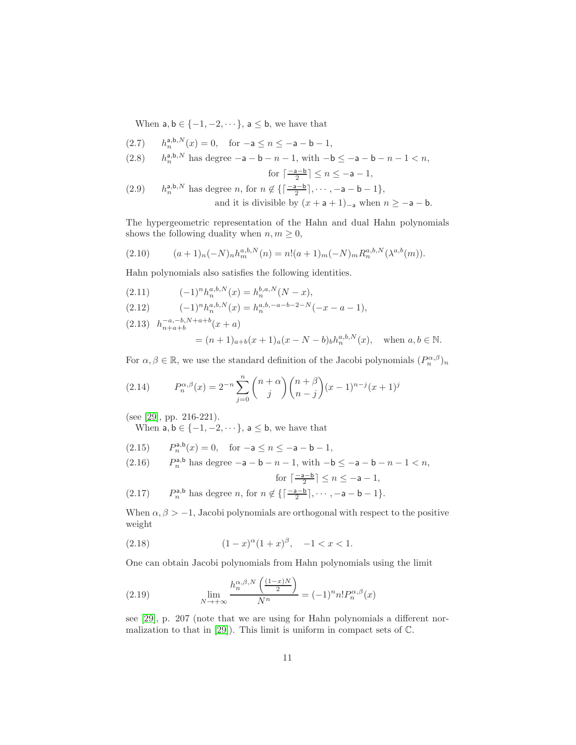When  $a, b \in \{-1, -2, \dots\}$ ,  $a \leq b$ , we have that

(2.7) 
$$
h_n^{a,b,N}(x) = 0
$$
, for  $-a \le n \le -a - b - 1$ ,

(2.8) 
$$
h_n^{a,b,N}
$$
 has degree  $-a - b - n - 1$ , with  $-b \le -a - b - n - 1 < n$ ,

for 
$$
\left\lceil \frac{-a-b}{2} \right\rceil \le n \le -a-1
$$
,  
(2.0) *i.e.*, *b*, *N* has degree *n*, for *n* of  $\left\lceil \frac{-a-b}{2} \right\rceil$  and *n* is a *n* - 1.

<span id="page-10-4"></span>(2.9) 
$$
h_n^{a,b,N}
$$
 has degree *n*, for  $n \notin \left\{ \left\lceil \frac{-a-b}{2} \right\rceil, \cdots, -a-b-1 \right\}$ , and it is divisible by  $(x + a + 1)_{-a}$  when  $n \ge -a - b$ .

The hypergeometric representation of the Hahn and dual Hahn polynomials shows the following duality when  $n, m \geq 0$ ,

<span id="page-10-3"></span>(2.10) 
$$
(a+1)n(-N)nhma,b,N(n) = n!(a+1)m(-N)mRna,b,N(\lambdaa,b(m)).
$$

Hahn polynomials also satisfies the following identities.

(2.11) 
$$
(-1)^n h_n^{a,b,N}(x) = h_n^{b,a,N}(N-x),
$$

$$
(2.12) \qquad (-1)^n h_n^{a,b,N}(x) = h_n^{a,b,-a-b-2-N}(-x-a-1),
$$

<span id="page-10-2"></span> $(2.13)$   $h_{n+a+b}^{-a,-b,N+a+b}(x+a)$  $=(n+1)_{a+b}(x+1)_{a}(x-N-b)_{b}h_{n}^{a,b,N}(x), \text{ when } a, b \in \mathbb{N}.$ 

For  $\alpha, \beta \in \mathbb{R}$ , we use the standard definition of the Jacobi polynomials  $(P_n^{\alpha,\beta})_n$ 

<span id="page-10-0"></span>(2.14) 
$$
P_n^{\alpha,\beta}(x) = 2^{-n} \sum_{j=0}^n {n+\alpha \choose j} {n+\beta \choose n-j} (x-1)^{n-j} (x+1)^j
$$

(see [\[29\]](#page-38-10), pp. 216-221).

When  $a, b \in \{-1, -2, \dots\}$ ,  $a \leq b$ , we have that

(2.15)  $P_n^{a,b}(x) = 0$ , for  $-a \le n \le -a - b - 1$ ,

(2.16) 
$$
P_n^{\mathsf{a},\mathsf{b}}
$$
 has degree  $-\mathsf{a}-\mathsf{b}-n-1$ , with  $-\mathsf{b} \le -\mathsf{a}-\mathsf{b}-n-1 < n$ ,

$$
\text{for } \lceil \frac{-a-b}{2} \rceil \le n \le -a-1,
$$
\n
$$
\text{(2.17)} \qquad P_n^{\mathsf{a},\mathsf{b}} \text{ has degree } n, \text{ for } n \notin \{ \lceil \frac{-a-b}{2} \rceil, \cdots, -a-b-1 \}.
$$

When  $\alpha, \beta > -1$ , Jacobi polynomials are orthogonal with respect to the positive weight

(2.18) 
$$
(1-x)^{\alpha}(1+x)^{\beta}, -1 < x < 1.
$$

One can obtain Jacobi polynomials from Hahn polynomials using the limit

<span id="page-10-1"></span>(2.19) 
$$
\lim_{N \to +\infty} \frac{h_n^{\alpha,\beta,N}\left(\frac{(1-x)N}{2}\right)}{N^n} = (-1)^n n! P_n^{\alpha,\beta}(x)
$$

see [\[29\]](#page-38-10), p. 207 (note that we are using for Hahn polynomials a different normalization to that in [\[29\]](#page-38-10)). This limit is uniform in compact sets of C.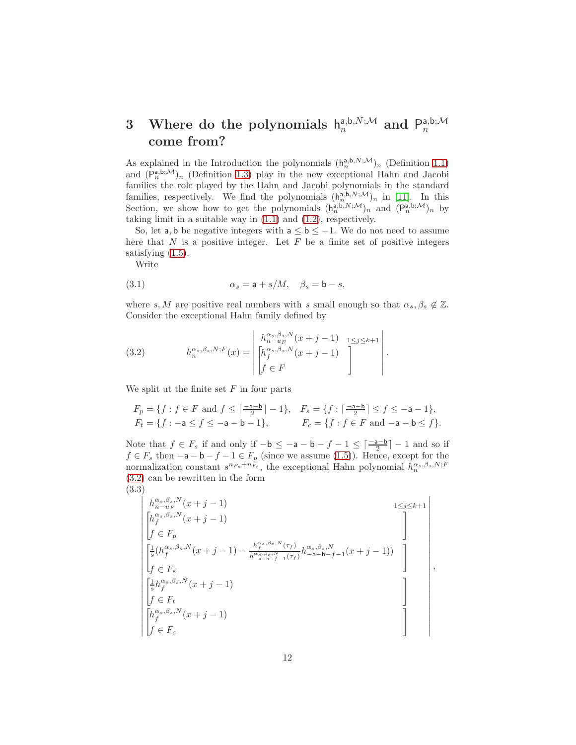#### <span id="page-11-0"></span>3 Where do the polynomials  $h_n^{a,b,N;\mathcal{M}}$  and  $P_n^{a,b;\mathcal{M}}$ n come from?

As explained in the Introduction the polynomials  $(h_n^{a,b,N;M})_n$  (Definition [1.1\)](#page-3-0) and  $(P_n^{a,b;M})_n$  (Definition [1.3\)](#page-6-0) play in the new exceptional Hahn and Jacobi families the role played by the Hahn and Jacobi polynomials in the standard families, respectively. We find the polynomials  $(h_n^{a,b,N;M})_n$  in [\[11\]](#page-37-6). In this Section, we show how to get the polynomials  $(h_n^{a,b,N;M})_n$  and  $(P_n^{a,b;M})_n$  by taking limit in a suitable way in [\(1.1\)](#page-1-0) and [\(1.2\)](#page-1-1), respectively.

So, let a, b be negative integers with  $a \le b \le -1$ . We do not need to assume here that  $N$  is a positive integer. Let  $F$  be a finite set of positive integers satisfying  $(1.5)$ .

Write

(3.1) 
$$
\alpha_s = \mathsf{a} + s/M, \quad \beta_s = \mathsf{b} - s,
$$

where s, M are positive real numbers with s small enough so that  $\alpha_s, \beta_s \notin \mathbb{Z}$ . Consider the exceptional Hahn family defined by

<span id="page-11-1"></span>(3.2) 
$$
h_n^{\alpha_s, \beta_s, N;F}(x) = \begin{vmatrix} h_{n-u_F}^{\alpha_s, \beta_s, N}(x+j-1) & 1 \leq j \leq k+1 \\ h_f^{\alpha_s, \beta_s, N}(x+j-1) & f \in F \end{vmatrix}.
$$

We split ut the finite set  $F$  in four parts

$$
F_p = \{ f : f \in F \text{ and } f \le \lceil \frac{-a-b}{2} \rceil - 1 \}, \quad F_s = \{ f : \lceil \frac{-a-b}{2} \rceil \le f \le -a - 1 \},
$$
  
\n
$$
F_t = \{ f : -a \le f \le -a - b - 1 \}, \quad F_c = \{ f : f \in F \text{ and } -a - b \le f \}.
$$

Note that  $f \in F_s$  if and only if  $-b \le -a - b - f - 1 \le \lceil \frac{-a-b}{2} \rceil - 1$  and so if  $f \in F_s$  then  $-a-b-f-1 \in F_p$  (since we assume [\(1.5\)](#page-2-0)). Hence, except for the normalization constant  $s^{n_{F_s}+n_{F_t}}$ , the exceptional Hahn polynomial  $h_n^{\alpha_s,\beta_s,N;F_t}$ [\(3.2\)](#page-11-1) can be rewritten in the form (3.3)

<span id="page-11-2"></span>
$$
\begin{vmatrix}\nh_{n-uf}^{\alpha_s,\beta_s,N}(x+j-1) & & & & 1 \leq j \leq k+1 \\
h_f^{\alpha_s,\beta_s,N}(x+j-1) & & & & \\
f \in F_p & & & & \\
\frac{1}{s}(h_f^{\alpha_s,\beta_s,N}(x+j-1) - \frac{h_f^{\alpha_s,\beta_s,N}(\tau_f)}{h_{-a-b-f-1}^{\alpha_s,\beta_s,N}(\tau_f)}h_{-a-b-f-1}^{\alpha_s,\beta_s,N}(x+j-1)) \\
f \in F_s & & & \\
\frac{1}{s}h_f^{\alpha_s,\beta_s,N}(x+j-1) & & & \\
f \in F_t & & & \\
\frac{h_f^{\alpha_s,\beta_s,N}(x+j-1)}{f \in F_c} & & & \n\end{vmatrix},
$$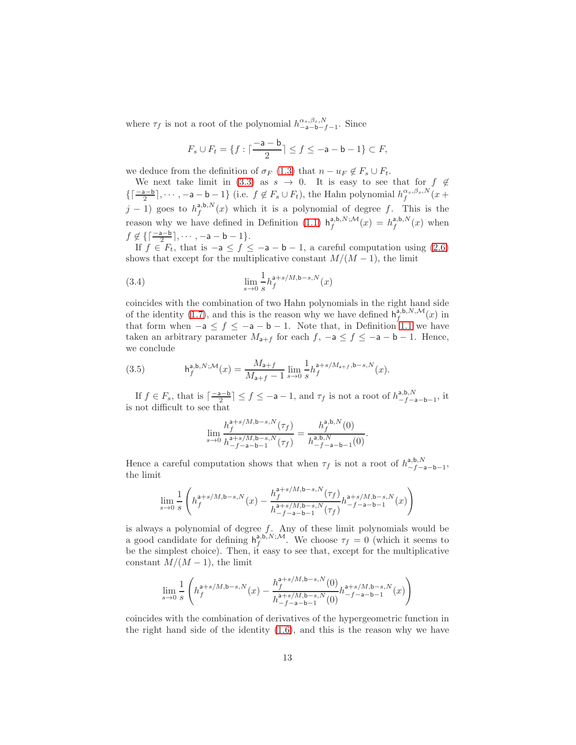where  $\tau_f$  is not a root of the polynomial  $h_{-\mathbf{a}-\mathbf{b}-f-1}^{\alpha_s,\beta_s,N}$ . Since

$$
F_s \cup F_t = \{ f : \lceil \frac{-a - b}{2} \rceil \le f \le -a - b - 1 \} \subset F,
$$

we deduce from the definition of  $\sigma_F$  [\(1.3\)](#page-1-2) that  $n - u_F \notin F_s \cup F_t$ .

We next take limit in [\(3.3\)](#page-11-2) as  $s \to 0$ . It is easy to see that for  $f \notin \mathcal{L}$  $\left\{ \left\lceil \frac{-a-b}{2} \right\rceil, \cdots, -a-b-1 \right\}$  (i.e.  $f \notin F_s \cup F_t$ ), the Hahn polynomial  $h_f^{\alpha_s,\beta_s,N}(x+b)$  $j-1$ ) goes to  $h_f^{a,b,N}(x)$  which it is a polynomial of degree f. This is the reason why we have defined in Definition [\(1.1\)](#page-3-0)  $h_f^{a,b,N;M}(x) = h_f^{a,b,N}(x)$  when  $f \notin \{ \lceil \frac{-a-b}{2} \rceil, \cdots, -a-b-1 \}.$ 

If  $f \in F_t$ , that is  $-a \le f \le -a - b - 1$ , a careful computation using [\(2.6\)](#page-9-0) shows that except for the multiplicative constant  $M/(M-1)$ , the limit

(3.4) 
$$
\lim_{s \to 0} \frac{1}{s} h_f^{a+s/M, b-s, N}(x)
$$

coincides with the combination of two Hahn polynomials in the right hand side of the identity [\(1.7\)](#page-3-1), and this is the reason why we have defined  $h_f^{a,b,N,M}(x)$  in that form when  $-a \leq f \leq -a - b - 1$ . Note that, in Definition [1.1](#page-3-0) we have taken an arbitrary parameter  $M_{a+f}$  for each  $f, -a \le f \le -a - b - 1$ . Hence, we conclude

(3.5) 
$$
h_f^{a,b,N;\mathcal{M}}(x) = \frac{M_{a+f}}{M_{a+f}-1} \lim_{s \to 0} \frac{1}{s} h_f^{a+s/M_{a+f},b-s,N}(x).
$$

If  $f \in F_s$ , that is  $\lceil \frac{-a-b}{2} \rceil \le f \le -a-1$ , and  $\tau_f$  is not a root of  $h^{a,b,N}_{-f-a-b-1}$ , it is not difficult to see that

$$
\lim_{s\to 0}\frac{h_f^{\mathsf{a}+s/M, \mathsf{b}-s,N}(\tau_f)}{h_{-f-\mathsf{a}-\mathsf{b}-1}^{\mathsf{a}+s/M, \mathsf{b}-s,N}(\tau_f)}=\frac{h_f^{\mathsf{a},\mathsf{b},N}(0)}{h_{-f-\mathsf{a}-\mathsf{b}-1}^{\mathsf{a},\mathsf{b},N}(0)}.
$$

Hence a careful computation shows that when  $\tau_f$  is not a root of  $h^{a,b,N}_{-f-a-b-1}$ , the limit

$$
\lim_{s\rightarrow 0}\frac{1}{s}\left(h_{f}^{\mathsf{a}+s/M, \mathsf{b}-s,N}(x)-\frac{h_{f}^{\mathsf{a}+s/M, \mathsf{b}-s,N}(\tau_{f})}{h_{-f-\mathsf{a}-\mathsf{b}-1}^{\mathsf{a}+s/M, \mathsf{b}-s,N}(\tau_{f})}h_{-f-\mathsf{a}-\mathsf{b}-1}^{\mathsf{a}+s/M, \mathsf{b}-s,N}(x)\right)
$$

is always a polynomial of degree  $f$ . Any of these limit polynomials would be a good candidate for defining  $h_f^{a,b,N;M}$ . We choose  $\tau_f = 0$  (which it seems to be the simplest choice). Then, it easy to see that, except for the multiplicative constant  $M/(M-1)$ , the limit

$$
\lim_{s\to 0} \frac{1}{s} \left( h_f^{\mathsf{a}+s/M, \mathsf{b}-s,N}(x) - \frac{h_f^{\mathsf{a}+s/M, \mathsf{b}-s,N}(0)}{h_{-f-\mathsf{a}-\mathsf{b}-1}^{\mathsf{a}+s/M, \mathsf{b}-s,N}(0)} h_{-f-\mathsf{a}-\mathsf{b}-1}^{\mathsf{a}+s/M, \mathsf{b}-s,N}(x) \right)
$$

coincides with the combination of derivatives of the hypergeometric function in the right hand side of the identity [\(1.6\)](#page-3-2), and this is the reason why we have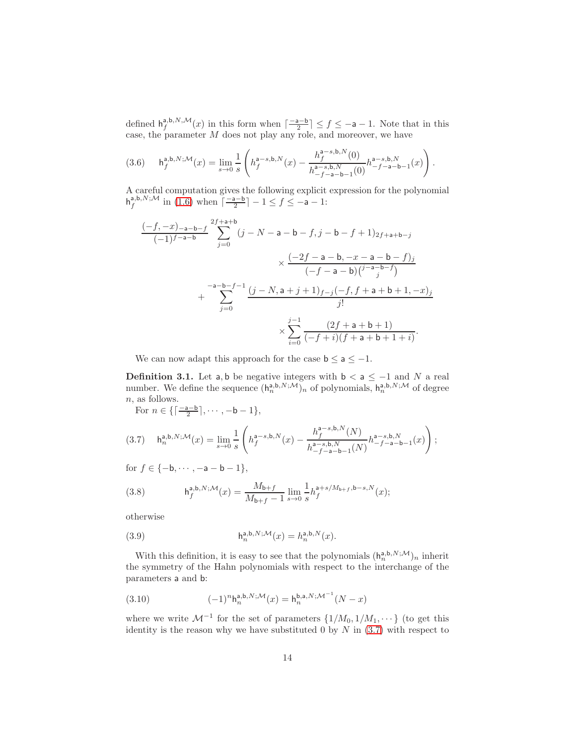defined  $h_f^{a,b,N,M}(x)$  in this form when  $\lceil \frac{-a-b}{2} \rceil \le f \le -a-1$ . Note that in this case, the parameter M does not play any role, and moreover, we have

<span id="page-13-1"></span>
$$
(3.6) \qquad {\sf h}^{{\sf a}, {\sf b}, N; \mathcal{M}}_{f}(x) = \lim_{s \to 0} \frac{1}{s} \left( h^{{\sf a}-s, {\sf b}, N}_{f}(x) - \frac{h^{{\sf a}-s, {\sf b}, N}_{f}(0)}{h^{{\sf a}-s, {\sf b}, N}_{-f-{\sf a}-{\sf b}-1}(0)} h^{{\sf a}-s, {\sf b}, N}_{-f-{\sf a}-{\sf b}-1}(x) \right).
$$

A careful computation gives the following explicit expression for the polynomial  $h_f^{a,b,N;M}$  in [\(1.6\)](#page-3-2) when  $\lceil \frac{-a-b}{2} \rceil - 1 \le f \le -a - 1$ :

$$
\frac{(-f, -x)_{-a-b-f}}{(-1)^{f-a-b}} \sum_{j=0}^{2f+a+b} (j - N - a - b - f, j - b - f + 1)_{2f+a+b-j}
$$
  

$$
\times \frac{(-2f - a - b, -x - a - b - f)_j}{(-f - a - b) {j-a-b-f \choose j}} + \sum_{j=0}^{-a-b-f-1} \frac{(j - N, a+j+1)_{f-j}(-f, f+a+b+1, -x)_j}{j!}
$$
  

$$
\times \sum_{i=0}^{j-1} \frac{(2f+a+b+1)}{(-f+i)(f+a+b+1+i)}.
$$

We can now adapt this approach for the case  $b \le a \le -1$ .

<span id="page-13-3"></span>**Definition 3.1.** Let a, b be negative integers with  $b < a \leq -1$  and N a real number. We define the sequence  $(h_n^{a,b,N;\mathcal{M}})_n$  of polynomials,  $h_n^{a,b,N;\mathcal{M}}$  of degree n, as follows.

For  $n \in \{ \lceil \frac{-a-b}{2} \rceil, \cdots, -b-1 \}$ ,

<span id="page-13-0"></span>
$$
(3.7) \quad \mathsf{h}^{\mathsf{a},\mathsf{b},N;\mathcal{M}}_n(x) = \lim_{s \to 0} \frac{1}{s} \left( h_f^{\mathsf{a}-s,\mathsf{b},N}(x) - \frac{h_f^{\mathsf{a}-s,\mathsf{b},N}(N)}{h_{-f-\mathsf{a}-\mathsf{b}-1}^{a-s,\mathsf{b},N}(N)} h_{-f-\mathsf{a}-\mathsf{b}-1}^{\mathsf{a}-s,\mathsf{b},N}(x) \right);
$$

for  $f \in \{-b, \dots, -a - b - 1\},\$ 

(3.8) 
$$
\mathsf{h}_f^{\mathsf{a},\mathsf{b},N;\mathcal{M}}(x) = \frac{M_{\mathsf{b}+f}}{M_{\mathsf{b}+f}-1} \lim_{s \to 0} \frac{1}{s} h_f^{\mathsf{a}+s/M_{\mathsf{b}+f},\mathsf{b}-s,N}(x);
$$

otherwise

(3.9) 
$$
\mathsf{h}_n^{\mathsf{a},\mathsf{b},N;\mathcal{M}}(x) = h_n^{\mathsf{a},\mathsf{b},N}(x).
$$

With this definition, it is easy to see that the polynomials  $(h_n^{a,b,N;\mathcal{M}})_n$  inherit the symmetry of the Hahn polynomials with respect to the interchange of the parameters a and b:

<span id="page-13-2"></span>(3.10) 
$$
(-1)^n \mathsf{h}_n^{\mathsf{a},\mathsf{b},N;\mathcal{M}}(x) = \mathsf{h}_n^{\mathsf{b},\mathsf{a},N;\mathcal{M}^{-1}}(N-x)
$$

where we write  $\mathcal{M}^{-1}$  for the set of parameters  $\{1/M_0, 1/M_1, \dots\}$  (to get this identity is the reason why we have substituted 0 by  $N$  in  $(3.7)$  with respect to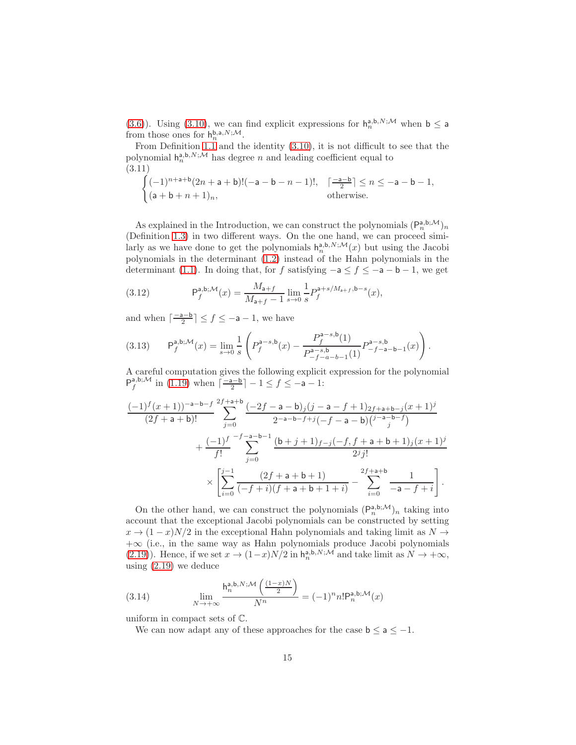[\(3.6\)](#page-13-1)). Using [\(3.10\)](#page-13-2), we can find explicit expressions for  $h_n^{a,b,N;\mathcal{M}}$  when  $b \le a$ from those ones for  $h_n^{b,a,N;\mathcal{M}}$ .

From Definition [1.1](#page-3-0) and the identity  $(3.10)$ , it is not difficult to see that the polynomial  $h_n^{a,b,N;\mathcal{M}}$  has degree n and leading coefficient equal to (3.11)

<span id="page-14-0"></span>
$$
\begin{cases}\n(-1)^{n+a+b}(2n+a+b)!(-a-b-n-1)!, & \lceil \frac{-a-b}{2} \rceil \le n \le -a-b-1, \\
(a+b+n+1)_n, & \text{otherwise.}\n\end{cases}
$$

As explained in the Introduction, we can construct the polynomials  $(P_n^{a,b;\mathcal{M}})_n$ (Definition [1.3\)](#page-6-0) in two different ways. On the one hand, we can proceed similarly as we have done to get the polynomials  $h_n^{a,b,N;M}(x)$  but using the Jacobi polynomials in the determinant [\(1.2\)](#page-1-1) instead of the Hahn polynomials in the determinant [\(1.1\)](#page-1-0). In doing that, for f satisfying  $-a \le f \le -a - b - 1$ , we get

(3.12) 
$$
\mathsf{P}_f^{\mathsf{a},\mathsf{b};\mathcal{M}}(x) = \frac{M_{\mathsf{a}+f}}{M_{\mathsf{a}+f}-1} \lim_{s \to 0} \frac{1}{s} P_f^{\mathsf{a}+s/M_{\mathsf{a}+f},\mathsf{b}-s}(x),
$$

and when  $\lceil \frac{-\mathsf{a} - \mathsf{b}}{2} \rceil \leq f \leq -\mathsf{a} - 1$ , we have

$$
(3.13) \qquad \mathsf{P}^{\mathsf{a},\mathsf{b};\mathcal{M}}_f(x) = \lim_{s \to 0} \frac{1}{s} \left( P^{\mathsf{a}-s,\mathsf{b}}_f(x) - \frac{P^{\mathsf{a}-s,\mathsf{b}}_f(1)}{P^{\mathsf{a}-s,\mathsf{b}}_{-f-a-b-1}(1)} P^{\mathsf{a}-s,\mathsf{b}}_{-f-a-b-1}(x) \right).
$$

A careful computation gives the following explicit expression for the polynomial  $P_f^{a,b;M}$  in [\(1.19\)](#page-6-1) when  $\left\lceil \frac{-a-b}{2} \right\rceil - 1 \le f \le -a - 1$ :

$$
\frac{(-1)^{f}(x+1))^{-a-b-f}}{(2f+a+b)!} \sum_{j=0}^{2f+a+b} \frac{(-2f-a-b)_{j}(j-a-f+1)_{2f+a+b-j}(x+1)^{j}}{2^{-a-b-f+j}(-f-a-b) {j-a-b-f \choose j}} + \frac{(-1)^{f}}{f!} \sum_{j=0}^{-f-a-b-1} \frac{(b+j+1)_{f-j}(-f,f+a+b+1)_{j}(x+1)^{j}}{2^{j}j!} \times \left[ \sum_{i=0}^{j-1} \frac{(2f+a+b+1)}{(-f+i)(f+a+b+1+i)} - \sum_{i=0}^{2f+a+b} \frac{1}{-a-f+i} \right].
$$

On the other hand, we can construct the polynomials  $(P_n^{a,b;\mathcal{M}})_n$  taking into account that the exceptional Jacobi polynomials can be constructed by setting  $x \to (1-x)N/2$  in the exceptional Hahn polynomials and taking limit as  $N \to$ +∞ (i.e., in the same way as Hahn polynomials produce Jacobi polynomials [\(2.19\)](#page-10-1)). Hence, if we set  $x \to (1-x)N/2$  in  $h_n^{a,b,N;\mathcal{M}}$  and take limit as  $N \to +\infty$ , using [\(2.19\)](#page-10-1) we deduce

(3.14) 
$$
\lim_{N \to +\infty} \frac{\mathsf{h}_n^{\mathsf{a},\mathsf{b},N;\mathcal{M}}\left(\frac{(1-x)N}{2}\right)}{N^n} = (-1)^n n! \mathsf{P}_n^{\mathsf{a},\mathsf{b};\mathcal{M}}(x)
$$

uniform in compact sets of C.

<span id="page-14-1"></span>We can now adapt any of these approaches for the case  $b \le a \le -1$ .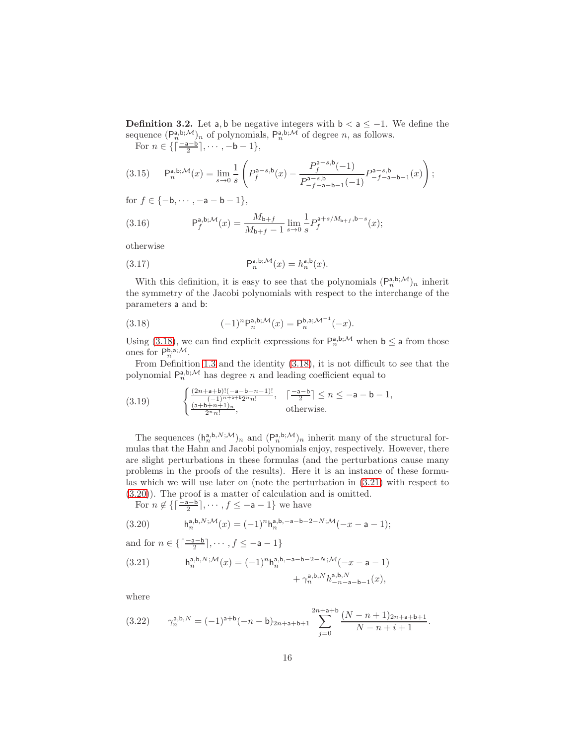<span id="page-15-4"></span>**Definition 3.2.** Let a, b be negative integers with  $b < a \leq -1$ . We define the sequence  $(P_n^{a,b;\mathcal{M}})_n$  of polynomials,  $P_n^{a,b;\mathcal{M}}$  of degree n, as follows.

For  $n \in \{\lceil \frac{n-a-b}{2} \rceil, \cdots, -b-1\},\}$ 

$$
(3.15) \qquad \mathsf{P}^{\mathsf{a},\mathsf{b};\mathcal{M}}_n(x) = \lim_{s \to 0} \frac{1}{s} \left( P^{\mathsf{a}-s,\mathsf{b}}_f(x) - \frac{P^{\mathsf{a}-s,\mathsf{b}}_f(-1)}{P^{\mathsf{a}-s,\mathsf{b}}_{-f-\mathsf{a}-\mathsf{b}-1}(-1)} P^{\mathsf{a}-s,\mathsf{b}}_{-f-\mathsf{a}-\mathsf{b}-1}(x) \right);
$$

for  $f \in \{-b, \dots, -a - b - 1\},\$ 

(3.16) 
$$
P_f^{a,b; \mathcal{M}}(x) = \frac{M_{b+f}}{M_{b+f} - 1} \lim_{s \to 0} \frac{1}{s} P_f^{a+s/M_{b+f}, b-s}(x);
$$

otherwise

(3.17) 
$$
\mathsf{P}_n^{\mathsf{a},\mathsf{b};\mathcal{M}}(x) = h_n^{\mathsf{a},\mathsf{b}}(x).
$$

With this definition, it is easy to see that the polynomials  $(P_n^{a,b;\mathcal{M}})_n$  inherit the symmetry of the Jacobi polynomials with respect to the interchange of the parameters a and b:

<span id="page-15-0"></span>(3.18) 
$$
(-1)^n P_n^{\mathbf{a},\mathbf{b};\mathcal{M}}(x) = P_n^{\mathbf{b},\mathbf{a};\mathcal{M}^{-1}}(-x).
$$

Using [\(3.18\)](#page-15-0), we can find explicit expressions for  $P_n^{a,b;\mathcal{M}}$  when  $b \le a$  from those ones for  $P_n^{\mathsf{b},\mathsf{a};\mathcal{M}}$ .

From Definition [1.3](#page-6-0) and the identity [\(3.18\)](#page-15-0), it is not difficult to see that the polynomial  $P_n^{a,b;\mathcal{M}}$  has degree n and leading coefficient equal to

<span id="page-15-5"></span>(3.19) 
$$
\begin{cases} \frac{(2n+a+b)!(-a-b-n-1)!}{(-1)^{n+a+b}2^{n}n!}, & \left\lceil \frac{-a-b}{2} \right\rceil \le n \le -a-b-1, \\ \frac{(a+b+n+1)_{n}}{2^{n}n!}, & \text{otherwise.} \end{cases}
$$

The sequences  $(h_n^{a,b,N;\mathcal{M}})_n$  and  $(P_n^{a,b;\mathcal{M}})_n$  inherit many of the structural formulas that the Hahn and Jacobi polynomials enjoy, respectively. However, there are slight perturbations in these formulas (and the perturbations cause many problems in the proofs of the results). Here it is an instance of these formulas which we will use later on (note the perturbation in [\(3.21\)](#page-15-1) with respect to [\(3.20\)](#page-15-2)). The proof is a matter of calculation and is omitted.

For  $n \notin \left\{ \left\lceil \frac{-a-b}{2} \right\rceil, \cdots, f \leq -a-1 \right\}$  we have

<span id="page-15-2"></span>(3.20) 
$$
h_n^{a,b,N;M}(x) = (-1)^n h_n^{a,b,-a-b-2-N;M}(-x-a-1);
$$

<span id="page-15-1"></span>and for  $n \in \{ \lceil \frac{-a-b}{2} \rceil, \cdots, f \leq -a-1 \}$ (3.21)  $h_n^{a,b,N;\mathcal{M}}(x) = (-1)^n h_n^{a,b,-a-b-2-N;\mathcal{M}}(-x-a-1)$  $+\left.\gamma_n^{\mathsf{a},\mathsf{b},N}h_{-n-\mathsf{a}-\mathsf{b}-1}^{\mathsf{a},\mathsf{b},N}(x),\right.\\$ 

where

<span id="page-15-3"></span>
$$
(3.22) \qquad \gamma_n^{\mathsf{a},\mathsf{b},N} = (-1)^{\mathsf{a}+\mathsf{b}}(-n-\mathsf{b})_{2n+\mathsf{a}+\mathsf{b}+1} \sum_{j=0}^{2n+\mathsf{a}+\mathsf{b}} \frac{(N-n+1)_{2n+\mathsf{a}+\mathsf{b}+1}}{N-n+i+1}.
$$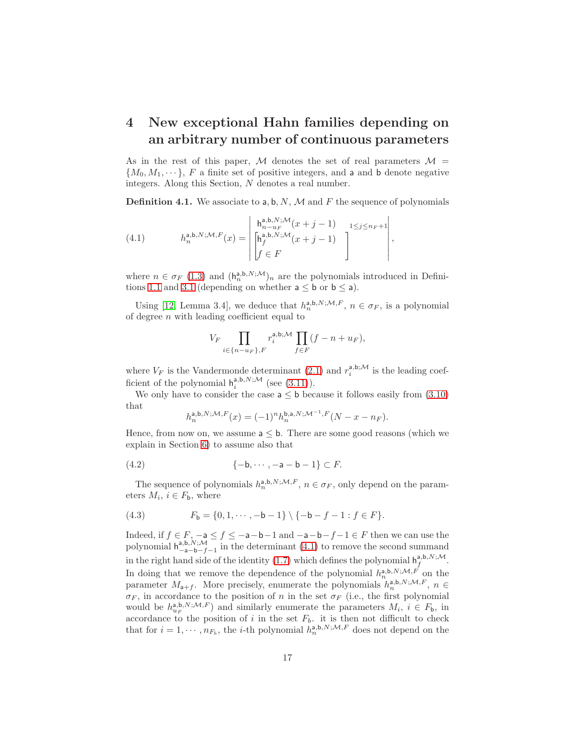### <span id="page-16-0"></span>4 New exceptional Hahn families depending on an arbitrary number of continuous parameters

As in the rest of this paper, M denotes the set of real parameters  $\mathcal{M} =$  ${M_0, M_1, \dots}$ , F a finite set of positive integers, and a and b denote negative integers. Along this Section, N denotes a real number.

<span id="page-16-2"></span>**Definition 4.1.** We associate to a, b, N, M and F the sequence of polynomials

<span id="page-16-1"></span>(4.1) 
$$
h_n^{a,b,N;\mathcal{M},F}(x) = \begin{vmatrix} h_{n-u_F}^{a,b,N;\mathcal{M}}(x+j-1) & 1 \leq j \leq n_F + 1 \\ \begin{bmatrix} h_j^{a,b,N;\mathcal{M}}(x+j-1) \\ f \in F \end{bmatrix} \end{vmatrix},
$$

where  $n \in \sigma_F$  [\(1.3\)](#page-1-2) and  $(h_n^{a,b,N;M})_n$  are the polynomials introduced in Defini-tions [1.1](#page-3-0) and [3.1](#page-13-3) (depending on whether  $a \leq b$  or  $b \leq a$ ).

Using [\[12,](#page-37-7) Lemma 3.4], we deduce that  $h_n^{a,b,N;\mathcal{M},F}$ ,  $n \in \sigma_F$ , is a polynomial of degree  $n$  with leading coefficient equal to

$$
V_F \prod_{i \in \{n-u_F\}, F} r_i^{a, b; \mathcal{M}} \prod_{f \in F} (f - n + u_F),
$$

where  $V_F$  is the Vandermonde determinant [\(2.1\)](#page-8-0) and  $r_i^{a,b;\mathcal{M}}$  is the leading coefficient of the polynomial  $h_i^{a,b,N;\mathcal{M}}$  (see  $(3.11)$ ).

We only have to consider the case  $a \leq b$  because it follows easily from  $(3.10)$ that

$$
h_n^{\mathsf{a},\mathsf{b},N;\mathcal{M},F}(x) = (-1)^n h_n^{\mathsf{b},\mathsf{a},N;\mathcal{M}^{-1},F}(N-x-n_F).
$$

Hence, from now on, we assume  $a \leq b$ . There are some good reasons (which we explain in Section [6\)](#page-35-0) to assume also that

$$
(4.2) \qquad \qquad \{-\mathsf{b}, \cdots, -\mathsf{a}-\mathsf{b}-1\} \subset F.
$$

The sequence of polynomials  $h_n^{a,b,N;\mathcal{M},F}$ ,  $n \in \sigma_F$ , only depend on the parameters  $M_i$ ,  $i \in F_b$ , where

<span id="page-16-3"></span>(4.3) 
$$
F_{\mathsf{b}} = \{0, 1, \cdots, -\mathsf{b} - 1\} \setminus \{-\mathsf{b} - f - 1 : f \in F\}.
$$

Indeed, if  $f \in F$ ,  $-a \le f \le -a-b-1$  and  $-a-b-f-1 \in F$  then we can use the polynomial  $h_{-a-b-f-1}^{a,b,N;M}$  in the determinant [\(4.1\)](#page-16-1) to remove the second summand in the right hand side of the identity [\(1.7\)](#page-3-1) which defines the polynomial  $h_f^{a,b,N;M}$ . f In doing that we remove the dependence of the polynomial  $h_n^{\mathsf{a},\mathsf{b},N;\mathcal{M},F}$  on the parameter  $M_{a+f}$ . More precisely, enumerate the polynomials  $h_n^{a,b,N;\mathcal{M},F}$ ,  $n \in$  $\sigma_F$ , in accordance to the position of n in the set  $\sigma_F$  (i.e., the first polynomial would be  $h_{u_F}^{\mathsf{a},\mathsf{b},N;\mathcal{M},F}$  and similarly enumerate the parameters  $M_i, i \in F_\mathsf{b}$ , in accordance to the position of i in the set  $F_b$ . it is then not difficult to check that for  $i = 1, \dots, n_{F_b}$ , the *i*-th polynomial  $h_n^{a,b,N;\mathcal{M},F}$  does not depend on the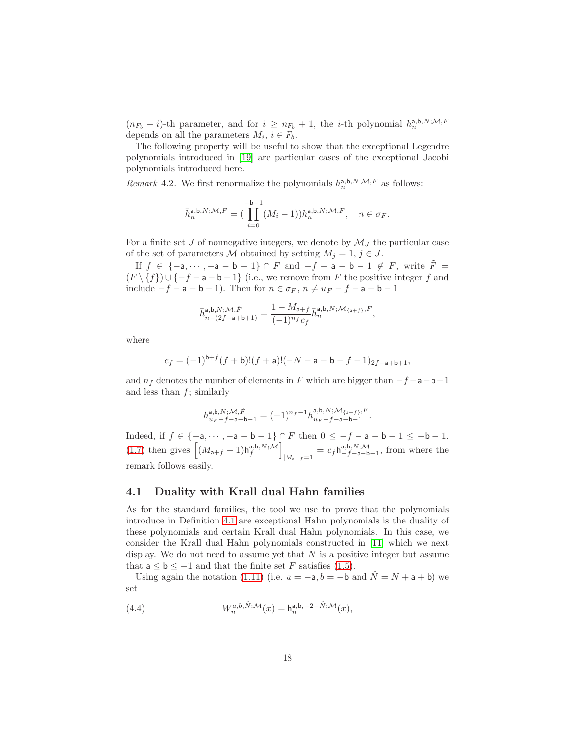$(n_{F_b} - i)$ -th parameter, and for  $i \ge n_{F_b} + 1$ , the *i*-th polynomial  $h_n^{a,b,N;M,F}$ depends on all the parameters  $M_i$ ,  $i \in F_b$ .

The following property will be useful to show that the exceptional Legendre polynomials introduced in [\[19\]](#page-37-5) are particular cases of the exceptional Jacobi polynomials introduced here.

<span id="page-17-1"></span>Remark 4.2. We first renormalize the polynomials  $h_n^{a,b,N;\mathcal{M},F}$  as follows:

$$
\bar{h}_n^{\mathsf{a},\mathsf{b},N;\mathcal{M},F} = \big(\prod_{i=0}^{-\mathsf{b}-1}(M_i-1))h_n^{\mathsf{a},\mathsf{b},N;\mathcal{M},F}, \quad n \in \sigma_F.
$$

For a finite set J of nonnegative integers, we denote by  $\mathcal{M}_J$  the particular case of the set of parameters M obtained by setting  $M_i = 1, j \in J$ .

If  $f \in \{-a, \dots, -a - b - 1\} \cap F$  and  $-f - a - b - 1 \notin F$ , write  $\tilde{F} =$  $(F \setminus \{f\}) \cup \{-f - a - b - 1\}$  (i.e., we remove from F the positive integer f and include  $-f - a - b - 1$ ). Then for  $n \in \sigma_F$ ,  $n \neq u_F - f - a - b - 1$ 

$$
\bar{h}_{n-(2f+\mathsf{a}+\mathsf{b}+1)}^{\mathsf{a},\mathsf{b},N;\mathcal{M},\tilde{F}}=\frac{1-M_{\mathsf{a}+f}}{(-1)^{n_f}c_f}\bar{h}_n^{\mathsf{a},\mathsf{b},N;\mathcal{M}_{\{\mathsf{a}+f\}},F},
$$

where

$$
c_f = (-1)^{b+f} (f+b)!(f+a)!(-N-a-b-f-1)_{2f+a+b+1},
$$

and  $n_f$  denotes the number of elements in F which are bigger than  $-f-a-b-1$ and less than  $f$ ; similarly

$$
h_{u_F-f-a-b-1}^{\mathsf{a},\mathsf{b},N;\mathcal{M},\tilde{F}}=(-1)^{n_f-1}h_{u_F-f-a-b-1}^{\mathsf{a},\mathsf{b},N;\bar{\mathcal{M}}_{\{\mathsf{a}+f\},F}}.
$$

Indeed, if  $f \in \{-a, \dots, -a - b - 1\} \cap F$  then  $0 \le -f - a - b - 1 \le -b - 1$ . [\(1.7\)](#page-3-1) then gives  $\left[ (M_{\mathsf{a}+f} - 1) \mathsf{h}^{\mathsf{a},\mathsf{b},N;\mathcal{M}}_f \right]$  $|M_{a+f}=1$  =  $c_f \mathsf{h}_{-f-a-b-1}^{a,b,N;\mathcal{M}}$ , from where the remark follows easily.

#### 4.1 Duality with Krall dual Hahn families

As for the standard families, the tool we use to prove that the polynomials introduce in Definition [4.1](#page-16-2) are exceptional Hahn polynomials is the duality of these polynomials and certain Krall dual Hahn polynomials. In this case, we consider the Krall dual Hahn polynomials constructed in [\[11\]](#page-37-6) which we next display. We do not need to assume yet that  $N$  is a positive integer but assume that  $a < b < -1$  and that the finite set F satisfies [\(1.5\)](#page-2-0).

Using again the notation [\(1.11\)](#page-4-1) (i.e.  $a = -a, b = -b$  and  $\hat{N} = N + a + b$ ) we set

<span id="page-17-0"></span>(4.4) 
$$
W_n^{a,b,\hat{N};\mathcal{M}}(x) = \mathsf{h}_n^{\mathsf{a},\mathsf{b},-2-\hat{N};\mathcal{M}}(x),
$$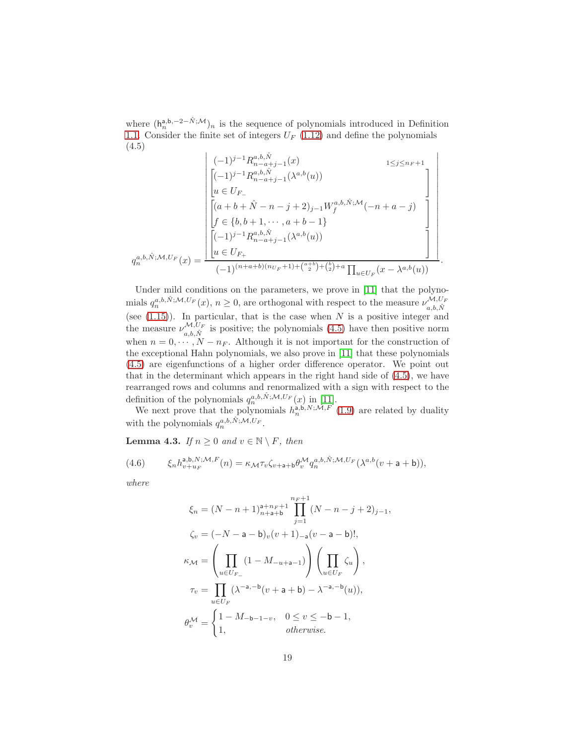where  $(h_n^{a,b,-2-\hat{N};\mathcal{M}})_n$  is the sequence of polynomials introduced in Definition [1.1.](#page-3-0) Consider the finite set of integers  $U_F$  [\(1.12\)](#page-4-2) and define the polynomials (4.5)

$$
q_n^{a,b,\hat{N};\mathcal{M},U_F}(x) = \frac{\begin{bmatrix} (-1)^{j-1} R_{n-a+j-1}^{a,b,\hat{N}}(x) & 1 \leq j \leq n_F+1 \\ \left[ (-1)^{j-1} R_{n-a+j-1}^{a,b,\hat{N}}(\lambda^{a,b}(u)) & 1 \leq j \leq n_F+1 \right] \\ u \in U_{F-} \\ \left[ (a+b+\hat{N}-n-j+2)_{j-1} W_f^{a,b,\hat{N};\mathcal{M}}(-n+a-j) \right] \\ f \in \{b,b+1,\cdots,a+b-1\} \\ \left[ (-1)^{j-1} R_{n-a+j-1}^{a,b,\hat{N}}(\lambda^{a,b}(u)) & 1 \right] \\ u \in U_{F+} \\ (-1)^{(n+a+b)(n_{U_F}+1)+\binom{a+b}{2}+\binom{b}{2}+a} \prod_{u \in U_F}(x-\lambda^{a,b}(u)) \end{bmatrix}.
$$

<span id="page-18-1"></span>Under mild conditions on the parameters, we prove in [\[11\]](#page-37-6) that the polynomials  $q_n^{a,b,\hat{N};\mathcal{M},U_F}(x), n \ge 0$ , are orthogonal with respect to the measure  $\nu_{a,b,\hat{N}}^{\mathcal{M},U_F}(x)$ (see  $(1.15)$ ). In particular, that is the case when N is a positive integer and the measure  $\nu_{a,b,\hat{N}}^{\mathcal{M},U_F}$  is positive; the polynomials [\(4.5\)](#page-18-1) have then positive norm when  $n = 0, \dots, N - n_F$ . Although it is not important for the construction of the exceptional Hahn polynomials, we also prove in [\[11\]](#page-37-6) that these polynomials [\(4.5\)](#page-18-1) are eigenfunctions of a higher order difference operator. We point out that in the determinant which appears in the right hand side of [\(4.5\)](#page-18-1), we have rearranged rows and columns and renormalized with a sign with respect to the definition of the polynomials  $q_n^{a,b,\hat{N};\mathcal{M},U_F}(x)$  in [\[11\]](#page-37-6).

We next prove that the polynomials  $h_n^{\mathsf{a},\mathsf{b},N;\mathcal{M},F'}(1.9)$  $h_n^{\mathsf{a},\mathsf{b},N;\mathcal{M},F'}(1.9)$  are related by duality with the polynomials  $q_n^{a,b,\hat{N};\mathcal{M},U_F}$ .

<span id="page-18-0"></span>**Lemma 4.3.** If  $n \geq 0$  and  $v \in \mathbb{N} \setminus F$ , then

<span id="page-18-2"></span>(4.6) 
$$
\xi_n h_{v+u_F}^{\mathbf{a},\mathbf{b},N;\mathcal{M},F}(n) = \kappa_{\mathcal{M}} \tau_v \zeta_{v+\mathbf{a}+\mathbf{b}} \theta_v^{\mathcal{M}} q_n^{a,b,\hat{N};\mathcal{M},U_F} (\lambda^{a,b}(v+\mathbf{a}+\mathbf{b})),
$$

where

$$
\xi_n = (N - n + 1)_{n+a+b}^{a+n_F+1} \prod_{j=1}^{n_F+1} (N - n - j + 2)_{j-1},
$$
  

$$
\zeta_v = (-N - a - b)_v (v + 1)_{-a} (v - a - b)!,
$$
  

$$
\kappa_M = \left( \prod_{u \in U_F} (1 - M_{-u+a-1}) \right) \left( \prod_{u \in U_F} \zeta_u \right),
$$
  

$$
\tau_v = \prod_{u \in U_F} (\lambda^{-a, -b} (v + a + b) - \lambda^{-a, -b} (u)),
$$
  

$$
\theta_v^{\mathcal{M}} = \begin{cases} 1 - M_{-b-1-v}, & 0 \le v \le -b - 1, \\ 1, & \text{otherwise.} \end{cases}
$$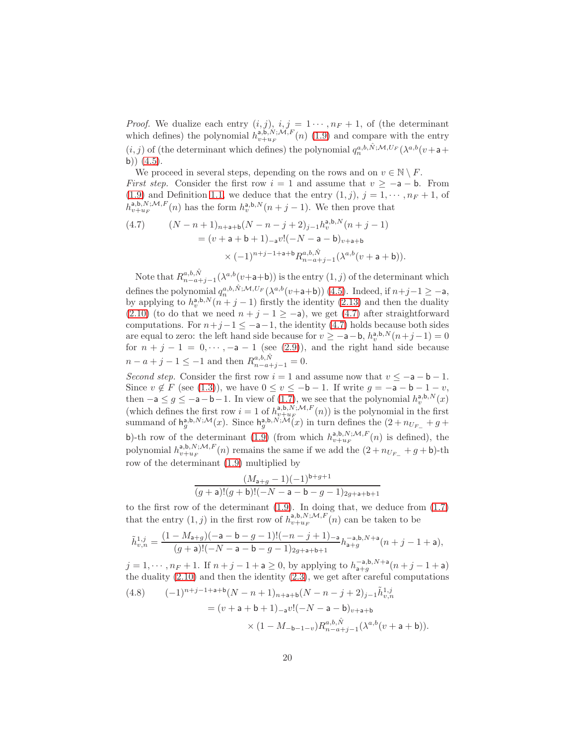*Proof.* We dualize each entry  $(i, j)$ ,  $i, j = 1 \cdots, n_F + 1$ , of (the determinant which defines) the polynomial  $h_{v+u_F}^{a,b,N;\tilde{M},F}(n)$  [\(1.9\)](#page-4-3) and compare with the entry  $(i, j)$  of (the determinant which defines) the polynomial  $q_n^{a,b,\hat{N};\mathcal{M},U_F}(\lambda^{a,b}(v+a+b))$ b))  $(4.5)$ .

We proceed in several steps, depending on the rows and on  $v \in \mathbb{N} \setminus F$ . First step. Consider the first row  $i = 1$  and assume that  $v \ge -a - b$ . From [\(1.9\)](#page-4-3) and Definition [1.1,](#page-3-0) we deduce that the entry  $(1, j)$ ,  $j = 1, \dots, n_F + 1$ , of  $\hat{h}_{v+u_F}^{\mathsf{a},\mathsf{b},N; \mathcal{M},F}(n)$  has the form  $h_v^{\mathsf{a},\mathsf{b},N}(n+j-1)$ . We then prove that

<span id="page-19-0"></span>(4.7) 
$$
(N - n + 1)_{n+a+b}(N - n - j + 2)_{j-1}h_v^{a,b,N}(n+j-1)
$$

$$
= (v + a + b + 1)_{-a}v!(-N - a - b)_{v+a+b}
$$

$$
\times (-1)^{n+j-1+a+b}R_{n-a+j-1}^{a,b,\hat{N}}(\lambda^{a,b}(v+a+b)).
$$

Note that  $R_{n-a+j-1}^{a,b,\hat{N}}(\lambda^{a,b}(v+a+b))$  is the entry  $(1,j)$  of the determinant which defines the polynomial  $q_n^{a,b,\hat{N};\mathcal{M},U_F}(\lambda^{a,b}(v+a+b))$  [\(4.5\)](#page-18-1). Indeed, if  $n+j-1 \geq -a$ , by applying to  $h_v^{a,b,N}(n+j-1)$  firstly the identity [\(2.13\)](#page-10-2) and then the duality [\(2.10\)](#page-10-3) (to do that we need  $n + j - 1 \ge -a$ ), we get [\(4.7\)](#page-19-0) after straightforward computations. For  $n+j-1 \leq -a-1$ , the identity [\(4.7\)](#page-19-0) holds because both sides are equal to zero: the left hand side because for  $v \ge -a-b$ ,  $h_v^{a,b,N}(n+j-1) = 0$ for  $n + j - 1 = 0, \dots, -a - 1$  (see [\(2.9\)](#page-10-4)), and the right hand side because  $n - a + j - 1 \leq -1$  and then  $R_{n-a+j-1}^{a,b,\hat{N}} = 0$ .

Second step. Consider the first row  $i = 1$  and assume now that  $v \le -a - b - 1$ . Since  $v \notin F$  (see [\(1.3\)](#page-1-2)), we have  $0 \le v \le -b-1$ . If write  $g = -a - b - 1 - v$ , then  $-a \leq g \leq -a - b - 1$ . In view of [\(1.7\)](#page-3-1), we see that the polynomial  $h_v^{a,b,N}(x)$ (which defines the first row  $i = 1$  of  $h_{v+u_F}^{\lambda, \mathbf{b}, N, \mathcal{M}, F}(n)$ ) is the polynomial in the first summand of  $h_g^{a,b,N;\mathcal{M}}(x)$ . Since  $h_g^{a,b,N;\mathcal{M}}(x)$  in turn defines the  $(2+n_{U_{F-}}+g+$ b)-th row of the determinant [\(1.9\)](#page-4-3) (from which  $h_{v+u_F}^{a,b,N;\mathcal{M},F}(n)$  is defined), the polynomial  $h_{v+u_F}^{a,b,N;\mathcal{M},F}(n)$  remains the same if we add the  $(2+n_{U_{F_-}}+g+b)$ -th row of the determinant [\(1.9\)](#page-4-3) multiplied by

$$
\frac{(M_{\mathsf{a}+g}-1)(-1)^{\mathsf{b}+g+1}}{(g+\mathsf{a})!(g+\mathsf{b})!(-N-\mathsf{a}-\mathsf{b}-g-1)_{2g+\mathsf{a}+\mathsf{b}+1}}
$$

to the first row of the determinant [\(1.9\)](#page-4-3). In doing that, we deduce from [\(1.7\)](#page-3-1) that the entry  $(1, j)$  in the first row of  $h_{v+u_F}^{a, b, N; \mathcal{M}, F(n)}$  can be taken to be

$$
\tilde{h}_{v,n}^{1,j}=\frac{(1-M_{\mathsf{a}+g})(-\mathsf{a}-\mathsf{b}-g-1)!(-n-j+1)_{-\mathsf{a}}}{(g+\mathsf{a})!(-N-\mathsf{a}-\mathsf{b}-g-1)_{2g+\mathsf{a}+\mathsf{b}+1}}h_{\mathsf{a}+g}^{-\mathsf{a},\mathsf{b},N+\mathsf{a}}(n+j-1+\mathsf{a}),
$$

 $j = 1, \dots, n_F + 1$ . If  $n + j - 1 + a \ge 0$ , by applying to  $h_{a+g}^{-a,b,N+a}(n + j - 1 + a)$ the duality  $(2.10)$  and then the identity  $(2.3)$ , we get after careful computations

<span id="page-19-1"></span>(4.8) 
$$
(-1)^{n+j-1+a+b}(N-n+1)_{n+a+b}(N-n-j+2)_{j-1}\tilde{h}_{v,n}^{1,j}
$$

$$
= (v+a+b+1)_{-a}v!(-N-a-b)_{v+a+b}
$$

$$
\times (1-M_{-b-1-v})R_{n-a+j-1}^{a,b,\hat{N}}(\lambda^{a,b}(v+a+b)).
$$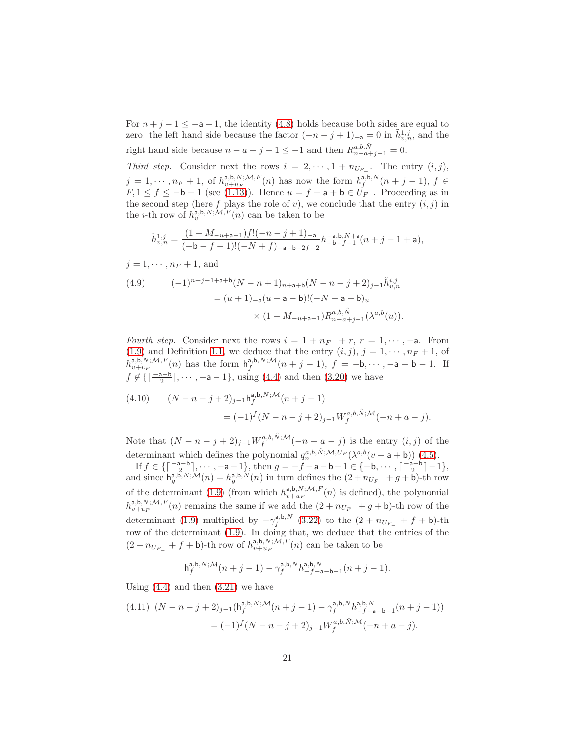For  $n+j-1 \leq -a-1$ , the identity [\(4.8\)](#page-19-1) holds because both sides are equal to zero: the left hand side because the factor  $(-n-j+1)_{-a}=0$  in  $\tilde{h}_{v,n}^{1,j}$ , and the right hand side because  $n - a + j - 1 \leq -1$  and then  $R_{n-a+j-1}^{a,b,\hat{N}} = 0$ .

Third step. Consider next the rows  $i = 2, \dots, 1 + n_{U_{F_-}}$ . The entry  $(i, j)$ ,  $j = 1, \dots, n_F + 1$ , of  $h_{v+u_F}^{a,b,N;M,F}(n)$  has now the form  $h_f^{a,b,N}(n+j-1)$ ,  $f \in$  $F, 1 \leq f \leq -b-1$  (see [\(1.13\)](#page-4-4)). Hence  $u = f + a + b \in U_{F-}$ . Proceeding as in the second step (here  $f$  plays the role of  $v$ ), we conclude that the entry  $(i, j)$  in the *i*-th row of  $h_v^{\mathsf{a},\mathsf{b},N;\mathcal{M},F}(n)$  can be taken to be

$$
\tilde{h}_{v,n}^{1,j} = \frac{(1 - M_{-u+a-1})f!(-n - j + 1)_{-a}}{(-b - f - 1)!(-N + f)_{-a-b-2f-2}} h_{-b-f-1}^{-a,b,N+a}(n + j - 1 + a),
$$

$$
j=1,\cdots,n_F+1,\,\text{and}
$$

<span id="page-20-0"></span>(4.9) 
$$
(-1)^{n+j-1+a+b}(N-n+1)_{n+a+b}(N-n-j+2)_{j-1}\tilde{h}_{v,n}^{i,j}
$$

$$
= (u+1)_{-a}(u-a-b)!(-N-a-b)_{u}
$$

$$
\times (1-M_{-u+a-1})R_{n-a+j-1}^{a,b,\hat{N}}(\lambda^{a,b}(u)).
$$

Fourth step. Consider next the rows  $i = 1 + n_{F-} + r$ ,  $r = 1, \dots, -a$ . From [\(1.9\)](#page-4-3) and Definition [1.1,](#page-3-0) we deduce that the entry  $(i, j)$ ,  $j = 1, \dots, n_F + 1$ , of  $h_{v+u_F}^{a,b,N;M,F}(n)$  has the form  $h_f^{a,b,N;M}(n+j-1)$ ,  $f = -b, \dots, -a-b-1$ . If  $f \notin \{ \lceil \frac{-a-b}{2} \rceil, \cdots, -a-1 \}, \text{ using (4.4) and then (3.20) we have}$  $f \notin \{ \lceil \frac{-a-b}{2} \rceil, \cdots, -a-1 \}, \text{ using (4.4) and then (3.20) we have}$  $f \notin \{ \lceil \frac{-a-b}{2} \rceil, \cdots, -a-1 \}, \text{ using (4.4) and then (3.20) we have}$  $f \notin \{ \lceil \frac{-a-b}{2} \rceil, \cdots, -a-1 \}, \text{ using (4.4) and then (3.20) we have}$  $f \notin \{ \lceil \frac{-a-b}{2} \rceil, \cdots, -a-1 \}, \text{ using (4.4) and then (3.20) we have}$ 

<span id="page-20-1"></span>(4.10) 
$$
(N - n - j + 2)_{j-1} h_f^{a,b,N;M}(n + j - 1)
$$

$$
= (-1)^{f} (N - n - j + 2)_{j-1} W_f^{a,b,\hat{N};M}(-n + a - j).
$$

Note that  $(N - n - j + 2)_{j-1} W_f^{a,b,\hat{N};\mathcal{M}}(-n + a - j)$  is the entry  $(i, j)$  of the determinant which defines the polynomial  $q_n^{a,b,\hat{N};\mathcal{M},U_F}(\lambda^{a,b}(v+a+b))$  [\(4.5\)](#page-18-1).

If  $f \in \left\{ \left\lceil \frac{-a-b}{2}, \frac{a}{2}, \cdots, -a-1 \right\} \right\}$ , then  $g = -f - a - b - 1 \in \left\{ -b, \cdots, \left\lceil \frac{-a-b}{2} \right\rceil - 1 \right\}$ , and since  $h_g^{a,\beta,N;\mathcal{M}}(n) = h_g^{a,b,\mathcal{N}}(n)$  in turn defines the  $(2+n_{U_{F-}}+g+\mathbf{b})$ -th row of the determinant [\(1.9\)](#page-4-3) (from which  $h_{v+uF}^{a,b,N;\mathcal{M},F}(n)$  is defined), the polynomial  $h_{v+u_F}^{a,b,N;\mathcal{M},F}(n)$  remains the same if we add the  $(2+n_{U_{F-}}+g+b)$ -th row of the determinant [\(1.9\)](#page-4-3) multiplied by  $-\gamma_f^{a,b,N}$  [\(3.22\)](#page-15-3) to the  $(2 + n_{U_{F_-}} + f + b)$ -th row of the determinant [\(1.9\)](#page-4-3). In doing that, we deduce that the entries of the  $(2 + n_{U_{F_-}} + f + \mathsf{b})$ -th row of  $h_{v+u_F}^{a,\mathsf{b},N;\mathcal{M},F}(n)$  can be taken to be

$$
\mathsf{h}^{\mathsf{a},\mathsf{b},N;\mathcal{M}}_f(n+j-1) - \gamma^{\mathsf{a},\mathsf{b},N}_f h^{\mathsf{a},\mathsf{b},N}_{-f-\mathsf{a}-\mathsf{b}-1}(n+j-1).
$$

Using  $(4.4)$  and then  $(3.21)$  we have

<span id="page-20-2"></span>
$$
(4.11) (N - n - j + 2)_{j-1} (\mathsf{h}_{f}^{\mathsf{a},\mathsf{b},N;\mathcal{M}}(n+j-1) - \gamma_{f}^{\mathsf{a},\mathsf{b},N} h_{-f-\mathsf{a}-\mathsf{b}-1}^{\mathsf{a},\mathsf{b},N}(n+j-1))
$$
  
= 
$$
(-1)^{f} (N - n - j + 2)_{j-1} W_{f}^{a,\mathsf{b},\hat{N};\mathcal{M}}(-n + a - j).
$$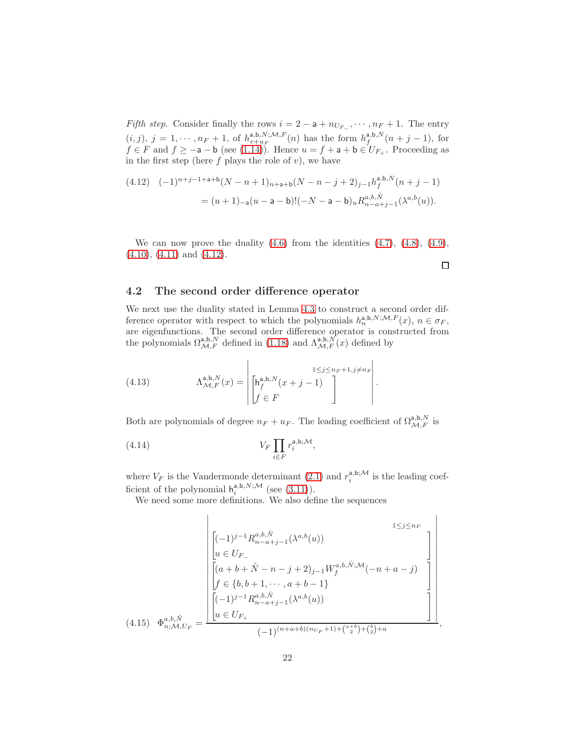Fifth step. Consider finally the rows  $i = 2 - a + n_{U_{F-}}$ ,  $\cdots$ ,  $n_F + 1$ . The entry  $(i, j), j = 1, \cdots, n_F + 1$ , of  $h_{v+u_F}^{a, b, N; \mathcal{M}, F}(n)$  has the form  $h_f^{a, b, N}(n+j-1)$ , for  $f \in F$  and  $f \ge -a - b$  (see [\(1.14\)](#page-4-5)). Hence  $u = f + a + b \in U_{F_+}$ . Proceeding as in the first step (here  $f$  plays the role of  $v$ ), we have

<span id="page-21-0"></span>
$$
\begin{aligned} (4.12) \quad & (-1)^{n+j-1+\mathsf{a}+\mathsf{b}} (N-n+1)_{n+\mathsf{a}+\mathsf{b}} (N-n-j+2)_{j-1} h_f^{\mathsf{a},\mathsf{b},N}(n+j-1) \\ &= (u+1)_{-\mathsf{a}} (u-\mathsf{a}-\mathsf{b})! (-N-\mathsf{a}-\mathsf{b})_u R_{n-a+j-1}^{a,b,\hat{N}}(\lambda^{a,b}(u)). \end{aligned}
$$

We can now prove the duality  $(4.6)$  from the identities  $(4.7)$ ,  $(4.8)$ ,  $(4.9)$ ,  $(4.10)$ ,  $(4.11)$  and  $(4.12)$ .

 $\Box$ 

#### 4.2 The second order difference operator

We next use the duality stated in Lemma [4.3](#page-18-0) to construct a second order difference operator with respect to which the polynomials  $h_n^{\mathsf{a},\mathsf{b},N;\mathcal{M},F}(x), n \in \sigma_F$ , are eigenfunctions. The second order difference operator is constructed from<br>the polynomials  $\Omega^{a,b,N}_{\mathcal{M},F}$  defined in [\(1.18\)](#page-6-2) and  $\Lambda^{a,b,N}_{\mathcal{M},F}(x)$  defined by

<span id="page-21-1"></span>(4.13) 
$$
\Lambda_{\mathcal{M},F}^{\mathsf{a},\mathsf{b},N}(x) = \left| \begin{bmatrix} \mathsf{h}_f^{\mathsf{a},\mathsf{b},N}(x+j-1) \\ \mathsf{f}_f^{\mathsf{a},\mathsf{b},N}(x+j-1) \\ \mathsf{f}_f^{\mathsf{a},N}(x+j-1) \end{bmatrix} \right|.
$$

Both are polynomials of degree  $n_F + u_F$ . The leading coefficient of  $\Omega_{\mathcal{M},F}^{a,b,N}$  is

$$
(4.14) \t\t V_F \prod_{i \in F} r_i^{\mathsf{a},\mathsf{b};\mathcal{M}}
$$

where  $V_F$  is the Vandermonde determinant [\(2.1\)](#page-8-0) and  $r_i^{a,b;\mathcal{M}}$  is the leading coefficient of the polynomial  $h_i^{a,b,N;\mathcal{M}}$  (see [\(3.11\)](#page-14-0)).

<span id="page-21-3"></span>,

We need some more definitions. We also define the sequences

<span id="page-21-2"></span>
$$
(4.15) \quad \Phi_{n;A,U_F}^{a,b,\hat{N}} = \frac{\begin{bmatrix} (-1)^{j-1} R_{n-a+j-1}^{a,b,\hat{N}}(\lambda^{a,b}(u)) & & & 1 \leq j \leq n_F \\ u \in U_{F-} \\ \hline \begin{bmatrix} (a+b+\hat{N}-n-j+2)_{j-1} W_f^{a,b,\hat{N};A'}(-n+a-j) \\ f \in \{b,b+1,\cdots,a+b-1\} \\ \hline \begin{bmatrix} (-1)^{j-1} R_{n-a+j-1}^{a,b,\hat{N}}(\lambda^{a,b}(u)) & & 1 \end{bmatrix} \\ u \in U_{F+} \\ \hline \begin{bmatrix} (-1)^{(n+a+b)(n_{U_F}+1)+\binom{a+b}{2}+\binom{b}{2}+a} & & 1 \end{bmatrix} \end{bmatrix}} \end{bmatrix}
$$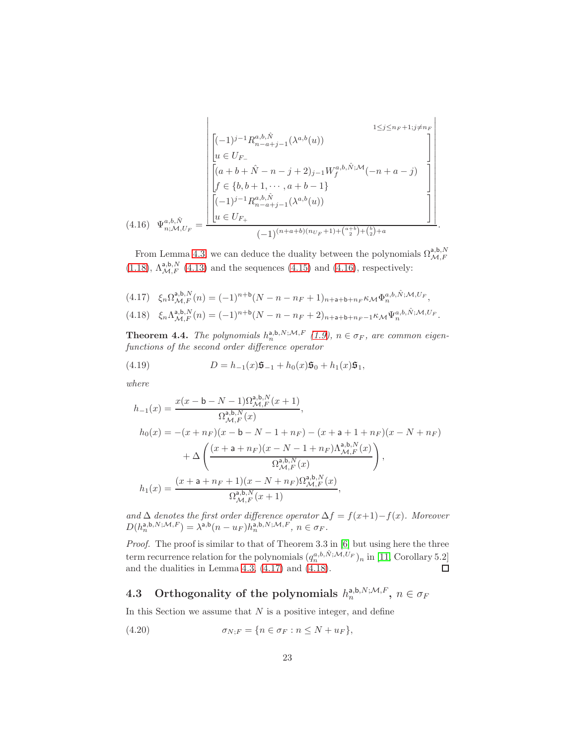$$
(4.16) \quad \Psi_{n,\mathcal{M},U_F}^{a,b,\hat{N}} = \frac{\begin{bmatrix} 1 \leq j \leq n_F+1; j \neq n_F \\ \begin{bmatrix} -(1)^{j-1} R_{n-a+j-1}^{a,b,\hat{N}}(\lambda^{a,b}(u)) \\ u \in U_F \\ \begin{bmatrix} (a+b+\hat{N}-n-j+2)_{j-1} W_f^{a,b,\hat{N};\mathcal{M}}(-n+a-j) \\ f \in \{b,b+1,\cdots,a+b-1\} \\ \begin{bmatrix} (-1)^{j-1} R_{n-a+j-1}^{a,b,\hat{N}}(\lambda^{a,b}(u)) \\ u \in U_{F_+} \end{bmatrix} \end{bmatrix}}{\begin{bmatrix} (-1)^{(n+a+b)(n_{U_F}+1)+\binom{a+b}{2}+\binom{b}{2}+a} \\ \end{bmatrix}}.
$$

<span id="page-22-1"></span>From Lemma [4.3,](#page-18-0) we can deduce the duality between the polynomials  $\Omega_{\mathcal{M},F}^{\mathsf{a},\mathsf{b},N}$ [\(1.18\)](#page-6-2),  $\Lambda_{\mathcal{M},F}^{\mathsf{a},\mathsf{b},N}$  [\(4.13\)](#page-21-1) and the sequences [\(4.15\)](#page-21-2) and [\(4.16\)](#page-22-1), respectively:

<span id="page-22-3"></span><span id="page-22-2"></span>
$$
(4.17) \quad \xi_n \Omega_{\mathcal{M},F}^{\mathbf{a},\mathbf{b},N}(n) = (-1)^{n+\mathbf{b}} (N - n - n_F + 1)_{n+\mathbf{a}+\mathbf{b}+n_F} \kappa_{\mathcal{M}} \Phi_n^{a,b,\hat{N},\mathcal{M},U_F},
$$
  

$$
(4.18) \quad \xi_n \Lambda_{\mathcal{M},F}^{\mathbf{a},\mathbf{b},N}(n) = (-1)^{n+\mathbf{b}} (N - n - n_F + 2)_{n+\mathbf{a}+\mathbf{b}+n_F-1} \kappa_{\mathcal{M}} \Psi_n^{a,b,\hat{N},\mathcal{M},U_F}.
$$

<span id="page-22-0"></span>**Theorem 4.4.** The polynomials  $h_n^{a,b,N;M,F}$  [\(1.9\)](#page-4-3),  $n \in \sigma_F$ , are common eigenfunctions of the second order difference operator

(4.19) 
$$
D = h_{-1}(x)\mathfrak{s}_{-1} + h_0(x)\mathfrak{s}_0 + h_1(x)\mathfrak{s}_1,
$$

where

<span id="page-22-4"></span>
$$
h_{-1}(x) = \frac{x(x - b - N - 1)\Omega_{\mathcal{M},F}^{\mathsf{a},\mathsf{b},N}(x+1)}{\Omega_{\mathcal{M},F}^{\mathsf{a},\mathsf{b},N}(x)},
$$
  
\n
$$
h_{0}(x) = -(x + n_{F})(x - b - N - 1 + n_{F}) - (x + a + 1 + n_{F})(x - N + n_{F})
$$
  
\n
$$
+ \Delta \left( \frac{(x + a + n_{F})(x - N - 1 + n_{F})\Lambda_{\mathcal{M},F}^{\mathsf{a},\mathsf{b},N}(x)}{\Omega_{\mathcal{M},F}^{\mathsf{a},\mathsf{b},N}(x)} \right),
$$
  
\n
$$
h_{1}(x) = \frac{(x + a + n_{F} + 1)(x - N + n_{F})\Omega_{\mathcal{M},F}^{\mathsf{a},\mathsf{b},N}(x)}{\Omega_{\mathcal{M},F}^{\mathsf{a},\mathsf{b},N}(x+1)},
$$

and  $\Delta$  denotes the first order difference operator  $\Delta f = f(x+1)-f(x)$ . Moreover  $D(h_n^{\mathsf{a},\mathsf{b},N;\mathcal{M},F}) = \lambda^{\mathsf{a},\mathsf{b}}(n-u_F)h_n^{\mathsf{a},\mathsf{b},N;\mathcal{M},F},\, n\in\sigma_F.$ 

Proof. The proof is similar to that of Theorem 3.3 in [\[6\]](#page-36-2) but using here the three term recurrence relation for the polynomials  $(q_n^{a,b,\hat{N};\mathcal{M},U_F})_n$  in [\[11,](#page-37-6) Corollary 5.2] and the dualities in Lemma [4.3,](#page-18-0) [\(4.17\)](#page-22-2) and [\(4.18\)](#page-22-3).

# 4.3 Orthogonality of the polynomials  $h_n^{\mathsf{a},\mathsf{b},N;\mathcal{M},F},\ n\in\sigma_F$

In this Section we assume that  $N$  is a positive integer, and define

$$
(4.20) \qquad \qquad \sigma_{N;F} = \{ n \in \sigma_F : n \le N + u_F \},
$$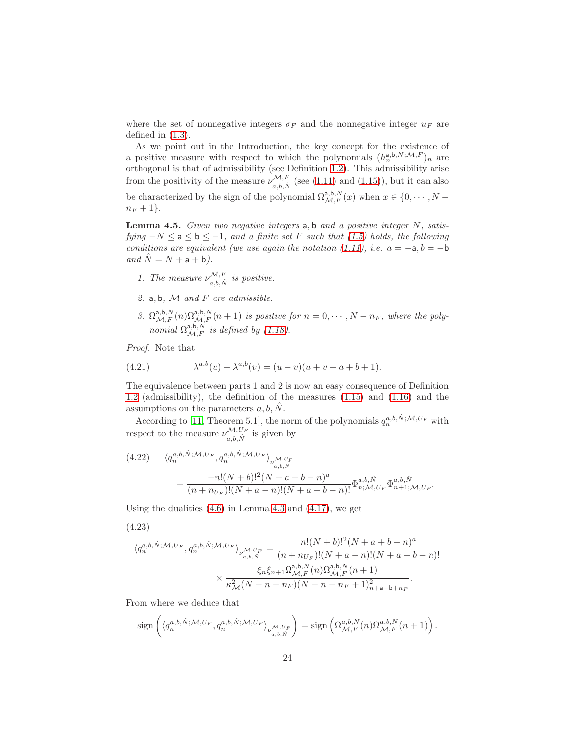where the set of nonnegative integers  $\sigma_F$  and the nonnegative integer  $u_F$  are defined in [\(1.3\)](#page-1-2).

As we point out in the Introduction, the key concept for the existence of a positive measure with respect to which the polynomials  $(h_n^{a,b,N;M,F})_n$  are orthogonal is that of admissibility (see Definition [1.2\)](#page-5-1). This admissibility arise from the positivity of the measure  $\nu_{a,b,\hat{N}}^{\mathcal{M},F}$  (see [\(1.11\)](#page-4-1) and [\(1.15\)](#page-5-0)), but it can also be characterized by the sign of the polynomial  $\Omega^{a,b,N}_{\mathcal{M},F}(x)$  when  $x \in \{0, \cdots, N-\}$  $n_F + 1$ .

<span id="page-23-0"></span>Lemma 4.5. Given two negative integers a, b and a positive integer N, satisfying  $-N \le a \le b \le -1$ , and a finite set F such that [\(1.5\)](#page-2-0) holds, the following conditions are equivalent (we use again the notation  $(1.11)$ , i.e.  $a = -a, b = -b$ and  $\hat{N} = N + a + b$ ).

- 1. The measure  $\nu_{a,b,\hat{N}}^{\mathcal{M},F}$  is positive.
- 2. a, b,  $M$  and  $F$  are admissible.
- 3.  $\Omega_{\mathcal{M},F}^{a,b,N}(n) \Omega_{\mathcal{M},F}^{a,b,N}(n+1)$  is positive for  $n = 0, \cdots, N n_F$ , where the polynomial  $\Omega_{\mathcal{M},F}^{\mathsf{a},\mathsf{b},\dot{N}}$  is defined by [\(1.18\)](#page-6-2).

Proof. Note that

(4.21) 
$$
\lambda^{a,b}(u) - \lambda^{a,b}(v) = (u-v)(u+v+a+b+1).
$$

The equivalence between parts 1 and 2 is now an easy consequence of Definition [1.2](#page-5-1) (admissibility), the definition of the measures [\(1.15\)](#page-5-0) and [\(1.16\)](#page-5-3) and the assumptions on the parameters  $a, b, \hat{N}$ .

According to [\[11,](#page-37-6) Theorem 5.1], the norm of the polynomials  $q_n^{a,b,\hat{N};\mathcal{M},U_F}$  with respect to the measure  $\nu_{a,b,\hat{N}}^{\mathcal{M},U_F}$  is given by

(4.22) 
$$
\langle q_n^{a,b,\hat{N};\mathcal{M},U_F}, q_n^{a,b,\hat{N};\mathcal{M},U_F} \rangle_{\nu^{M,U_F} \atop{a,b,\hat{N}}} = \frac{-n!(N+b)!^2(N+a+b-n)^a}{(n+n_{U_F})!(N+a-n)!(N+a+b-n)!} \Phi_{n;\mathcal{M},U_F}^{a,b,\hat{N}} \Phi_{n+1;\mathcal{M},U_F}^{a,b,\hat{N}}.
$$

Using the dualities  $(4.6)$  in Lemma [4.3](#page-18-0) and  $(4.17)$ , we get

<span id="page-23-1"></span>
$$
(4.23)
$$

$$
\langle q_n^{a,b,\hat{N};\mathcal{M},U_F}, q_n^{a,b,\hat{N};\mathcal{M},U_F} \rangle_{\nu_{a,b,\hat{N}}^{\mathcal{M},U_F}} = \frac{n!(N+b)!^2(N+a+b-n)^a}{(n+n_{U_F})!(N+a-n)!(N+a+b-n)!}
$$

$$
\times \frac{\xi_n \xi_{n+1} \Omega_{\mathcal{M},F}^{a,b,N}(n) \Omega_{\mathcal{M},F}^{a,b,N}(n+1)}{\kappa_{\mathcal{M}}^2(N-n-n_F)(N-n-n_F+1)_{n+a+b+n_F}^2}.
$$

From where we deduce that

$$
\operatorname{sign}\left(\langle q_n^{a,b,\hat{N};\mathcal{M},U_F}, q_n^{a,b,\hat{N};\mathcal{M},U_F}\rangle_{\nu_{a,b,\hat{N}}^{\mathcal{M},U_F}}\right) = \operatorname{sign}\left(\Omega_{\mathcal{M},F}^{a,b,N}(n)\Omega_{\mathcal{M},F}^{a,b,N}(n+1)\right).
$$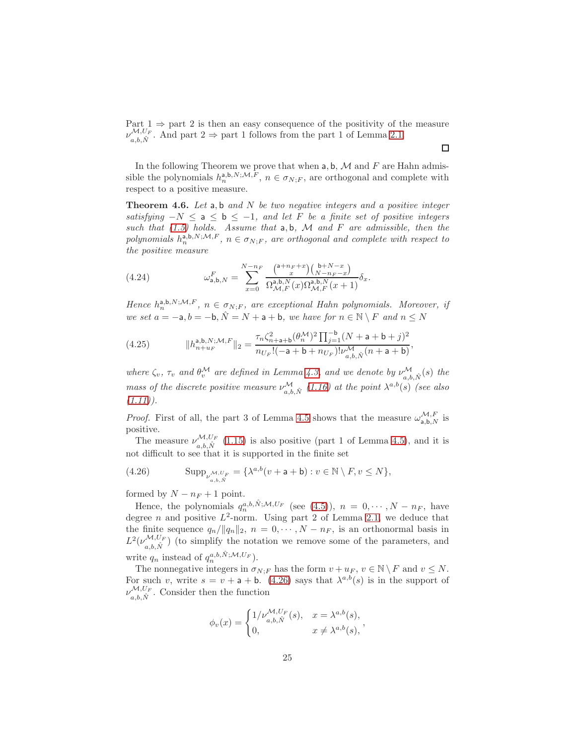Part  $1 \Rightarrow$  part 2 is then an easy consequence of the positivity of the measure  $\nu_{a,b,\hat{N}}^{\mathcal{M},U_F}$ . And part  $2 \Rightarrow$  part 1 follows from the part 1 of Lemma [2.1.](#page-8-1)  $\Box$ 

In the following Theorem we prove that when  $a, b, M$  and F are Hahn admissible the polynomials  $h_n^{a,b,N;M,\tilde{F}}$ ,  $n \in \sigma_{N;F}$ , are orthogonal and complete with respect to a positive measure.

<span id="page-24-0"></span>**Theorem 4.6.** Let a, b and N be two negative integers and a positive integer satisfying  $-N \le a \le b \le -1$ , and let F be a finite set of positive integers such that  $(1.5)$  holds. Assume that  $a, b, M$  and  $F$  are admissible, then the polynomials  $h_n^{\mathbf{a},\mathbf{b},N;\mathcal{M},F}$ ,  $n \in \sigma_{N,F}$ , are orthogonal and complete with respect to the positive measure

(4.24) 
$$
\omega_{\mathsf{a},\mathsf{b},N}^{F} = \sum_{x=0}^{N-n_F} \frac{\binom{\mathsf{a}+n_F+x}{x}\binom{\mathsf{b}+N-x}{N-n_F-x}}{\Omega_{\mathcal{M},F}^{\mathsf{a},\mathsf{b},N}(x)\Omega_{\mathcal{M},F}^{\mathsf{a},\mathsf{b},N}(x+1)} \delta_x.
$$

Hence  $h_n^{a,b,N;\mathcal{M},F}$ ,  $n \in \sigma_{N,F}$ , are exceptional Hahn polynomials. Moreover, if we set  $a = -a, b = -b, \hat{N} = N + a + b$ , we have for  $n \in \mathbb{N} \setminus F$  and  $n \leq N$ 

<span id="page-24-2"></span>(4.25) 
$$
||h_{n+u_F}^{\mathsf{a},\mathsf{b},N;\mathcal{M},F}||_2 = \frac{\tau_n \zeta_{n+\mathsf{a}+\mathsf{b}}^2 (\theta_n^{\mathcal{M}})^2 \prod_{j=1}^{-\mathsf{b}} (N+\mathsf{a}+\mathsf{b}+j)^2}{n_{U_F}!(-\mathsf{a}+\mathsf{b}+n_{U_F})! \nu_{a,b,\hat{N}}^{\mathcal{M}} (n+\mathsf{a}+\mathsf{b})},
$$

where  $\zeta_v$ ,  $\tau_v$  and  $\theta_v^{\mathcal{M}}$  are defined in Lemma [4.3,](#page-18-0) and we denote by  $\nu_{a,b,\hat{N}}^{\mathcal{M}}(s)$  the mass of the discrete positive measure  $\nu_{a,b,\hat{N}}^{\mathcal{M}}(1.16)$  $\nu_{a,b,\hat{N}}^{\mathcal{M}}(1.16)$  at the point  $\lambda^{a,b}(s)$  (see also  $(1.11)$ .

*Proof.* First of all, the part 3 of Lemma [4.5](#page-23-0) shows that the measure  $\omega_{a,b,N}^{\mathcal{M},F}$  is positive.

The measure  $\nu_{a,b,\hat{N}}^{\mathcal{M},U_F}$  [\(1.15\)](#page-5-0) is also positive (part 1 of Lemma [4.5\)](#page-23-0), and it is not difficult to see that it is supported in the finite set

<span id="page-24-1"></span>(4.26) 
$$
\mathrm{Supp}_{\nu^{M,U_F}_{a,b,\tilde{N}}} = \{ \lambda^{a,b}(v+a+b) : v \in \mathbb{N} \setminus F, v \leq N \},
$$

formed by  $N - n_F + 1$  point.

Hence, the polynomials  $q_n^{a,b,\hat{N};\mathcal{M},U_F}$  (see [\(4.5\)](#page-18-1)),  $n = 0, \cdots, N - n_F$ , have degree *n* and positive  $L^2$ -norm. Using part 2 of Lemma [2.1,](#page-8-1) we deduce that the finite sequence  $q_n/||q_n||_2$ ,  $n = 0, \dots, N - n_F$ , is an orthonormal basis in  $L^2(\nu_{a,b,\hat{N}}^{\mathcal{M},U_F})$  (to simplify the notation we remove some of the parameters, and write  $q_n$  instead of  $q_n^{a,b,\hat{N};\mathcal{M},U_F}$ .

The nonnegative integers in  $\sigma_{N;F}$  has the form  $v + u_F$ ,  $v \in \mathbb{N} \setminus F$  and  $v \leq N$ . For such v, write  $s = v + a + b$ . [\(4.26\)](#page-24-1) says that  $\lambda^{a,b}(s)$  is in the support of  $\nu_{a,b,\hat{N}}^{\mathcal{M},U_F}$ . Consider then the function

$$
\phi_v(x) = \begin{cases} 1/\nu_{a,b,\hat{N}}^{\mathcal{M},U_F}(s), & x = \lambda^{a,b}(s), \\ 0, & x \neq \lambda^{a,b}(s), \end{cases}
$$

25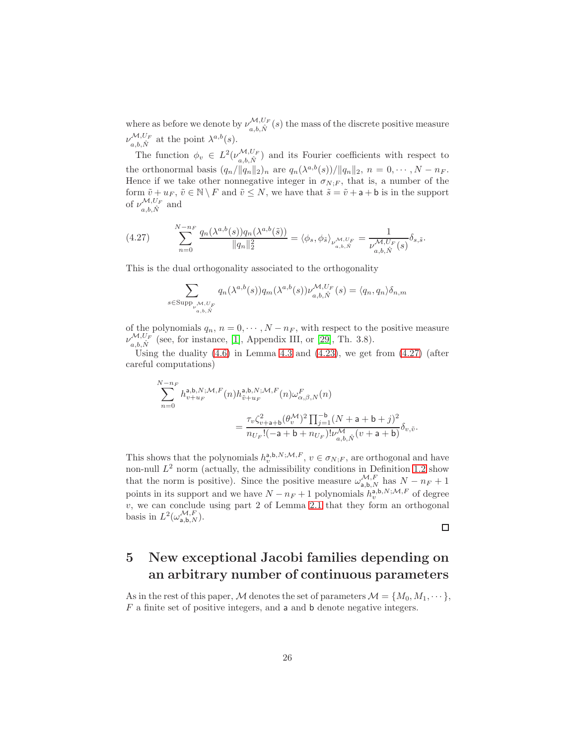where as before we denote by  $\nu_{a,b,\hat{N}}^{\mathcal{M},U_F}(s)$  the mass of the discrete positive measure  $\nu_{a,b,\hat{N}}^{\mathcal{M},U_F}$  at the point  $\lambda^{a,b}(s)$ .

The function  $\phi_v \in L^2(\nu_{a,b,\hat{N}}^{\mathcal{M},U_F})$  and its Fourier coefficients with respect to the orthonormal basis  $(q_n/\|q_n\|_2)_n$  are  $q_n(\lambda^{a,b}(s))/\|q_n\|_2$ ,  $n = 0, \dots, N - n_F$ . Hence if we take other nonnegative integer in  $\sigma_{N;F}$ , that is, a number of the form  $\tilde{v} + u_F$ ,  $\tilde{v} \in \mathbb{N} \setminus F$  and  $\tilde{v} \leq N$ , we have that  $\tilde{s} = \tilde{v} + a + b$  is in the support of  $\nu_{a,b,\hat{N}}^{\mathcal{M},U_F}$  and

<span id="page-25-1"></span>(4.27) 
$$
\sum_{n=0}^{N-n_F} \frac{q_n(\lambda^{a,b}(s))q_n(\lambda^{a,b}(\tilde{s}))}{\|q_n\|_2^2} = \langle \phi_s, \phi_{\tilde{s}} \rangle_{\substack{\mathcal{M}, U_F \\ a,b,\hat{N}}} = \frac{1}{\nu_{a,b,\hat{N}}^{\mathcal{M}, U_F}(s)} \delta_{s,\tilde{s}}.
$$

This is the dual orthogonality associated to the orthogonality

 $s$ 

$$
\sum_{\substack{\in \text{Supp}_{\nu^{\mathcal{M},U_F}} \\ a,b,\hat{N}}} q_n(\lambda^{a,b}(s)) q_m(\lambda^{a,b}(s)) \nu^{\mathcal{M},U_F}_{a,b,\hat{N}}(s) = \langle q_n, q_n \rangle \delta_{n,m}
$$

of the polynomials  $q_n$ ,  $n = 0, \dots, N - n_F$ , with respect to the positive measure  $\nu_{a,b,\hat{N}}^{\mathcal{M},U_F}$  (see, for instance, [\[1\]](#page-36-7), Appendix III, or [\[29\]](#page-38-10), Th. 3.8).

Using the duality  $(4.6)$  in Lemma [4.3](#page-18-0) and  $(4.23)$ , we get from  $(4.27)$  (after careful computations)

$$
\begin{split} &\sum_{n=0}^{N-n_F}h_{v+u_F}^{\mathsf{a},\mathsf{b},N;\mathcal{M},F}(n)h_{\tilde{v}+u_F}^{\mathsf{a},\mathsf{b},N;\mathcal{M},F}(n)\omega_{\alpha,\beta,N}^F(n)\\ &=\frac{\tau_v\zeta_{v+\mathsf{a}+\mathsf{b}}^2(\theta_v^{\mathcal{M}})^2\prod_{j=1}^{-\mathsf{b}}(N+\mathsf{a}+\mathsf{b}+j)^2}{n_{U_F}!(-\mathsf{a}+\mathsf{b}+n_{U_F})!\nu_{a,\mathsf{b},\hat{N}}^{\mathcal{M}}(v+\mathsf{a}+\mathsf{b})}\delta_{v,\tilde{v}}. \end{split}
$$

This shows that the polynomials  $h_v^{a,b,N;M,F}$ ,  $v \in \sigma_{N;F}$ , are orthogonal and have non-null  $L^2$  norm (actually, the admissibility conditions in Definition [1.2](#page-5-1) show that the norm is positive). Since the positive measure  $\omega_{a,b,N}^{\mathcal{M},F}$  has  $N - n_F + 1$ points in its support and we have  $N - n_F + 1$  polynomials  $h_v^{\mathsf{a},\mathsf{b},N;\mathcal{M},F}$  of degree  $v$ , we can conclude using part 2 of Lemma [2.1](#page-8-1) that they form an orthogonal basis in  $L^2(\omega_{\mathsf{a},\mathsf{b},N}^{\mathcal{M},F}).$ 

 $\Box$ 

## <span id="page-25-0"></span>5 New exceptional Jacobi families depending on an arbitrary number of continuous parameters

As in the rest of this paper, M denotes the set of parameters  $\mathcal{M} = \{M_0, M_1, \dots\}$ ,  $F$  a finite set of positive integers, and a and b denote negative integers.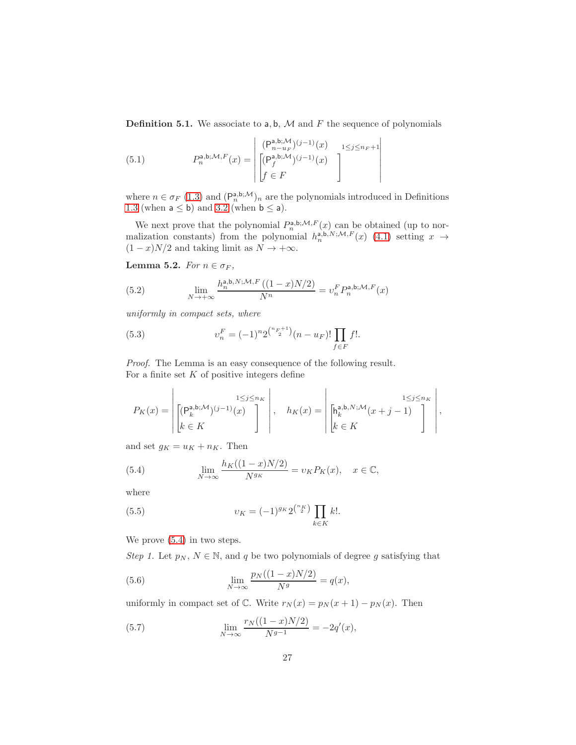<span id="page-26-8"></span>**Definition 5.1.** We associate to  $a, b, M$  and F the sequence of polynomials

<span id="page-26-4"></span>(5.1) 
$$
P_n^{\mathsf{a},\mathsf{b};\mathcal{M},F}(x) = \begin{bmatrix} (\mathsf{P}_{n-u_F}^{\mathsf{a},\mathsf{b};\mathcal{M}})^{(j-1)}(x) & 1 \leq j \leq n_F + 1\\ (\mathsf{P}_{j}^{\mathsf{a},\mathsf{b};\mathcal{M}})^{(j-1)}(x) & 1 \leq j \leq n_F + 1\\ f \in F \end{bmatrix}
$$

where  $n \in \sigma_F$  [\(1.3\)](#page-1-2) and  $(P_n^{a,b;M})_n$  are the polynomials introduced in Definitions [1.3](#page-6-0) (when  $a \leq b$ ) and [3.2](#page-15-4) (when  $b \leq a$ ).

We next prove that the polynomial  $P_n^{a,b;\mathcal{M},F}(x)$  can be obtained (up to normalization constants) from the polynomial  $h_n^{\text{a},\text{b},N;\mathcal{M},F}(x)$  [\(4.1\)](#page-16-1) setting  $x \to$  $(1-x)N/2$  and taking limit as  $N \to +\infty$ .

<span id="page-26-5"></span>Lemma 5.2. For  $n \in \sigma_F$ ,

<span id="page-26-7"></span>(5.2) 
$$
\lim_{N \to +\infty} \frac{h_n^{\mathsf{a},\mathsf{b},N;\mathcal{M},F}\left((1-x)N/2\right)}{N^n} = v_n^F P_n^{\mathsf{a},\mathsf{b};\mathcal{M},F}(x)
$$

uniformly in compact sets, where

<span id="page-26-6"></span>(5.3) 
$$
v_n^F = (-1)^n 2^{\binom{n_F+1}{2}} (n - u_F)! \prod_{f \in F} f!.
$$

Proof. The Lemma is an easy consequence of the following result. For a finite set  $K$  of positive integers define

$$
P_K(x) = \left| \begin{bmatrix} (\mathsf{P}_k^{\mathsf{a},\mathsf{b};\mathcal{M}})^{(j-1)}(x) \\ k \in K \end{bmatrix} \right|, \quad h_K(x) = \left| \begin{bmatrix} \mathsf{h}_k^{\mathsf{a},\mathsf{b},N;\mathcal{M}}(x+j-1) \\ k \in K \end{bmatrix} \right|,
$$

and set  $g_K = u_K + n_K$ . Then

<span id="page-26-0"></span>(5.4) 
$$
\lim_{N \to \infty} \frac{h_K((1-x)N/2)}{N^{g_K}} = v_K P_K(x), \quad x \in \mathbb{C},
$$

where

<span id="page-26-3"></span>(5.5) 
$$
v_K = (-1)^{g_K} 2^{\binom{n_K}{2}} \prod_{k \in K} k!.
$$

We prove [\(5.4\)](#page-26-0) in two steps.

Step 1. Let  $p_N, N \in \mathbb{N}$ , and q be two polynomials of degree g satisfying that

<span id="page-26-1"></span>(5.6) 
$$
\lim_{N \to \infty} \frac{p_N((1-x)N/2)}{N^g} = q(x),
$$

uniformly in compact set of  $\mathbb{C}$ . Write  $r_N(x) = p_N(x+1) - p_N(x)$ . Then

<span id="page-26-2"></span>(5.7) 
$$
\lim_{N \to \infty} \frac{r_N((1-x)N/2)}{N^{g-1}} = -2q'(x),
$$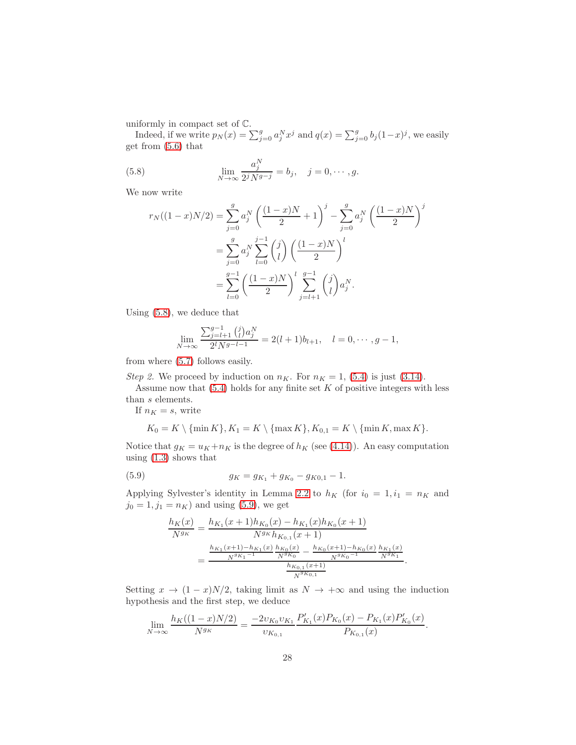uniformly in compact set of C.

Indeed, if we write  $p_N(x) = \sum_{j=0}^g a_j^N x^j$  and  $q(x) = \sum_{j=0}^g b_j(1-x)^j$ , we easily get from [\(5.6\)](#page-26-1) that

(5.8) 
$$
\lim_{N \to \infty} \frac{a_j^N}{2^j N^{g-j}} = b_j, \quad j = 0, \cdots, g.
$$

We now write

<span id="page-27-0"></span>
$$
r_N((1-x)N/2) = \sum_{j=0}^{g} a_j^N \left(\frac{(1-x)N}{2} + 1\right)^j - \sum_{j=0}^{g} a_j^N \left(\frac{(1-x)N}{2}\right)^j
$$
  
= 
$$
\sum_{j=0}^{g} a_j^N \sum_{l=0}^{j-1} {j \choose l} \left(\frac{(1-x)N}{2}\right)^l
$$
  
= 
$$
\sum_{l=0}^{g-1} \left(\frac{(1-x)N}{2}\right)^l \sum_{j=l+1}^{g-1} {j \choose l} a_j^N.
$$

Using [\(5.8\)](#page-27-0), we deduce that

$$
\lim_{N \to \infty} \frac{\sum_{j=l+1}^{g-1} {j \choose l} a_j^N}{2^l N^{g-l-1}} = 2(l+1)b_{l+1}, \quad l = 0, \cdots, g-1,
$$

from where [\(5.7\)](#page-26-2) follows easily.

Step 2. We proceed by induction on  $n_K$ . For  $n_K = 1$ , [\(5.4\)](#page-26-0) is just [\(3.14\)](#page-14-1).

Assume now that  $(5.4)$  holds for any finite set K of positive integers with less than s elements.

If  $n_K = s$ , write

$$
K_0 = K \setminus \{\min K\}, K_1 = K \setminus \{\max K\}, K_{0,1} = K \setminus \{\min K, \max K\}.
$$

Notice that  $g_K = u_K + n_K$  is the degree of  $h_K$  (see [\(4.14\)](#page-21-3)). An easy computation using [\(1.3\)](#page-1-2) shows that

(5.9) 
$$
g_K = g_{K_1} + g_{K_0} - g_{K0,1} - 1.
$$

Applying Sylvester's identity in Lemma [2.2](#page-8-2) to  $h_K$  (for  $i_0 = 1, i_1 = n_K$  and  $j_0 = 1, j_1 = n_K$ ) and using [\(5.9\)](#page-27-1), we get

<span id="page-27-1"></span>
$$
\frac{h_K(x)}{N^{g_K}} = \frac{h_{K_1}(x+1)h_{K_0}(x) - h_{K_1}(x)h_{K_0}(x+1)}{N^{g_K}h_{K_{0,1}}(x+1)} = \frac{\frac{h_{K_1}(x+1) - h_{K_1}(x)}{N^{g_K}(x)} - \frac{h_{K_0}(x+1) - h_{K_0}(x)}{N^{g_K}(x+1)}}{\frac{h_{K_{0,1}}(x+1)}{N^{g_K}(x+1)}}.
$$

Setting  $x \to (1-x)N/2$ , taking limit as  $N \to +\infty$  and using the induction hypothesis and the first step, we deduce

$$
\lim_{N \to \infty} \frac{h_K((1-x)N/2)}{N^{g_K}} = \frac{-2v_{K_0}v_{K_1}}{v_{K_{0,1}}} \frac{P'_{K_1}(x)P_{K_0}(x) - P_{K_1}(x)P'_{K_0}(x)}{P_{K_{0,1}}(x)}.
$$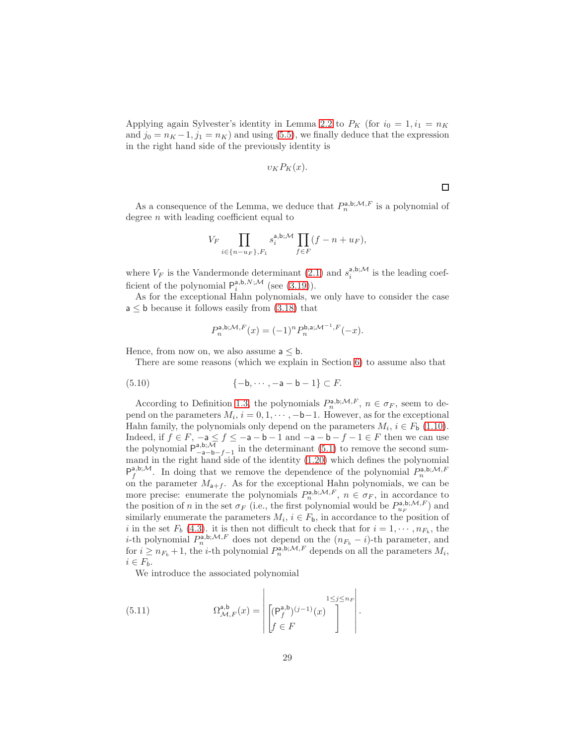Applying again Sylvester's identity in Lemma [2.2](#page-8-2) to  $P_K$  (for  $i_0 = 1, i_1 = n_K$ ) and  $j_0 = n_K - 1$ ,  $j_1 = n_K$ ) and using [\(5.5\)](#page-26-3), we finally deduce that the expression in the right hand side of the previously identity is

$$
v_K P_K(x).
$$

As a consequence of the Lemma, we deduce that  $P_n^{\mathsf{a},\mathsf{b};\mathcal{M},F}$  is a polynomial of degree  $n$  with leading coefficient equal to

$$
V_F \prod_{i \in \{n-u_F\}, F_1} s_i^{\mathsf{a}, \mathsf{b}; \mathcal{M}} \prod_{f \in F} (f - n + u_F),
$$

where  $V_F$  is the Vandermonde determinant [\(2.1\)](#page-8-0) and  $s_i^{a,b;\mathcal{M}}$  is the leading coefficient of the polynomial  $P_i^{a,b,N;\mathcal{M}}$  (see [\(3.19\)](#page-15-5)).

As for the exceptional Hahn polynomials, we only have to consider the case  $a \leq b$  because it follows easily from  $(3.18)$  that

$$
P_n^{\mathsf{a},\mathsf{b};\mathcal{M},F}(x) = (-1)^n P_n^{\mathsf{b},\mathsf{a};\mathcal{M}^{-1},F}(-x).
$$

Hence, from now on, we also assume  $a \leq b$ .

There are some reasons (which we explain in Section [6\)](#page-35-0) to assume also that

(5.10) 
$$
\{-\mathsf{b}, \cdots, -\mathsf{a} - \mathsf{b} - 1\} \subset F
$$
.

According to Definition [1.3,](#page-6-0) the polynomials  $P_n^{a,b;\mathcal{M},F}$ ,  $n \in \sigma_F$ , seem to depend on the parameters  $M_i$ ,  $i = 0, 1, \dots, -b-1$ . However, as for the exceptional Hahn family, the polynomials only depend on the parameters  $M_i$ ,  $i \in F_b$  [\(1.10\)](#page-4-0). Indeed, if  $f \in F$ ,  $-a \le f \le -a - b - 1$  and  $-a - b - f - 1 \in F$  then we can use the polynomial  $P_{-a-b-f-1}^{a,b; \overline{\mathcal{M}}}$  in the determinant [\(5.1\)](#page-26-4) to remove the second summand in the right hand side of the identity [\(1.20\)](#page-6-3) which defines the polynomial  $P_f^{a,b;M}$ . In doing that we remove the dependence of the polynomial  $P_n^{a,b;M,F}$ on the parameter  $M_{a+f}$ . As for the exceptional Hahn polynomials, we can be more precise: enumerate the polynomials  $P_n^{a,b;\mathcal{M},F}$ ,  $n \in \sigma_F$ , in accordance to the position of n in the set  $\sigma_F$  (i.e., the first polynomial would be  $P_{u_F}^{\mathsf{a},\mathsf{b};\mathcal{M},F}$ ) and similarly enumerate the parameters  $M_i$ ,  $i \in F_b$ , in accordance to the position of i in the set  $F_b$  [\(4.3\)](#page-16-3). it is then not difficult to check that for  $i = 1, \dots, n_{F_b}$ , the i-th polynomial  $P_n^{a,b;\mathcal{M},F}$  does not depend on the  $(n_{F_b} - i)$ -th parameter, and for  $i \geq n_{F_b} + 1$ , the *i*-th polynomial  $P_n^{\overline{a}, \overline{b}; \mathcal{M}, F}$  depends on all the parameters  $M_i$ ,  $i \in F_b$ .

We introduce the associated polynomial

(5.11) 
$$
\Omega_{\mathcal{M},F}^{\mathsf{a},\mathsf{b}}(x) = \left| \begin{bmatrix} (\mathsf{P}_f^{\mathsf{a},\mathsf{b}})^{(j-1)}(x) \\ \begin{bmatrix} (\mathsf{P}_f^{\mathsf{a},\mathsf{b}})^{(j-1)}(x) \\ f \in F \end{bmatrix} \end{bmatrix} \right|.
$$

 $\Box$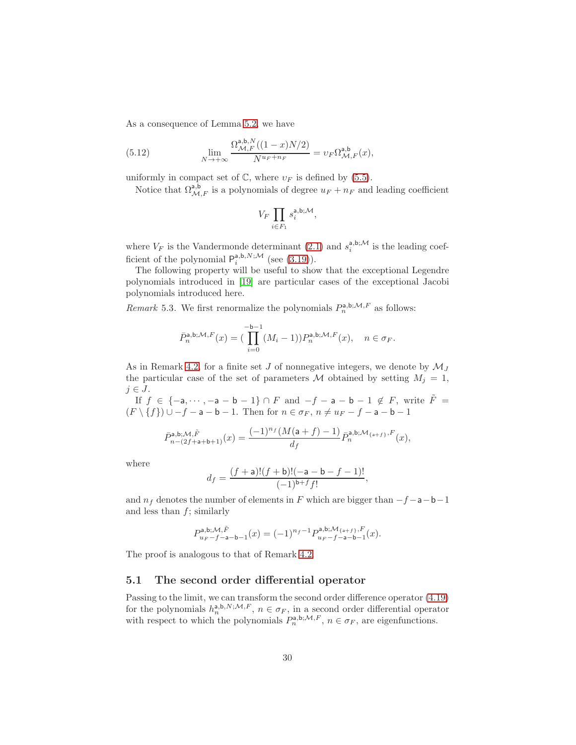As a consequence of Lemma [5.2,](#page-26-5) we have

<span id="page-29-0"></span>(5.12) 
$$
\lim_{N \to +\infty} \frac{\Omega_{\mathcal{M},F}^{\mathsf{a},\mathsf{b},N}((1-x)N/2)}{N^{u_F + n_F}} = v_F \Omega_{\mathcal{M},F}^{\mathsf{a},\mathsf{b}}(x),
$$

uniformly in compact set of  $\mathbb{C}$ , where  $v_F$  is defined by [\(5.5\)](#page-26-3).

Notice that  $\Omega_{\mathcal{M},F}^{\mathbf{a},\mathbf{b}}$  is a polynomials of degree  $u_F + n_F$  and leading coefficient

$$
V_F \prod_{i \in F_1} s_i^{\mathsf{a},\mathsf{b};\mathcal{M}},
$$

where  $V_F$  is the Vandermonde determinant [\(2.1\)](#page-8-0) and  $s_i^{a,b;\mathcal{M}}$  is the leading coefficient of the polynomial  $P_i^{a,b,N;\mathcal{M}}$  (see [\(3.19\)](#page-15-5)).

The following property will be useful to show that the exceptional Legendre polynomials introduced in [\[19\]](#page-37-5) are particular cases of the exceptional Jacobi polynomials introduced here.

<span id="page-29-1"></span>Remark 5.3. We first renormalize the polynomials  $P_n^{a,b;\mathcal{M},F}$  as follows:

$$
\bar{P}_n^{\mathsf{a},\mathsf{b};\mathcal{M},F}(x) = \left(\prod_{i=0}^{-\mathsf{b}-1} (M_i - 1)\right) P_n^{\mathsf{a},\mathsf{b};\mathcal{M},F}(x), \quad n \in \sigma_F.
$$

As in Remark [4.2,](#page-17-1) for a finite set  $J$  of nonnegative integers, we denote by  $\mathcal{M}_J$ the particular case of the set of parameters M obtained by setting  $M_j = 1$ ,  $j \in J$ .

If  $f \in \{-a, \dots, -a - b - 1\} \cap F$  and  $-f - a - b - 1 \notin F$ , write  $\tilde{F} =$  $(F \setminus \{f\}) \cup -f - a - b - 1$ . Then for  $n \in \sigma_F$ ,  $n \neq u_F - f - a - b - 1$ 

$$
\bar{P}_{n-(2f+\mathsf{a}+\mathsf{b}+1)}^{\mathsf{a},\mathsf{b};\mathcal{M},\tilde{F}}(x)=\frac{(-1)^{n_f}(M(\mathsf{a}+f)-1)}{d_f}\bar{P}_n^{\mathsf{a},\mathsf{b};\mathcal{M}_{\{\mathsf{a}+f\}},F}(x),
$$

where

$$
d_f = \frac{(f + \mathsf{a})!(f + \mathsf{b})!(-\mathsf{a} - \mathsf{b} - f - 1)!}{(-1)^{\mathsf{b} + f} f!},
$$

and  $n_f$  denotes the number of elements in F which are bigger than  $-f-a-b-1$ and less than  $f$ ; similarly

$$
P_{u_F-f-a-b-1}^{a,b; \mathcal{M}, \tilde{F}}(x) = (-1)^{n_f-1} P_{u_F-f-a-b-1}^{a,b; \mathcal{M}_{\{a+f\}, F}}(x).
$$

The proof is analogous to that of Remark [4.2.](#page-17-1)

#### 5.1 The second order differential operator

Passing to the limit, we can transform the second order difference operator [\(4.19\)](#page-22-4) for the polynomials  $h_n^{a,b,N;\mathcal{M},F}$ ,  $n \in \sigma_F$ , in a second order differential operator with respect to which the polynomials  $P_n^{\mathsf{a},\mathsf{b};\mathcal{M},F}$ ,  $n \in \sigma_F$ , are eigenfunctions.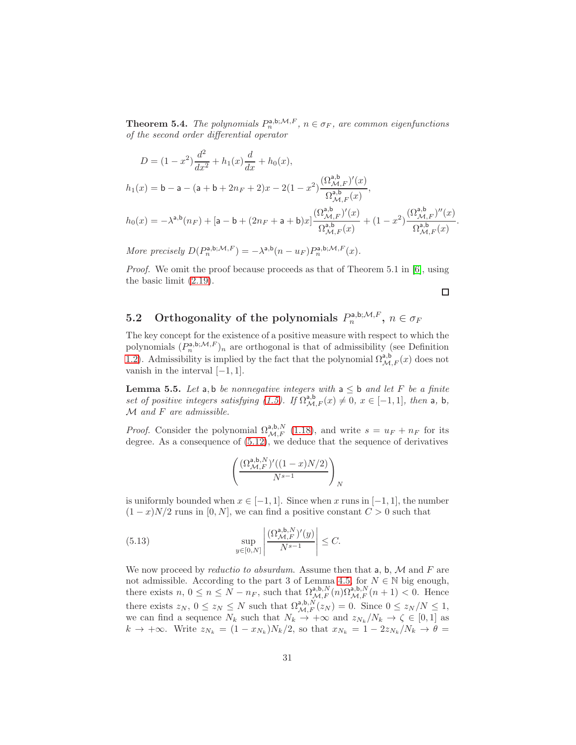<span id="page-30-0"></span>**Theorem 5.4.** The polynomials  $P_n^{a,b;\mathcal{M},F}$ ,  $n \in \sigma_F$ , are common eigenfunctions of the second order differential operator

$$
D = (1 - x^2) \frac{d^2}{dx^2} + h_1(x) \frac{d}{dx} + h_0(x),
$$
  
\n
$$
h_1(x) = b - a - (a + b + 2n_F + 2)x - 2(1 - x^2) \frac{(\Omega_{\mathcal{M},F}^{a,b})'(x)}{\Omega_{\mathcal{M},F}^{a,b}(x)},
$$
  
\n
$$
h_0(x) = -\lambda^{a,b}(n_F) + [a - b + (2n_F + a + b)x] \frac{(\Omega_{\mathcal{M},F}^{a,b})'(x)}{\Omega_{\mathcal{M},F}^{a,b}(x)} + (1 - x^2) \frac{(\Omega_{\mathcal{M},F}^{a,b})''(x)}{\Omega_{\mathcal{M},F}^{a,b}(x)}
$$

More precisely  $D(P_n^{\mathsf{a},\mathsf{b};\mathcal{M},F}) = -\lambda^{\mathsf{a},\mathsf{b}}(n - u_F)P_n^{\mathsf{a},\mathsf{b};\mathcal{M},F}(x)$ .

Proof. We omit the proof because proceeds as that of Theorem 5.1 in [\[6\]](#page-36-2), using the basic limit [\(2.19\)](#page-10-1).

 $\Box$ 

.

# 5.2 Orthogonality of the polynomials  $P_n^{a,b;{\cal M},F}$ ,  $n\in\sigma_F$

The key concept for the existence of a positive measure with respect to which the polynomials  $(P_n^{a,b;\mathcal{M},F})_n$  are orthogonal is that of admissibility (see Definition [1.2\)](#page-5-1). Admissibility is implied by the fact that the polynomial  $\Omega^{a,b}_{\mathcal{M},F}(x)$  does not vanish in the interval  $[-1, 1]$ .

<span id="page-30-2"></span>**Lemma 5.5.** Let a, b be nonnegative integers with  $a \leq b$  and let F be a finite set of positive integers satisfying [\(1.5\)](#page-2-0). If  $\Omega^{a,b}_{\mathcal{M},F}(x) \neq 0$ ,  $x \in [-1,1]$ , then a, b,  $M$  and  $F$  are admissible.

*Proof.* Consider the polynomial  $\Omega_{\mathcal{M},F}^{a,b,N}$  [\(1.18\)](#page-6-2), and write  $s = u_F + n_F$  for its degree. As a consequence of [\(5.12\)](#page-29-0), we deduce that the sequence of derivatives

<span id="page-30-1"></span>
$$
\left(\frac{(\Omega^{ \mathsf{a}, \mathsf{b}, N }_{\mathcal{M}, F})'((1-x)N/2)}{N^{s-1}}\right)_N
$$

is uniformly bounded when  $x \in [-1, 1]$ . Since when x runs in  $[-1, 1]$ , the number  $(1-x)N/2$  runs in [0, N], we can find a positive constant  $C > 0$  such that

(5.13) 
$$
\sup_{y \in [0,N]} \left| \frac{(\Omega_{\mathcal{M},F}^{\mathsf{a},\mathsf{b},N})'(y)}{N^{s-1}} \right| \leq C.
$$

We now proceed by *reductio to absurdum*. Assume then that  $a, b, M$  and  $F$  are not admissible. According to the part 3 of Lemma [4.5,](#page-23-0) for  $N \in \mathbb{N}$  big enough, there exists  $n, 0 \le n \le N - n_F$ , such that  $\Omega^{a,b,N}_{\mathcal{M},F}(n) \Omega^{a,b,N}_{\mathcal{M},F}(n+1) < 0$ . Hence there exists  $z_N$ ,  $0 \le z_N \le N$  such that  $\Omega^{a,b,N}_{\mathcal{M},F}(z_N) = 0$ . Since  $0 \le z_N/N \le 1$ , we can find a sequence  $N_k$  such that  $N_k \to +\infty$  and  $z_{N_k}/N_k \to \zeta \in [0,1]$  as  $k \to +\infty$ . Write  $z_{N_k} = (1 - x_{N_k})N_k/2$ , so that  $x_{N_k} = 1 - 2z_{N_k}/N_k \to \theta =$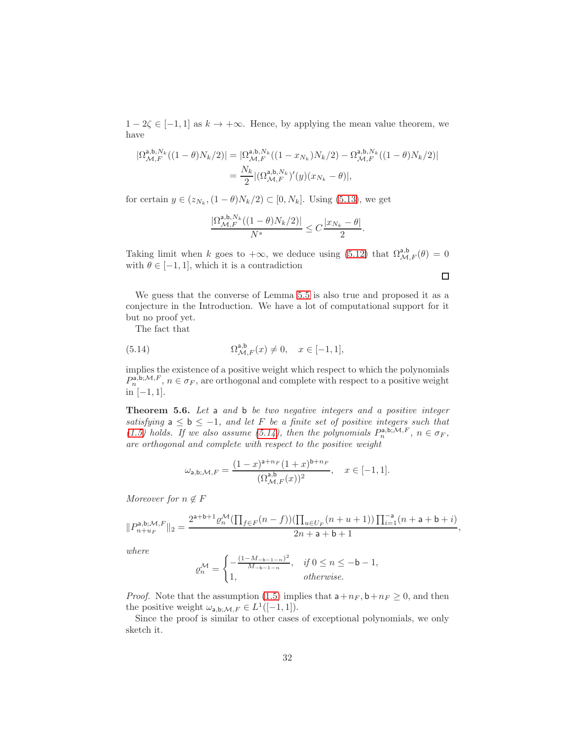$1 - 2\zeta \in [-1, 1]$  as  $k \to +\infty$ . Hence, by applying the mean value theorem, we have

$$
\begin{aligned} |\Omega^{\mathsf{a},\mathsf{b},N_k}_{\mathcal{M},F}((1-\theta)N_k/2)|&=|\Omega^{\mathsf{a},\mathsf{b},N_k}_{\mathcal{M},F}((1-x_{N_k})N_k/2)-\Omega^{\mathsf{a},\mathsf{b},N_k}_{\mathcal{M},F}((1-\theta)N_k/2)|\\ &=\frac{N_k}{2}|(\Omega^{\mathsf{a},\mathsf{b},N_k}_{\mathcal{M},F})'(y)(x_{N_k}-\theta)|, \end{aligned}
$$

for certain  $y \in (z_{N_k}, (1-\theta)N_k/2) \subset [0, N_k]$ . Using [\(5.13\)](#page-30-1), we get

$$
\frac{|\Omega_{\mathcal{M},F}^{\mathsf{a},\mathsf{b},N_k}((1-\theta)N_k/2)|}{N^s}\leq C\frac{|x_{N_k}-\theta|}{2}.
$$

Taking limit when k goes to  $+\infty$ , we deduce using [\(5.12\)](#page-29-0) that  $\Omega_{\mathcal{M},F}^{a,b}(\theta) = 0$ with  $\theta \in [-1, 1]$ , which it is a contradiction

We guess that the converse of Lemma [5.5](#page-30-2) is also true and proposed it as a conjecture in the Introduction. We have a lot of computational support for it but no proof yet.

<span id="page-31-1"></span>The fact that

(5.14) 
$$
\Omega_{\mathcal{M},F}^{\mathsf{a},\mathsf{b}}(x) \neq 0, \quad x \in [-1,1],
$$

implies the existence of a positive weight which respect to which the polynomials  $P_n^{\tilde{a},\tilde{b};\mathcal{M},F}$ ,  $n \in \sigma_F$ , are orthogonal and complete with respect to a positive weight in  $[-1, 1]$ .

<span id="page-31-0"></span>Theorem 5.6. Let a and b be two negative integers and a positive integer satisfying  $a \le b \le -1$ , and let F be a finite set of positive integers such that [\(1.5\)](#page-2-0) holds. If we also assume [\(5.14\)](#page-31-1), then the polynomials  $P_n^{\mathsf{a},\mathsf{b};\mathcal{M},F}$ ,  $n \in \sigma_F$ , are orthogonal and complete with respect to the positive weight

$$
\omega_{\mathsf{a},\mathsf{b};\mathcal{M},F} = \frac{(1-x)^{\mathsf{a}+n_F}(1+x)^{\mathsf{b}+n_F}}{(\Omega_{\mathcal{M},F}^{\mathsf{a},\mathsf{b}}(x))^2}, \quad x \in [-1,1].
$$

Moreover for  $n \notin F$ 

$$
\|P_{n+u_F}^{\mathsf{a},\mathsf{b};\mathcal{M},F}\|_2=\frac{2^{\mathsf{a}+\mathsf{b}+1}\varrho_n^\mathcal{M}(\prod_{f\in F}(n-f))(\prod_{u\in U_F}(n+u+1))\prod_{i=1}^{-\mathsf{a}}(n+\mathsf{a}+\mathsf{b}+i)}{2n+\mathsf{a}+\mathsf{b}+1},
$$

where

$$
\varrho_n^{\mathcal{M}} = \begin{cases}\n-\frac{(1 - M_{-b-1-n})^2}{M_{-b-1-n}}, & \text{if } 0 \le n \le -b - 1, \\
1, & \text{otherwise.} \n\end{cases}
$$

*Proof.* Note that the assumption [\(1.5\)](#page-2-0) implies that  $a+n_F$ ,  $b+n_F \geq 0$ , and then the positive weight  $\omega_{a,b;\mathcal{M},F} \in L^1([-1,1]).$ 

Since the proof is similar to other cases of exceptional polynomials, we only sketch it.

 $\Box$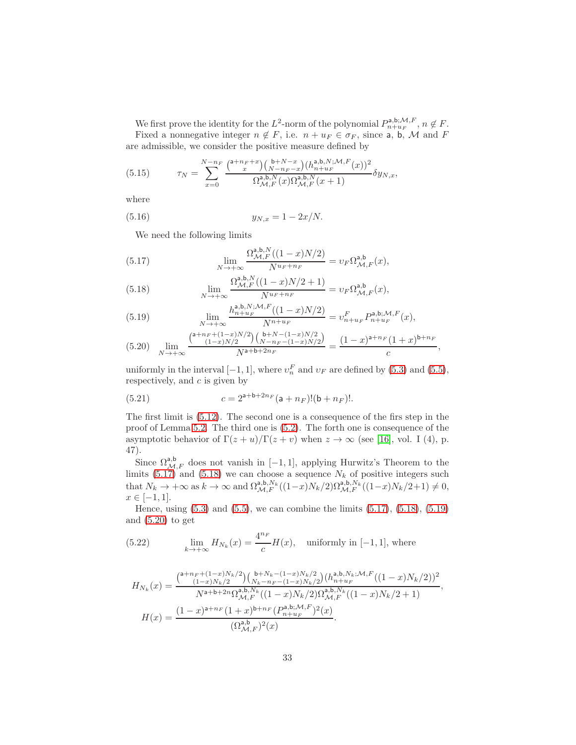We first prove the identity for the  $L^2$ -norm of the polynomial  $P_{n+u_F}^{\mathsf{a},\mathsf{b};\mathcal{M},F}$ ,  $n \notin F$ . Fixed a nonnegative integer  $n \notin F$ , i.e.  $n + u_F \in \sigma_F$ , since a, b, M and F are admissible, we consider the positive measure defined by

(5.15) 
$$
\tau_N = \sum_{x=0}^{N-n_F} \frac{\binom{\mathsf{a}+n_F+x}{x}\binom{\mathsf{b}+N-x}{N-n_F-x}\binom{h_n^{\mathsf{a},\mathsf{b},N};\mathcal{M},F}{n^{\mathsf{a},\mathsf{b},N}_{\mathcal{M},F}(x)\Omega^{\mathsf{a},\mathsf{b},N}_{\mathcal{M},F}(x+1)} \delta y_{N,x},
$$

where

(5.16) 
$$
y_{N,x} = 1 - 2x/N.
$$

<span id="page-32-4"></span>We need the following limits

<span id="page-32-0"></span>(5.17) 
$$
\lim_{N \to +\infty} \frac{\Omega_{\mathcal{M},F}^{\mathsf{a},\mathsf{b},N}((1-x)N/2)}{N^{u_F + n_F}} = v_F \Omega_{\mathcal{M},F}^{\mathsf{a},\mathsf{b}}(x),
$$

<span id="page-32-1"></span>(5.18) 
$$
\lim_{N \to +\infty} \frac{\Omega_{\mathcal{M},F}^{\mathsf{a},\mathsf{b},N}((1-x)N/2+1)}{N^{u_F+n_F}} = v_F \Omega_{\mathcal{M},F}^{\mathsf{a},\mathsf{b}}(x),
$$

<span id="page-32-2"></span>(5.19) 
$$
\lim_{N \to +\infty} \frac{h_{n+u_F}^{a,b,N;M,F}((1-x)N/2)}{N^{n+u_F}} = v_{n+u_F}^F P_{n+u_F}^{a,b;M,F}(x),
$$

<span id="page-32-3"></span>
$$
(5.20) \quad \lim_{N \to +\infty} \frac{\binom{\mathsf{a}+n_F+(1-x)N/2}{(1-x)N/2} \binom{\mathsf{b}+N-(1-x)N/2}{N-n_F-(1-x)N/2}}{\sqrt{\mathsf{a}+\mathsf{b}+2n_F}} = \frac{(1-x)^{\mathsf{a}+n_F}(1+x)^{\mathsf{b}+n_F}}{c},
$$

uniformly in the interval  $[-1, 1]$ , where  $v_n^F$  and  $v_F$  are defined by [\(5.3\)](#page-26-6) and [\(5.5\)](#page-26-3), respectively, and  $c$  is given by

(5.21) 
$$
c = 2^{a+b+2n_F}(a+n_F)!(b+n_F)!.
$$

The first limit is [\(5.12\)](#page-29-0). The second one is a consequence of the firs step in the proof of Lemma [5.2.](#page-26-5) The third one is [\(5.2\)](#page-26-7). The forth one is consequence of the asymptotic behavior of  $\Gamma(z+u)/\Gamma(z+v)$  when  $z \to \infty$  (see [\[16\]](#page-37-12), vol. I (4), p. 47).

Since  $\Omega_{\mathcal{M},F}^{\mathsf{a},\mathsf{b}}$  does not vanish in [-1, 1], applying Hurwitz's Theorem to the limits [\(5.17\)](#page-32-0) and [\(5.18\)](#page-32-1) we can choose a sequence  $N_k$  of positive integers such that  $N_k \to +\infty$  as  $k \to \infty$  and  $\Omega^{a,b,N_k}_{\mathcal{M},F}((1-x)N_k/2)\Omega^{a,b,N_k}_{\mathcal{M},F}((1-x)N_k/2+1) \neq 0$ ,  $x \in [-1, 1].$ 

Hence, using  $(5.3)$  and  $(5.5)$ , we can combine the limits  $(5.17)$ ,  $(5.18)$ ,  $(5.19)$ and  $(5.20)$  to get

<span id="page-32-5"></span>(5.22) 
$$
\lim_{k \to +\infty} H_{N_k}(x) = \frac{4^{n_F}}{c} H(x), \text{ uniformly in } [-1, 1], \text{ where}
$$

$$
H_{N_k}(x) = \frac{\binom{\mathsf{a}+n_F+(1-x)N_k/2}{(1-x)N_k/2}\binom{\mathsf{b}+N_k-(1-x)N_k/2}{N_k-n_F-(1-x)N_k/2}\binom{\mathsf{a},\mathsf{b},N_k;\mathcal{M},F}{n+u_F}((1-x)N_k/2))^2}{N^{\mathsf{a}+\mathsf{b}+2n}\Omega_{\mathcal{M},F}^{\mathsf{a},\mathsf{b},N_k}((1-x)N_k/2)\Omega_{\mathcal{M},F}^{\mathsf{a},\mathsf{b},N_k}((1-x)N_k/2+1)},
$$

$$
H(x) = \frac{(1-x)^{\mathsf{a}+n_F}(1+x)^{\mathsf{b}+n_F}(P_{n+u_F}^{\mathsf{a},\mathsf{b},\mathcal{M},F})^2(x)}{(\Omega_{\mathcal{M},F}^{\mathsf{a},\mathsf{b}})^2(x)}.
$$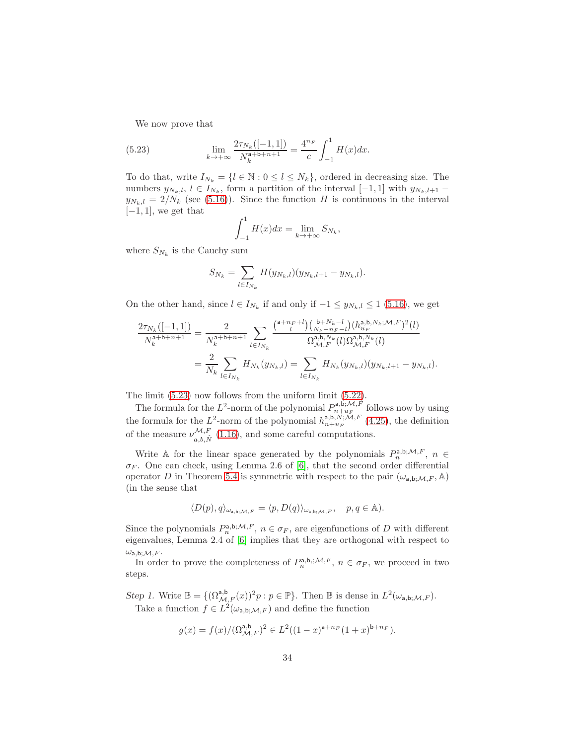<span id="page-33-0"></span>We now prove that

(5.23) 
$$
\lim_{k \to +\infty} \frac{2\tau_{N_k}([-1,1])}{N_k^{a+b+n+1}} = \frac{4^{n_F}}{c} \int_{-1}^1 H(x) dx.
$$

To do that, write  $I_{N_k} = \{l \in \mathbb{N} : 0 \leq l \leq N_k\}$ , ordered in decreasing size. The numbers  $y_{N_k,l}, l \in I_{N_k}$ , form a partition of the interval  $[-1,1]$  with  $y_{N_k,l+1}$  –  $y_{N_k,l} = 2/N_k$  (see [\(5.16\)](#page-32-4)). Since the function H is continuous in the interval  $[-1, 1]$ , we get that

$$
\int_{-1}^{1} H(x)dx = \lim_{k \to +\infty} S_{N_k},
$$

where  $S_{N_k}$  is the Cauchy sum

$$
S_{N_k} = \sum_{l \in I_{N_k}} H(y_{N_k,l})(y_{N_k,l+1} - y_{N_k,l}).
$$

On the other hand, since  $l \in I_{N_k}$  if and only if  $-1 \leq y_{N_k,l} \leq 1$  [\(5.16\)](#page-32-4), we get

$$
\frac{2\tau_{N_k}([-1,1])}{N_k^{a+b+n+1}} = \frac{2}{N_k^{a+b+n+1}} \sum_{l \in I_{N_k}} \frac{\binom{a+n_F+l}{l}\binom{b+N_k-l}{N_k-n_F-l}\binom{h_{u_r}^{a,b,N_k;M,F})^2(l)}{R_{\mathcal{M},F}^{a,b,N_k}(l)\Omega_{\mathcal{M},F}^{a,b,N_k}(l)}}{\Omega_{\mathcal{M},F}^{a,b,N_k}(l)\Omega_{\mathcal{M},F}^{a,b,N_k}(l)} = \frac{2}{N_k} \sum_{l \in I_{N_k}} H_{N_k}(y_{N_k,l}) = \sum_{l \in I_{N_k}} H_{N_k}(y_{N_k,l}) (y_{N_k,l+1} - y_{N_k,l}).
$$

The limit [\(5.23\)](#page-33-0) now follows from the uniform limit [\(5.22\)](#page-32-5).

The formula for the  $L^2$ -norm of the polynomial  $P_{n+u_F}^{a,b;\mathcal{M},\vec{F}}$  follows now by using the formula for the L<sup>2</sup>-norm of the polynomial  $h_{n+u_F}^{a,b,N;\mathcal{M},F}$  [\(4.25\)](#page-24-2), the definition of the measure  $\nu_{a,b,\hat{N}}^{\mathcal{M},F}$  [\(1.16\)](#page-5-3), and some careful computations.

Write A for the linear space generated by the polynomials  $P_n^{a,b;\mathcal{M},F}$ ,  $n \in$  $\sigma_F$ . One can check, using Lemma 2.6 of [\[6\]](#page-36-2), that the second order differential operator D in Theorem [5.4](#page-30-0) is symmetric with respect to the pair  $(\omega_{a,b} \mathcal{M}, F, A)$ (in the sense that

$$
\langle D(p), q \rangle_{\omega_{\mathsf{a},\mathsf{b};\mathcal{M},F}} = \langle p, D(q) \rangle_{\omega_{\mathsf{a},\mathsf{b};\mathcal{M},F}}, \quad p, q \in \mathbb{A}.
$$

Since the polynomials  $P_n^{\mathsf{a},\mathsf{b};\mathcal{M},F}$ ,  $n \in \sigma_F$ , are eigenfunctions of D with different eigenvalues, Lemma 2.4 of [\[6\]](#page-36-2) implies that they are orthogonal with respect to  $\omega_{\text{a},\text{b};\mathcal{M},F}.$ 

In order to prove the completeness of  $P_n^{a,b;;\mathcal{M},F}$ ,  $n \in \sigma_F$ , we proceed in two steps.

Step 1. Write  $\mathbb{B} = \{(\Omega_{\mathcal{M},F}^{a,b}(x))^2 p : p \in \mathbb{P}\}\.$  Then  $\mathbb{B}$  is dense in  $L^2(\omega_{a,b;\mathcal{M},F})$ . Take a function  $f \in L^2(\omega_{a,b;\mathcal{M},F})$  and define the function

$$
g(x)=f(x)/(\Omega_{{\mathcal M},F}^{\mathsf{a},\mathsf{b}})^2\in L^2((1-x)^{\mathsf{a}+n_F}(1+x)^{\mathsf{b}+n_F}).
$$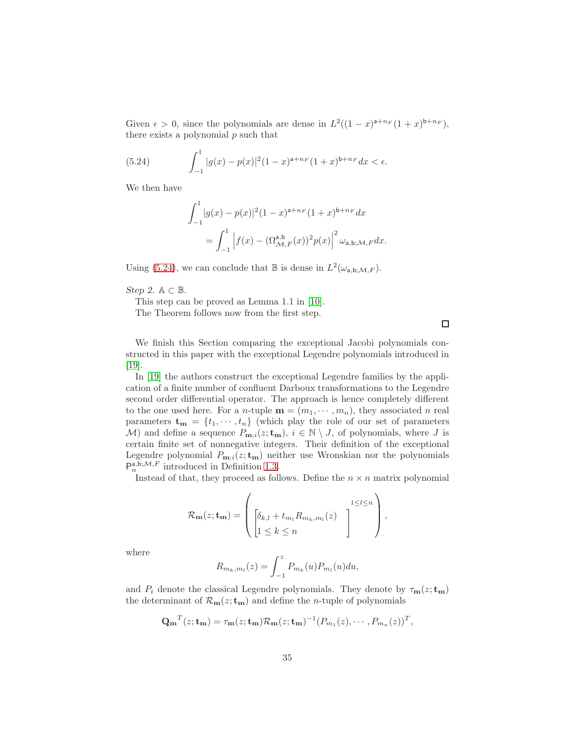Given  $\epsilon > 0$ , since the polynomials are dense in  $L^2((1-x)^{a+n_F}(1+x)^{b+n_F}),$ there exists a polynomial  $p$  such that

(5.24) 
$$
\int_{-1}^{1} |g(x) - p(x)|^2 (1 - x)^{a + n_F} (1 + x)^{b + n_F} dx < \epsilon.
$$

We then have

<span id="page-34-0"></span>
$$
\int_{-1}^{1} |g(x) - p(x)|^2 (1 - x)^{a + n_F} (1 + x)^{b + n_F} dx
$$
  
= 
$$
\int_{-1}^{1} |f(x) - (\Omega_{\mathcal{M},F}^{a,b}(x))^2 p(x)|^2 \omega_{a,b;\mathcal{M},F} dx.
$$

Using [\(5.24\)](#page-34-0), we can conclude that  $\mathbb B$  is dense in  $L^2(\omega_{a,b;\mathcal{M},F})$ .

Step 2.  $\mathbb{A} \subset \mathbb{B}$ .

This step can be proved as Lemma 1.1 in [\[10\]](#page-37-13).

The Theorem follows now from the first step.

 $\Box$ 

We finish this Section comparing the exceptional Jacobi polynomials constructed in this paper with the exceptional Legendre polynomials introduced in [\[19\]](#page-37-5).

In [\[19\]](#page-37-5) the authors construct the exceptional Legendre families by the application of a finite number of confluent Darboux transformations to the Legendre second order differential operator. The approach is hence completely different to the one used here. For a *n*-tuple  $\mathbf{m} = (m_1, \dots, m_n)$ , they associated *n* real parameters  $\mathbf{t}_{\mathbf{m}} = \{t_1, \dots, t_n\}$  (which play the role of our set of parameters M) and define a sequence  $P_{\mathbf{m};i}(z;\mathbf{t}_{\mathbf{m}}), i \in \mathbb{N} \setminus J$ , of polynomials, where J is certain finite set of nonnegative integers. Their definition of the exceptional Legendre polynomial  $P_{\mathbf{m};i}(z; \mathbf{t}_{\mathbf{m}})$  neither use Wronskian nor the polynomials  $P_n^{\mathsf{a},\mathsf{b};\mathcal{M},F}$  introduced in Definition [1.3.](#page-6-0)

Instead of that, they proceed as follows. Define the  $n \times n$  matrix polynomial

$$
\mathcal{R}_{\mathbf{m}}(z; \mathbf{t}_{\mathbf{m}}) = \left( \begin{bmatrix} \delta_{k,l} + t_{m_l} R_{m_k, m_l}(z) \\ 1 \leq k \leq n \end{bmatrix} \begin{matrix} 1 \leq l \leq n \\ 1 \end{matrix} \right),
$$

where

$$
R_{m_k, m_l}(z) = \int_{-1}^{z} P_{m_k}(u) P_{m_l}(u) du,
$$

and  $P_i$  denote the classical Legendre polynomials. They denote by  $\tau_{\mathbf{m}}(z; \mathbf{t}_{\mathbf{m}})$ the determinant of  $\mathcal{R}_{m}(z; t_{m})$  and define the *n*-tuple of polynomials

$$
\mathbf{Q_m}^T(z; \mathbf{t_m}) = \tau_{\mathbf{m}}(z; \mathbf{t_m}) \mathcal{R}_{\mathbf{m}}(z; \mathbf{t_m})^{-1} (P_{m_1}(z), \cdots, P_{m_n}(z))^T,
$$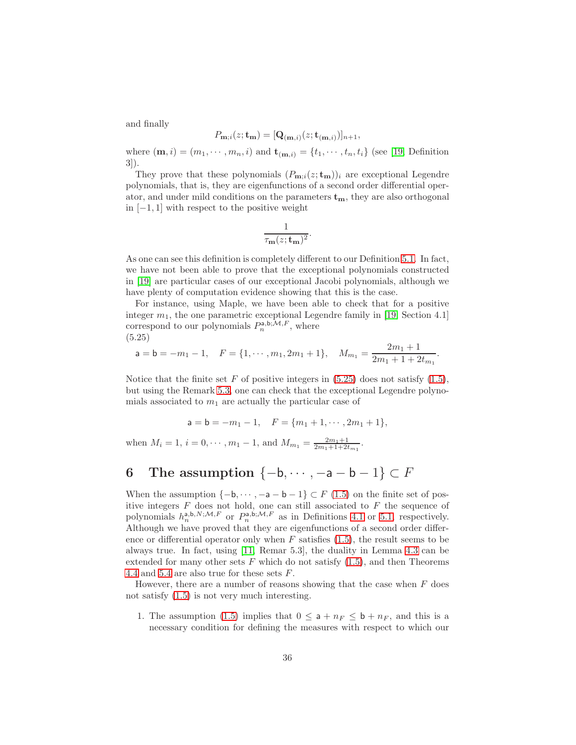and finally

$$
P_{\mathbf{m};i}(z;\mathbf{t}_{\mathbf{m}}) = [\mathbf{Q}_{(\mathbf{m},i)}(z;\mathbf{t}_{(\mathbf{m},i)})]_{n+1},
$$

where  $(\mathbf{m}, i) = (m_1, \dots, m_n, i)$  and  $\mathbf{t}_{(\mathbf{m}, i)} = \{t_1, \dots, t_n, t_i\}$  (see [\[19,](#page-37-5) Definition 3]).

They prove that these polynomials  $(P_{\mathbf{m}:i}(z; \mathbf{t}_{\mathbf{m}}))_i$  are exceptional Legendre polynomials, that is, they are eigenfunctions of a second order differential operator, and under mild conditions on the parameters  $t_m$ , they are also orthogonal in [−1, 1] with respect to the positive weight

$$
\frac{1}{\tau_{\mathbf{m}}(z; \mathbf{t}_{\mathbf{m}})^2}
$$

.

As one can see this definition is completely different to our Definition [5.1.](#page-26-8) In fact, we have not been able to prove that the exceptional polynomials constructed in [\[19\]](#page-37-5) are particular cases of our exceptional Jacobi polynomials, although we have plenty of computation evidence showing that this is the case.

For instance, using Maple, we have been able to check that for a positive integer  $m_1$ , the one parametric exceptional Legendre family in [\[19,](#page-37-5) Section 4.1] correspond to our polynomials  $P_n^{\mathsf{a},\mathsf{b};\mathcal{M},F}$ , where (5.25)

<span id="page-35-1"></span>
$$
\mathsf{a} = \mathsf{b} = -m_1 - 1, \quad F = \{1, \cdots, m_1, 2m_1 + 1\}, \quad M_{m_1} = \frac{2m_1 + 1}{2m_1 + 1 + 2t_{m_1}}.
$$

Notice that the finite set F of positive integers in  $(5.25)$  does not satisfy  $(1.5)$ , but using the Remark [5.3,](#page-29-1) one can check that the exceptional Legendre polynomials associated to  $m_1$  are actually the particular case of

$$
\mathsf a=\mathsf b=-m_1-1,\quad F=\{m_1+1,\cdots,2m_1+1\},
$$

when  $M_i = 1$ ,  $i = 0, \dots, m_1 - 1$ , and  $M_{m_1} = \frac{2m_1+1}{2m_1+1+2t_{m_1}}$ .

# <span id="page-35-0"></span>6 The assumption  $\{-b, \dots, -a - b - 1\} \subset F$

When the assumption  $\{-b, \dots, -a - b - 1\} \subset F(1.5)$  $\{-b, \dots, -a - b - 1\} \subset F(1.5)$  on the finite set of positive integers  $F$  does not hold, one can still associated to  $F$  the sequence of polynomials  $h_n^{a,b,N;\mathcal{M},F}$  or  $P_n^{a,b;\mathcal{M},F}$  as in Definitions [4.1](#page-16-2) or [5.1,](#page-26-8) respectively. Although we have proved that they are eigenfunctions of a second order difference or differential operator only when  $F$  satisfies [\(1.5\)](#page-2-0), the result seems to be always true. In fact, using [\[11,](#page-37-6) Remar 5.3], the duality in Lemma [4.3](#page-18-0) can be extended for many other sets  $F$  which do not satisfy  $(1.5)$ , and then Theorems [4.4](#page-22-0) and [5.4](#page-30-0) are also true for these sets F.

However, there are a number of reasons showing that the case when  $F$  does not satisfy [\(1.5\)](#page-2-0) is not very much interesting.

1. The assumption [\(1.5\)](#page-2-0) implies that  $0 \le a + n_F \le b + n_F$ , and this is a necessary condition for defining the measures with respect to which our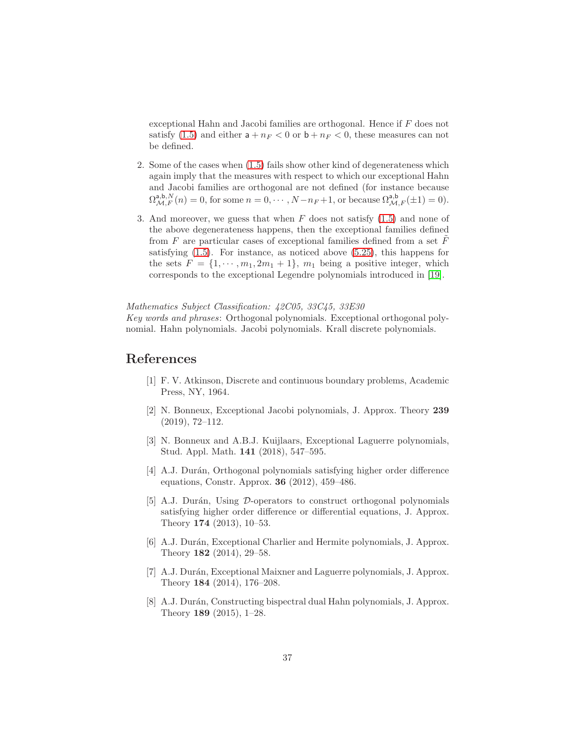exceptional Hahn and Jacobi families are orthogonal. Hence if F does not satisfy [\(1.5\)](#page-2-0) and either  $a + n_F < 0$  or  $b + n_F < 0$ , these measures can not be defined.

- 2. Some of the cases when [\(1.5\)](#page-2-0) fails show other kind of degenerateness which again imply that the measures with respect to which our exceptional Hahn and Jacobi families are orthogonal are not defined (for instance because  $\Omega^{a,b,N}_{\mathcal{M},F}(n) = 0$ , for some  $n = 0, \cdots, N-n_F+1$ , or because  $\Omega^{a,b}_{\mathcal{M},F}(\pm 1) = 0$ .
- 3. And moreover, we guess that when  $F$  does not satisfy  $(1.5)$  and none of the above degenerateness happens, then the exceptional families defined from  $F$  are particular cases of exceptional families defined from a set  $F$ satisfying [\(1.5\)](#page-2-0). For instance, as noticed above [\(5.25\)](#page-35-1), this happens for the sets  $F = \{1, \dots, m_1, 2m_1 + 1\}$ ,  $m_1$  being a positive integer, which corresponds to the exceptional Legendre polynomials introduced in [\[19\]](#page-37-5).

Mathematics Subject Classification: 42C05, 33C45, 33E30 Key words and phrases: Orthogonal polynomials. Exceptional orthogonal polynomial. Hahn polynomials. Jacobi polynomials. Krall discrete polynomials.

### <span id="page-36-7"></span>References

- [1] F. V. Atkinson, Discrete and continuous boundary problems, Academic Press, NY, 1964.
- <span id="page-36-0"></span>[2] N. Bonneux, Exceptional Jacobi polynomials, J. Approx. Theory 239 (2019), 72–112.
- <span id="page-36-1"></span>[3] N. Bonneux and A.B.J. Kuijlaars, Exceptional Laguerre polynomials, Stud. Appl. Math. 141 (2018), 547–595.
- <span id="page-36-4"></span>[4] A.J. Durán, Orthogonal polynomials satisfying higher order difference equations, Constr. Approx. 36 (2012), 459–486.
- <span id="page-36-5"></span>[5] A.J. Durán, Using  $D$ -operators to construct orthogonal polynomials satisfying higher order difference or differential equations, J. Approx. Theory 174 (2013), 10–53.
- <span id="page-36-2"></span>[6] A.J. Durán, Exceptional Charlier and Hermite polynomials, J. Approx. Theory 182 (2014), 29–58.
- <span id="page-36-3"></span>[7] A.J. Durán, Exceptional Maixner and Laguerre polynomials, J. Approx. Theory 184 (2014), 176–208.
- <span id="page-36-6"></span>[8] A.J. Durán, Constructing bispectral dual Hahn polynomials, J. Approx. Theory 189 (2015), 1–28.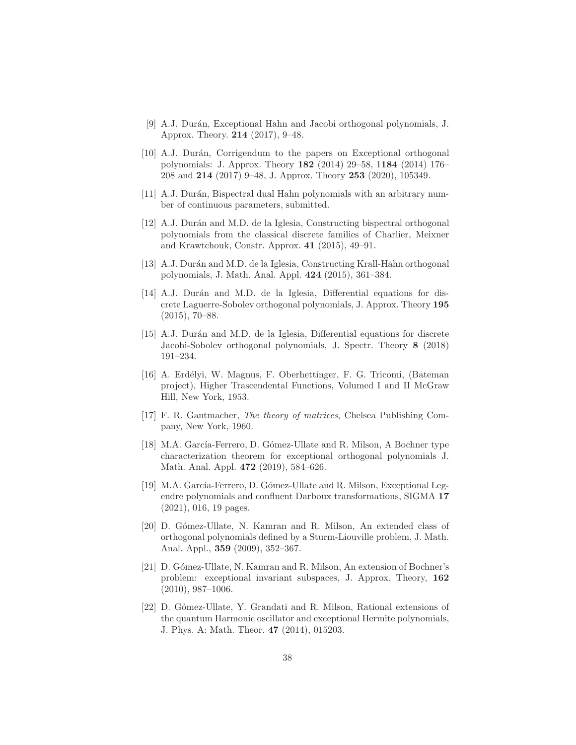- <span id="page-37-0"></span>[9] A.J. Durán, Exceptional Hahn and Jacobi orthogonal polynomials, J. Approx. Theory. 214 (2017), 9–48.
- <span id="page-37-13"></span>[10] A.J. Durán, Corrigendum to the papers on Exceptional orthogonal polynomials: J. Approx. Theory 182 (2014) 29–58, 1184 (2014) 176– 208 and 214 (2017) 9–48, J. Approx. Theory 253 (2020), 105349.
- <span id="page-37-7"></span><span id="page-37-6"></span>[11] A.J. Durán, Bispectral dual Hahn polynomials with an arbitrary number of continuous parameters, submitted.
- [12] A.J. Durán and M.D. de la Iglesia, Constructing bispectral orthogonal polynomials from the classical discrete families of Charlier, Meixner and Krawtchouk, Constr. Approx. 41 (2015), 49–91.
- <span id="page-37-8"></span>[13] A.J. Durán and M.D. de la Iglesia, Constructing Krall-Hahn orthogonal polynomials, J. Math. Anal. Appl. 424 (2015), 361–384.
- <span id="page-37-9"></span>[14] A.J. Durán and M.D. de la Iglesia, Differential equations for discrete Laguerre-Sobolev orthogonal polynomials, J. Approx. Theory 195 (2015), 70–88.
- <span id="page-37-10"></span>[15] A.J. Dur´an and M.D. de la Iglesia, Differential equations for discrete Jacobi-Sobolev orthogonal polynomials, J. Spectr. Theory 8 (2018) 191–234.
- <span id="page-37-12"></span>[16] A. Erd´elyi, W. Magnus, F. Oberhettinger, F. G. Tricomi, (Bateman project), Higher Trascendental Functions, Volumed I and II McGraw Hill, New York, 1953.
- <span id="page-37-11"></span>[17] F. R. Gantmacher, The theory of matrices, Chelsea Publishing Company, New York, 1960.
- <span id="page-37-1"></span>[18] M.A. García-Ferrero, D. Gómez-Ullate and R. Milson, A Bochner type characterization theorem for exceptional orthogonal polynomials J. Math. Anal. Appl. 472 (2019), 584–626.
- <span id="page-37-5"></span>[19] M.A. García-Ferrero, D. Gómez-Ullate and R. Milson, Exceptional Legendre polynomials and confluent Darboux transformations, SIGMA 17 (2021), 016, 19 pages.
- <span id="page-37-2"></span>[20] D. G´omez-Ullate, N. Kamran and R. Milson, An extended class of orthogonal polynomials defined by a Sturm-Liouville problem, J. Math. Anal. Appl., 359 (2009), 352–367.
- <span id="page-37-3"></span>[21] D. Gómez-Ullate, N. Kamran and R. Milson, An extension of Bochner's problem: exceptional invariant subspaces, J. Approx. Theory, 162 (2010), 987–1006.
- <span id="page-37-4"></span>[22] D. G´omez-Ullate, Y. Grandati and R. Milson, Rational extensions of the quantum Harmonic oscillator and exceptional Hermite polynomials, J. Phys. A: Math. Theor. 47 (2014), 015203.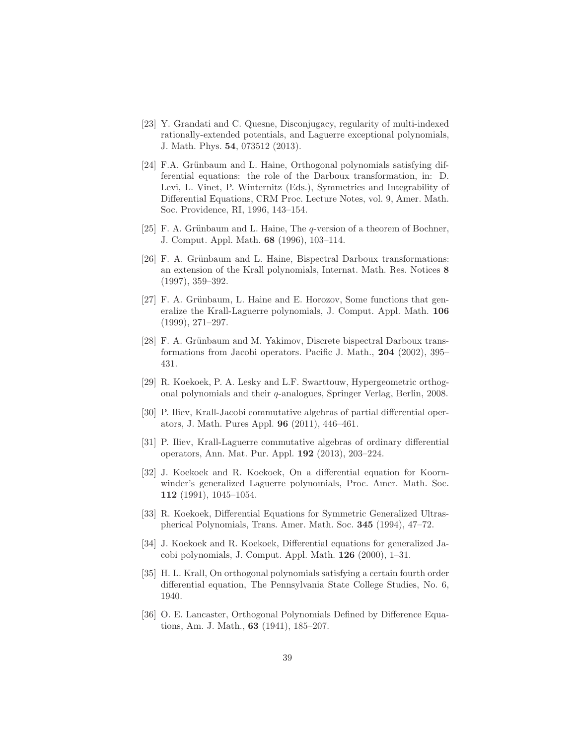- <span id="page-38-0"></span>[23] Y. Grandati and C. Quesne, Disconjugacy, regularity of multi-indexed rationally-extended potentials, and Laguerre exceptional polynomials, J. Math. Phys. 54, 073512 (2013).
- <span id="page-38-5"></span>[24] F.A. Grünbaum and L. Haine, Orthogonal polynomials satisfying differential equations: the role of the Darboux transformation, in: D. Levi, L. Vinet, P. Winternitz (Eds.), Symmetries and Integrability of Differential Equations, CRM Proc. Lecture Notes, vol. 9, Amer. Math. Soc. Providence, RI, 1996, 143–154.
- [25] F. A. Grünbaum and L. Haine, The  $q$ -version of a theorem of Bochner, J. Comput. Appl. Math. 68 (1996), 103–114.
- [26] F. A. Grünbaum and L. Haine, Bispectral Darboux transformations: an extension of the Krall polynomials, Internat. Math. Res. Notices 8 (1997), 359–392.
- <span id="page-38-6"></span>[27] F. A. Grünbaum, L. Haine and E. Horozov, Some functions that generalize the Krall-Laguerre polynomials, J. Comput. Appl. Math. 106 (1999), 271–297.
- <span id="page-38-7"></span>[28] F. A. Grünbaum and M. Yakimov, Discrete bispectral Darboux transformations from Jacobi operators. Pacific J. Math., 204 (2002), 395– 431.
- <span id="page-38-10"></span>[29] R. Koekoek, P. A. Lesky and L.F. Swarttouw, Hypergeometric orthogonal polynomials and their q-analogues, Springer Verlag, Berlin, 2008.
- <span id="page-38-8"></span>[30] P. Iliev, Krall-Jacobi commutative algebras of partial differential operators, J. Math. Pures Appl. 96 (2011), 446–461.
- <span id="page-38-9"></span>[31] P. Iliev, Krall-Laguerre commutative algebras of ordinary differential operators, Ann. Mat. Pur. Appl. 192 (2013), 203–224.
- <span id="page-38-2"></span>[32] J. Koekoek and R. Koekoek, On a differential equation for Koornwinder's generalized Laguerre polynomials, Proc. Amer. Math. Soc. 112 (1991), 1045–1054.
- <span id="page-38-3"></span>[33] R. Koekoek, Differential Equations for Symmetric Generalized Ultraspherical Polynomials, Trans. Amer. Math. Soc. 345 (1994), 47–72.
- <span id="page-38-4"></span>[34] J. Koekoek and R. Koekoek, Differential equations for generalized Jacobi polynomials, J. Comput. Appl. Math. 126 (2000), 1–31.
- <span id="page-38-1"></span>[35] H. L. Krall, On orthogonal polynomials satisfying a certain fourth order differential equation, The Pennsylvania State College Studies, No. 6, 1940.
- [36] O. E. Lancaster, Orthogonal Polynomials Defined by Difference Equations, Am. J. Math., 63 (1941), 185–207.